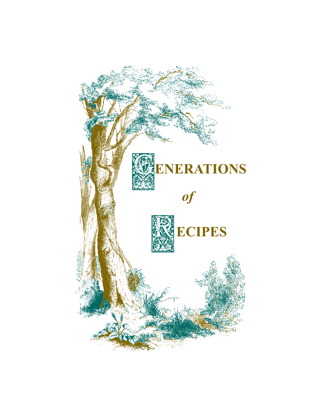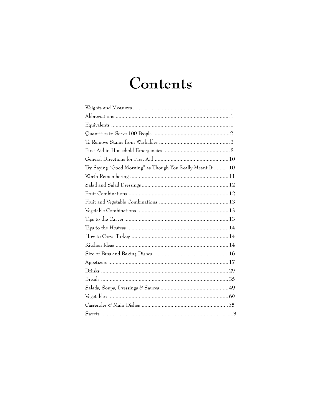# Contents

| Try Saying "Good Morning" as Though You Really Meant It  10 |
|-------------------------------------------------------------|
|                                                             |
|                                                             |
|                                                             |
|                                                             |
|                                                             |
|                                                             |
|                                                             |
|                                                             |
|                                                             |
|                                                             |
|                                                             |
|                                                             |
|                                                             |
|                                                             |
|                                                             |
|                                                             |
|                                                             |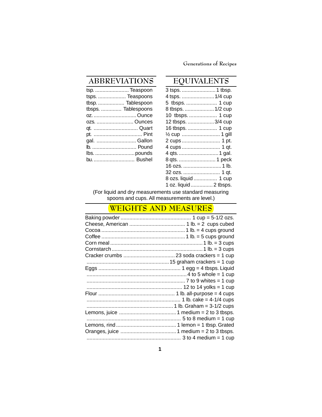### ABBREVIATIONS

| tsp.  Teaspoon      |
|---------------------|
| tsps.  Teaspoons    |
| tbsp.  Tablespoon   |
| tbsps.  Tablespoons |
| oz.  Ounce          |
| ozs.  Ounces        |
| qt.  Quart          |
| pt.  Pint           |
| gal.  Gallon        |
| lb.  Pound          |
|                     |
| bu.  Bushel         |
|                     |

| <b>EQUIVALENTS</b>     |  |
|------------------------|--|
| 3 tsps.  1 tbsp.       |  |
| 4 tsps.  1/4 cup       |  |
| 5 tbsps.  1 cup        |  |
| 8 tbsps.  1/2 cup      |  |
| 10 tbsps.  1 cup       |  |
| 12 tbsps. 3/4 cup      |  |
| 16 tbsps.  1 cup       |  |
|                        |  |
|                        |  |
| 4 cups  1 qt.          |  |
| 4 qts 1 gal.           |  |
| 8 qts.  1 peck         |  |
| 16 ozs.  1 lb.         |  |
| 32 ozs.  1 qt.         |  |
| 8 ozs. liquid  1 cup   |  |
| 1 oz. liquid  2 tbsps. |  |

(For liquid and dry measurements use standard measuring spoons and cups. All measurements are level.)

### WEIGHTS AND MEASURES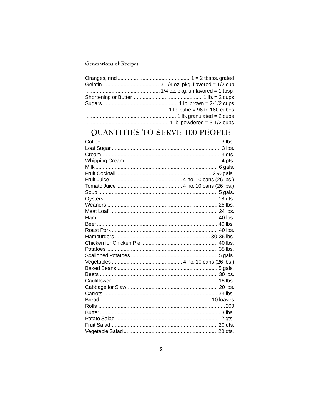### QUANTITIES TO SERVE 100 PEOPLE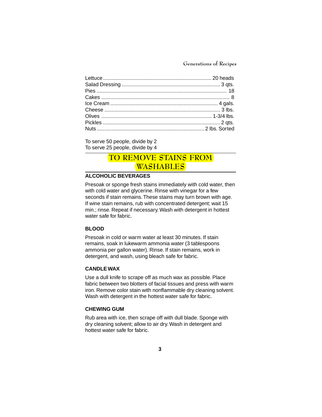To serve 50 people, divide by 2 To serve 25 people, divide by 4

### TO REMOVE STAINS FROM **WASHABLES**

#### **ALCOHOLIC BEVERAGES**

Presoak or sponge fresh stains immediately with cold water, then with cold water and glycerine. Rinse with vinegar for a few seconds if stain remains. These stains may turn brown with age. If wine stain remains, rub with concentrated detergent; wait 15 min.; rinse. Repeat if necessary. Wash with detergent in hottest water safe for fabric.

#### **BLOOD**

Presoak in cold or warm water at least 30 minutes. If stain remains, soak in lukewarm ammonia water (3 tablespoons ammonia per gallon water). Rinse. If stain remains, work in detergent, and wash, using bleach safe for fabric.

#### **CANDLE WAX**

Use a dull knife to scrape off as much wax as possible. Place fabric between two blotters of facial tissues and press with warm iron. Remove color stain with nonflammable dry cleaning solvent. Wash with detergent in the hottest water safe for fabric.

#### **CHEWING GUM**

Rub area with ice, then scrape off with dull blade. Sponge with dry cleaning solvent; allow to air dry. Wash in detergent and hottest water safe for fabric.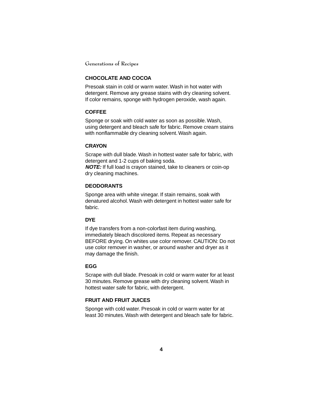#### **CHOCOLATE AND COCOA**

Presoak stain in cold or warm water. Wash in hot water with detergent. Remove any grease stains with dry cleaning solvent. If color remains, sponge with hydrogen peroxide, wash again.

#### **COFFEE**

Sponge or soak with cold water as soon as possible. Wash, using detergent and bleach safe for fabric. Remove cream stains with nonflammable dry cleaning solvent. Wash again.

#### **CRAYON**

Scrape with dull blade. Wash in hottest water safe for fabric, with detergent and 1-2 cups of baking soda.

**NOTE:** If full load is crayon stained, take to cleaners or coin-op dry cleaning machines.

#### **DEODORANTS**

Sponge area with white vinegar. If stain remains, soak with denatured alcohol. Wash with detergent in hottest water safe for fabric.

#### **DYE**

If dye transfers from a non-colorfast item during washing, immediately bleach discolored items. Repeat as necessary BEFORE drying. On whites use color remover. CAUTION: Do not use color remover in washer, or around washer and dryer as it may damage the finish.

#### **EGG**

Scrape with dull blade. Presoak in cold or warm water for at least 30 minutes. Remove grease with dry cleaning solvent. Wash in hottest water safe for fabric, with detergent.

#### **FRUIT AND FRUIT JUICES**

Sponge with cold water. Presoak in cold or warm water for at least 30 minutes. Wash with detergent and bleach safe for fabric.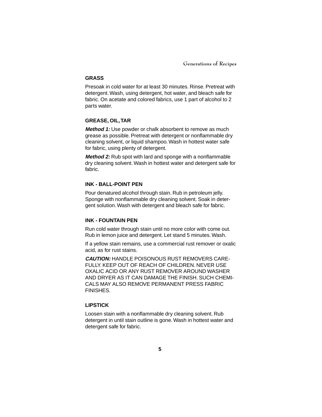#### **GRASS**

Presoak in cold water for at least 30 minutes. Rinse. Pretreat with detergent. Wash, using detergent, hot water, and bleach safe for fabric. On acetate and colored fabrics, use 1 part of alcohol to 2 parts water.

#### **GREASE, OIL, TAR**

**Method 1:** Use powder or chalk absorbent to remove as much grease as possible. Pretreat with detergent or nonflammable dry cleaning solvent, or liquid shampoo. Wash in hottest water safe for fabric, using plenty of detergent.

**Method 2:** Rub spot with lard and sponge with a nonflammable dry cleaning solvent. Wash in hottest water and detergent safe for fabric.

#### **INK - BALL-POINT PEN**

Pour denatured alcohol through stain. Rub in petroleum jelly. Sponge with nonflammable dry cleaning solvent. Soak in detergent solution. Wash with detergent and bleach safe for fabric.

#### **INK - FOUNTAIN PEN**

Run cold water through stain until no more color with come out. Rub in lemon juice and detergent. Let stand 5 minutes. Wash.

If a yellow stain remains, use a commercial rust remover or oxalic acid, as for rust stains.

**CAUTION:** HANDLE POISONOUS RUST REMOVERS CARE-FULLY. KEEP OUT OF REACH OF CHILDREN. NEVER USE OXALIC ACID OR ANY RUST REMOVER AROUND WASHER AND DRYER AS IT CAN DAMAGE THE FINISH. SUCH CHEMI-CALS MAY ALSO REMOVE PERMANENT PRESS FABRIC FINISHES.

#### **LIPSTICK**

Loosen stain with a nonflammable dry cleaning solvent. Rub detergent in until stain outline is gone. Wash in hottest water and detergent safe for fabric.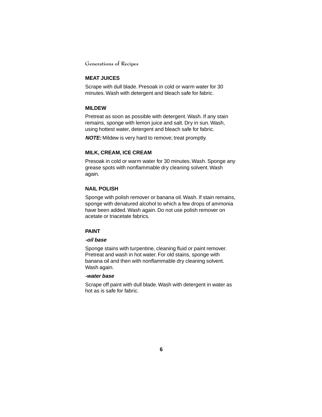#### **MEAT JUICES**

Scrape with dull blade. Presoak in cold or warm water for 30 minutes. Wash with detergent and bleach safe for fabric.

#### **MILDEW**

Pretreat as soon as possible with detergent. Wash. If any stain remains, sponge with lemon juice and salt. Dry in sun. Wash, using hottest water, detergent and bleach safe for fabric.

**NOTE:** Mildew is very hard to remove; treat promptly.

#### **MILK, CREAM, ICE CREAM**

Presoak in cold or warm water for 30 minutes. Wash. Sponge any grease spots with nonflammable dry cleaning solvent. Wash again.

#### **NAIL POLISH**

Sponge with polish remover or banana oil. Wash. If stain remains, sponge with denatured alcohol to which a few drops of ammonia have been added. Wash again. Do not use polish remover on acetate or triacetate fabrics.

#### **PAINT**

#### **-oil base**

Sponge stains with turpentine, cleaning fluid or paint remover. Pretreat and wash in hot water. For old stains, sponge with banana oil and then with nonflammable dry cleaning solvent. Wash again.

#### **-water base**

Scrape off paint with dull blade. Wash with detergent in water as hot as is safe for fabric.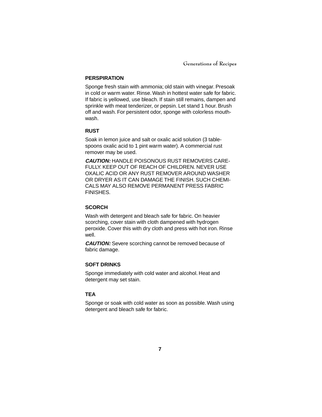#### **PERSPIRATION**

Sponge fresh stain with ammonia; old stain with vinegar. Presoak in cold or warm water. Rinse. Wash in hottest water safe for fabric. If fabric is yellowed, use bleach. If stain still remains, dampen and sprinkle with meat tenderizer, or pepsin. Let stand 1 hour. Brush off and wash. For persistent odor, sponge with colorless mouthwash.

#### **RUST**

Soak in lemon juice and salt or oxalic acid solution (3 tablespoons oxalic acid to 1 pint warm water). A commercial rust remover may be used.

**CAUTION:** HANDLE POISONOUS RUST REMOVERS CARE-FULLY. KEEP OUT OF REACH OF CHILDREN. NEVER USE OXALIC ACID OR ANY RUST REMOVER AROUND WASHER OR DRYER AS IT CAN DAMAGE THE FINISH. SUCH CHEMI-CALS MAY ALSO REMOVE PERMANENT PRESS FABRIC FINISHES.

#### **SCORCH**

Wash with detergent and bleach safe for fabric. On heavier scorching, cover stain with cloth dampened with hydrogen peroxide. Cover this with dry cloth and press with hot iron. Rinse well.

**CAUTION:** Severe scorching cannot be removed because of fabric damage.

#### **SOFT DRINKS**

Sponge immediately with cold water and alcohol. Heat and detergent may set stain.

#### **TEA**

Sponge or soak with cold water as soon as possible. Wash using detergent and bleach safe for fabric.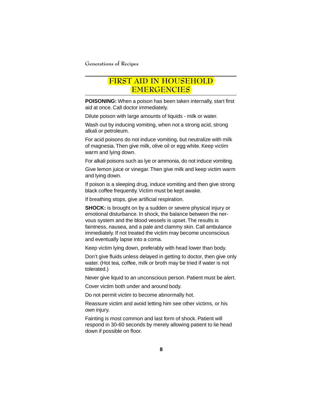### FIRST AID IN HOUSEHOLD EMERGENCIES

**POISONING:** When a poison has been taken internally, start first aid at once. Call doctor immediately.

Dilute poison with large amounts of liquids - milk or water.

Wash out by inducing vomiting, when not a strong acid, strong alkali or petroleum.

For acid poisons do not induce vomiting, but neutralize with milk of magnesia. Then give milk, olive oil or egg white. Keep victim warm and lying down.

For alkali poisons such as lye or ammonia, do not induce vomiting.

Give lemon juice or vinegar. Then give milk and keep victim warm and lying down.

If poison is a sleeping drug, induce vomiting and then give strong black coffee frequently. Victim must be kept awake.

If breathing stops, give artificial respiration.

**SHOCK:** is brought on by a sudden or severe physical injury or emotional disturbance. In shock, the balance between the nervous system and the blood vessels is upset. The results is faintness, nausea, and a pale and clammy skin. Call ambulance immediately. If not treated the victim may become unconscious and eventually lapse into a coma.

Keep victim lying down, preferably with head lower than body.

Don't give fluids unless delayed in getting to doctor, then give only water. (Hot tea, coffee, milk or broth may be tried if water is not tolerated.)

Never give liquid to an unconscious person. Patient must be alert.

Cover victim both under and around body.

Do not permit victim to become abnormally hot.

Reassure victim and avoid letting him see other victims, or his own injury.

Fainting is most common and last form of shock. Patient will respond in 30-60 seconds by merely allowing patient to lie head down if possible on floor.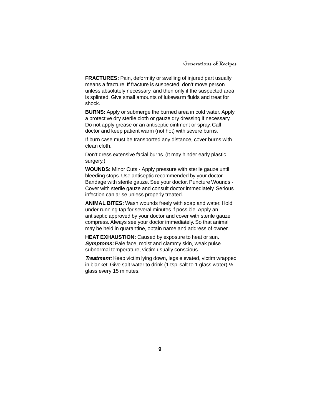**FRACTURES:** Pain, deformity or swelling of injured part usually means a fracture. If fracture is suspected, don't move person unless absolutely necessary, and then only if the suspected area is splinted. Give small amounts of lukewarm fluids and treat for shock.

**BURNS:** Apply or submerge the burned area in cold water. Apply a protective dry sterile cloth or gauze dry dressing if necessary. Do not apply grease or an antiseptic ointment or spray. Call doctor and keep patient warm (not hot) with severe burns.

If burn case must be transported any distance, cover burns with clean cloth.

Don't dress extensive facial burns. (It may hinder early plastic surgery.)

**WOUNDS:** Minor Cuts - Apply pressure with sterile gauze until bleeding stops. Use antiseptic recommended by your doctor. Bandage with sterile gauze. See your doctor. Puncture Wounds - Cover with sterile gauze and consult doctor immediately. Serious infection can arise unless properly treated.

**ANIMAL BITES:** Wash wounds freely with soap and water. Hold under running tap for several minutes if possible. Apply an antiseptic approved by your doctor and cover with sterile gauze compress. Always see your doctor immediately. So that animal may be held in quarantine, obtain name and address of owner.

**HEAT EXHAUSTION:** Caused by exposure to heat or sun. **Symptoms:** Pale face, moist and clammy skin, weak pulse subnormal temperature, victim usually conscious.

**Treatment:** Keep victim lying down, legs elevated, victim wrapped in blanket. Give salt water to drink (1 tsp. salt to 1 glass water)  $\frac{1}{2}$ glass every 15 minutes.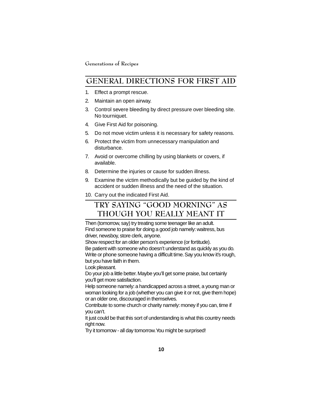### GENERAL DIRECTIONS FOR FIRST AID

- 1. Effect a prompt rescue.
- 2. Maintain an open airway.
- 3. Control severe bleeding by direct pressure over bleeding site. No tourniquet.
- 4. Give First Aid for poisoning.
- 5. Do not move victim unless it is necessary for safety reasons.
- 6. Protect the victim from unnecessary manipulation and disturbance.
- 7. Avoid or overcome chilling by using blankets or covers, if available.
- 8. Determine the injuries or cause for sudden illness.
- 9. Examine the victim methodically but be guided by the kind of accident or sudden illness and the need of the situation.
- 10. Carry out the indicated First Aid.

### TRY SAYING "GOOD MORNING" AS THOUGH YOU REALLY MEANT IT

Then (tomorrow, say) try treating some teenager like an adult. Find someone to praise for doing a good job namely: waitress, bus driver, newsboy, store clerk, anyone.

Show respect for an older person's experience (or fortitude). Be patient with someone who doesn't understand as quickly as you do. Write or phone someone having a difficult time. Say you know it's rough, but you have faith in them.

Look pleasant.

Do your job a little better. Maybe you'll get some praise, but certainly you'll get more satisfaction.

Help someone namely: a handicapped across a street, a young man or woman looking for a job (whether you can give it or not, give them hope) or an older one, discouraged in themselves.

Contribute to some church or charity namely: money if you can, time if you can't.

It just could be that this sort of understanding is what this country needs right now.

Try it tomorrow - all day tomorrow. You might be surprised!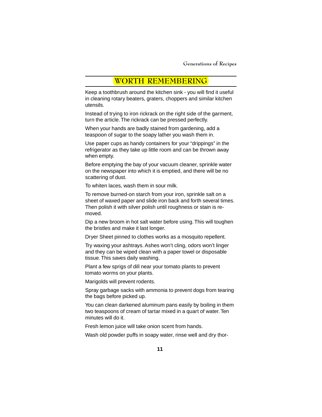### WORTH REMEMBERING

Keep a toothbrush around the kitchen sink - you will find it useful in cleaning rotary beaters, graters, choppers and similar kitchen utensils.

Instead of trying to iron rickrack on the right side of the garment, turn the article. The rickrack can be pressed perfectly.

When your hands are badly stained from gardening, add a teaspoon of sugar to the soapy lather you wash them in.

Use paper cups as handy containers for your "drippings" in the refrigerator as they take up little room and can be thrown away when empty.

Before emptying the bay of your vacuum cleaner, sprinkle water on the newspaper into which it is emptied, and there will be no scattering of dust.

To whiten laces, wash them in sour milk.

To remove burned-on starch from your iron, sprinkle salt on a sheet of waxed paper and slide iron back and forth several times. Then polish it with silver polish until roughness or stain is removed.

Dip a new broom in hot salt water before using. This will toughen the bristles and make it last longer.

Dryer Sheet pinned to clothes works as a mosquito repellent.

Try waxing your ashtrays. Ashes won't cling, odors won't linger and they can be wiped clean with a paper towel or disposable tissue. This saves daily washing.

Plant a few sprigs of dill near your tomato plants to prevent tomato worms on your plants.

Marigolds will prevent rodents.

Spray garbage sacks with ammonia to prevent dogs from tearing the bags before picked up.

You can clean darkened aluminum pans easily by boiling in them two teaspoons of cream of tartar mixed in a quart of water. Ten minutes will do it.

Fresh lemon juice will take onion scent from hands.

Wash old powder puffs in soapy water, rinse well and dry thor-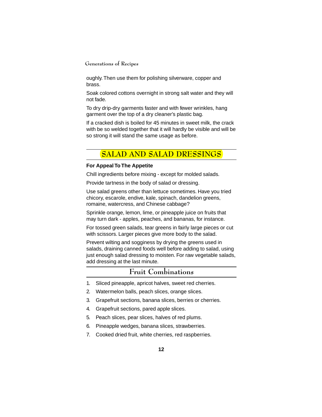oughly. Then use them for polishing silverware, copper and brass.

Soak colored cottons overnight in strong salt water and they will not fade.

To dry drip-dry garments faster and with fewer wrinkles, hang garment over the top of a dry cleaner's plastic bag.

If a cracked dish is boiled for 45 minutes in sweet milk, the crack with be so welded together that it will hardly be visible and will be so strong it will stand the same usage as before.

### SALAD AND SALAD DRESSINGS

#### **For Appeal To The Appetite**

Chill ingredients before mixing - except for molded salads.

Provide tartness in the body of salad or dressing.

Use salad greens other than lettuce sometimes. Have you tried chicory, escarole, endive, kale, spinach, dandelion greens, romaine, watercress, and Chinese cabbage?

Sprinkle orange, lemon, lime, or pineapple juice on fruits that may turn dark - apples, peaches, and bananas, for instance.

For tossed green salads, tear greens in fairly large pieces or cut with scissors. Larger pieces give more body to the salad.

Prevent wilting and sogginess by drying the greens used in salads, draining canned foods well before adding to salad, using just enough salad dressing to moisten. For raw vegetable salads, add dressing at the last minute.

#### Fruit Combinations

- 1. Sliced pineapple, apricot halves, sweet red cherries.
- 2. Watermelon balls, peach slices, orange slices.
- 3. Grapefruit sections, banana slices, berries or cherries.
- 4. Grapefruit sections, pared apple slices.
- 5. Peach slices, pear slices, halves of red plums.
- 6. Pineapple wedges, banana slices, strawberries.
- 7. Cooked dried fruit, white cherries, red raspberries.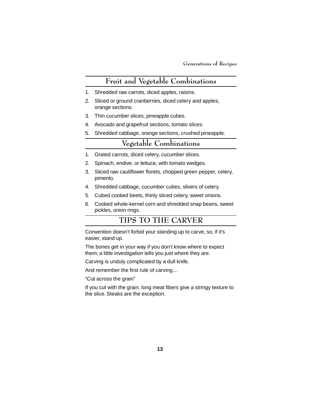### Fruit and Vegetable Combinations

- 1. Shredded raw carrots, diced apples, raisins.
- 2. Sliced or ground cranberries, diced celery and apples, orange sections.
- 3. Thin cucumber slices, pineapple cubes.
- 4. Avocado and grapefruit sections, tomato slices.
- 5. Shredded cabbage, orange sections, crushed pineapple.

### Vegetable Combinations

- 1. Grated carrots, diced celery, cucumber slices.
- 2. Spinach, endive, or lettuce, with tomato wedges.
- 3. Sliced raw cauliflower florets, chopped green pepper, celery, pimento.
- 4. Shredded cabbage, cucumber cubes, slivers of celery.
- 5. Cubed cooked beets, thinly sliced celery, sweet onions.
- 6. Cooked whole-kernel corn and shredded snap beans, sweet pickles, onion rings.

### TIPS TO THE CARVER

Convention doesn't forbid your standing up to carve, so, if it's easier, stand up.

The bones get in your way if you don't know where to expect them; a little investigation tells you just where they are.

Carving is unduly complicated by a dull knife.

And remember the first rule of carving...

"Cut across the grain"

If you cut with the grain, long meat fibers give a stringy texture to the slice. Steaks are the exception.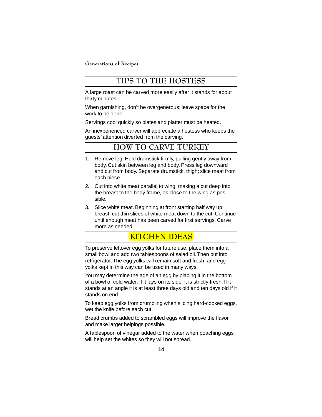### TIPS TO THE HOSTESS

A large roast can be carved more easily after it stands for about thirty minutes.

When garnishing, don't be overgenerous; leave space for the work to be done.

Servings cool quickly so plates and platter must be heated.

An inexperienced carver will appreciate a hostess who keeps the guests' attention diverted from the carving.

#### HOW TO CARVE TURKEY

- 1. Remove leg; Hold drumstick firmly, pulling gently away from body. Cut skin between leg and body. Press leg downward and cut from body. Separate drumstick, thigh; slice meat from each piece.
- 2. Cut into white meat parallel to wing, making a cut deep into the breast to the body frame, as close to the wing as possible.
- 3. Slice white meat. Beginning at front starting half way up breast, cut thin slices of white meat down to the cut. Continue until enough meat has been carved for first servings. Carve more as needed.

#### KITCHEN IDEAS

To preserve leftover egg yolks for future use, place them into a small bowl and add two tablespoons of salad oil. Then put into refrigerator. The egg yolks will remain soft and fresh, and egg yolks kept in this way can be used in many ways.

You may determine the age of an egg by placing it in the bottom of a bowl of cold water. If it lays on its side, it is strictly fresh. If it stands at an angle it is at least three days old and ten days old if it stands on end.

To keep egg yolks from crumbling when slicing hard-cooked eggs, wet the knife before each cut.

Bread crumbs added to scrambled eggs will improve the flavor and make larger helpings possible.

A tablespoon of vinegar added to the water when poaching eggs will help set the whites so they will not spread.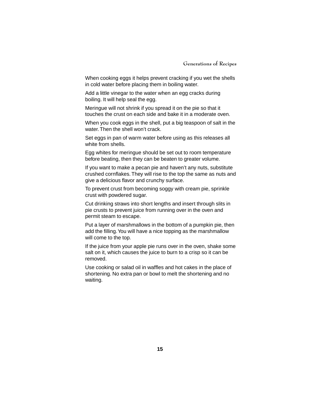When cooking eggs it helps prevent cracking if you wet the shells in cold water before placing them in boiling water.

Add a little vinegar to the water when an egg cracks during boiling. It will help seal the egg.

Meringue will not shrink if you spread it on the pie so that it touches the crust on each side and bake it in a moderate oven.

When you cook eggs in the shell, put a big teaspoon of salt in the water. Then the shell won't crack.

Set eggs in pan of warm water before using as this releases all white from shells.

Egg whites for meringue should be set out to room temperature before beating, then they can be beaten to greater volume.

If you want to make a pecan pie and haven't any nuts, substitute crushed cornflakes. They will rise to the top the same as nuts and give a delicious flavor and crunchy surface.

To prevent crust from becoming soggy with cream pie, sprinkle crust with powdered sugar.

Cut drinking straws into short lengths and insert through slits in pie crusts to prevent juice from running over in the oven and permit steam to escape.

Put a layer of marshmallows in the bottom of a pumpkin pie, then add the filling. You will have a nice topping as the marshmallow will come to the top.

If the juice from your apple pie runs over in the oven, shake some salt on it, which causes the juice to burn to a crisp so it can be removed.

Use cooking or salad oil in waffles and hot cakes in the place of shortening. No extra pan or bowl to melt the shortening and no waiting.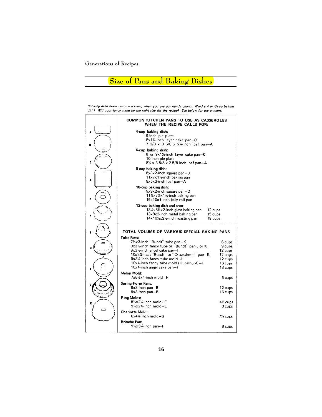### Size of Pans and Baking Dishes

Cooking need never become a crisis, when you use our handy charts. Need a 4 or 6-cup baking<br>dish? Will your fancy mold be the right size for the recipe? See below for the answers.

|          | COMMON KITCHEN PANS TO USE AS CASSEROLES<br>WHEN THE RECIPE CALLS FOR:                                                                                                                                                                                                                       |                                                                         |
|----------|----------------------------------------------------------------------------------------------------------------------------------------------------------------------------------------------------------------------------------------------------------------------------------------------|-------------------------------------------------------------------------|
|          | 4-cup baking dish:<br>9-inch pie plate<br>8x1¼-inch layer cake pan-C<br>7 3/8 x 3 5/8 x 21/4-inch loaf pan-A                                                                                                                                                                                 |                                                                         |
| c        | 6-cup baking dish:<br>8 or 9x11/2-inch layer cake pan-C<br>10-inch pie plate<br>$8\frac{1}{2} \times 35\frac{1}{8} \times 25\frac{1}{8}$ inch loaf pan- $A$                                                                                                                                  |                                                                         |
| D        | 8-cup baking dish:<br>$8x8x2$ -inch square pan-D<br>11x7x1½-inch baking pan<br>9x5x3-inch loaf pan-A                                                                                                                                                                                         |                                                                         |
| E        | 10-cup baking dish:<br>9x9x2-inch square pan-D<br>11%x7%x1%-inch baking pan<br>15x10x1-inch jelly-roll pan                                                                                                                                                                                   |                                                                         |
|          | 12-cup baking dish and over:<br>131/2x81/2x2-inch glass baking pan<br>13x9x2-inch metal baking pan<br>14x101/2x21/2-inch roasting pan                                                                                                                                                        | 12 cups<br>15 cups<br>19 cups                                           |
|          | TOTAL VOLUME OF VARIOUS SPECIAL BAKING PANS<br><b>Tube Pans:</b>                                                                                                                                                                                                                             |                                                                         |
| н<br>1   | 71/2x3-inch "Bundt" tube pan-K<br>9x31/ <sub>2</sub> -inch fancy tube or "Bundt" pan J or K<br>9x3½-inch angel cake pan-I<br>10x3%-inch "Bundt" or "Crownburst" pan-K<br>9x31/ <sub>2</sub> -inch fancy tube mold-J<br>10x4-inch fancy tube mold (Kugelhupf)-J<br>10x4-inch angel cake pan-I | 6 cups<br>9 cups<br>12 cups<br>12 cups<br>12 cups<br>16 cups<br>18 cups |
|          | Melon Mold:<br>$7x5\frac{1}{2}x4$ -inch mold $-H$                                                                                                                                                                                                                                            | 6 cups                                                                  |
|          | Spring-Form Pans:<br>$8x3$ -inch pan $-B$<br>$9x3$ -inch pan- $B$                                                                                                                                                                                                                            | 12 cups<br>16 cups                                                      |
| $\Omega$ | <b>Ring Molds:</b><br>$8\frac{1}{2} \times 2\frac{1}{4}$ -inch mold-E<br>$9\frac{1}{4} \times 2\frac{3}{4}$ -inch mold-E                                                                                                                                                                     | 4 <sup>1</sup> / <sub>2</sub> cups<br>8 cups                            |
|          | <b>Charlotte Mold:</b><br>$6x4$ <sup>2</sup> inch mold $-G$                                                                                                                                                                                                                                  | 7½ cups                                                                 |
|          | <b>Brioche Pan:</b><br>$9\frac{1}{2} \times 3\frac{1}{4}$ -inch pan-F                                                                                                                                                                                                                        | 8 cups                                                                  |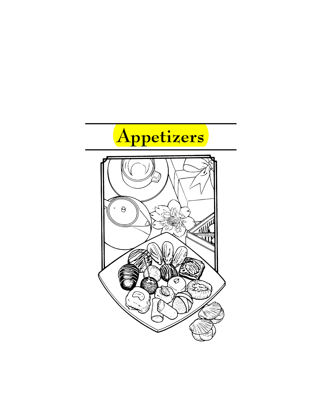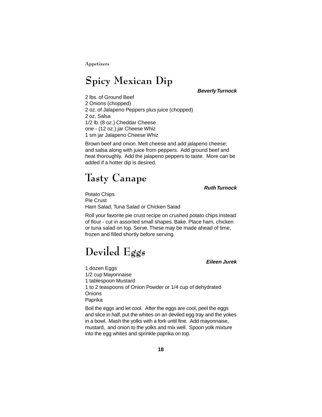### Spicy Mexican Dip

**Beverly Turnock**

2 lbs. of Ground Beef 2 Onions (chopped) 2 oz. of Jalapeno Peppers plus juice (chopped) 2 oz. Salsa 1/2 lb. (8 oz.) Cheddar Cheese one - (12 oz.) jar Cheese Whiz 1 sm jar Jalapeno Cheese Whiz

Brown beef and onion. Melt cheese and add jalapeno cheese; and salsa along with juice from peppers. Add ground beef and heat thoroughly. Add the jalapeno peppers to taste. More can be added if a hotter dip is desired.

### Tasty Canape

**Ruth Turnock**

Potato Chips Pie Crust Ham Salad, Tuna Salad or Chicken Salad

Roll your favorite pie crust recipe on crushed potato chips instead of flour - cut in assorted small shapes. Bake. Place ham, chicken or tuna salad on top. Serve. These may be made ahead of time, frozen and filled shortly before serving.

# Deviled Eggs

**Eileen Jurek**

1 dozen Eggs 1/2 cup Mayonnaise 1 tablespoon Mustard 1 to 2 teaspoons of Onion Powder or 1/4 cup of dehydrated **Onions** Paprika

Boil the eggs and let cool. After the eggs are cool, peel the eggs and slice in half, put the whites on an deviled egg tray and the yokes in a bowl. Mash the yolks with a fork until fine. Add mayonnaise, mustard, and onion to the yolks and mix well. Spoon yolk mixture into the egg whites and sprinkle paprika on top.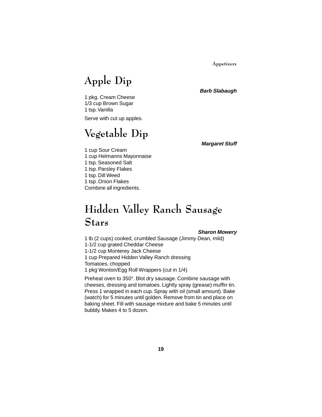# Apple Dip

**Barb Slabaugh**

**Margaret Stuff**

1 pkg. Cream Cheese 1/3 cup Brown Sugar 1 tsp. Vanilla Serve with cut up apples.

### Vegetable Dip

1 cup Sour Cream 1 cup Helmanns Mayonnaise 1 tsp. Seasoned Salt 1 tsp. Parsley Flakes 1 tsp. Dill Weed 1 tsp. Onion Flakes Combine all ingredients.

### Hidden Valley Ranch Sausage Stars

#### **Sharon Mowery**

1 lb (2 cups) cooked, crumbled Sausage (Jimmy Dean, mild) 1-1/2 cup grated Cheddar Cheese 1-1/2 cup Monterey Jack Cheese 1 cup Prepared Hidden Valley Ranch dressing Tomatoes, chopped 1 pkg Wonton/Egg Roll Wrappers (cut in 1/4)

Preheat oven to 350°. Blot dry sausage. Combine sausage with cheeses, dressing and tomatoes. Lightly spray (grease) muffin tin. Press 1 wrapped in each cup. Spray with oil (small amount). Bake (watch) for 5 minutes until golden. Remove from tin and place on baking sheet. Fill with sausage mixture and bake 5 minutes until bubbly. Makes 4 to 5 dozen.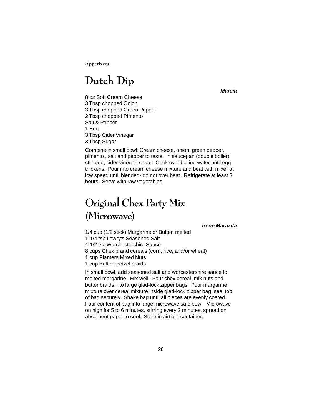# Dutch Dip

**Marcia**

8 oz Soft Cream Cheese 3 Tbsp chopped Onion 3 Tbsp chopped Green Pepper 2 Tbsp chopped Pimento Salt & Pepper 1 Egg 3 Tbsp Cider Vinegar 3 Tbsp Sugar

Combine in small bowl: Cream cheese, onion, green pepper, pimento , salt and pepper to taste. In saucepan (double boiler) stir: egg, cider vinegar, sugar. Cook over boiling water until egg thickens. Pour into cream cheese mixture and beat with mixer at low speed until blended- do not over beat. Refrigerate at least 3 hours. Serve with raw vegetables.

# Original Chex Party Mix (Microwave)

**Irene Marazita**

1/4 cup (1/2 stick) Margarine or Butter, melted

1-1/4 tsp Lawry's Seasoned Salt

4-1/2 tsp Worchestershire Sauce

8 cups Chex brand cereals (corn, rice, and/or wheat)

1 cup Planters Mixed Nuts

1 cup Butter pretzel braids

In small bowl, add seasoned salt and worcestershire sauce to melted margarine. Mix well. Pour chex cereal, mix nuts and butter braids into large glad-lock zipper bags. Pour margarine mixture over cereal mixture inside glad-lock zipper bag, seal top of bag securely. Shake bag until all pieces are evenly coated. Pour content of bag into large microwave safe bowl. Microwave on high for 5 to 6 minutes, stirring every 2 minutes, spread on absorbent paper to cool. Store in airtight container.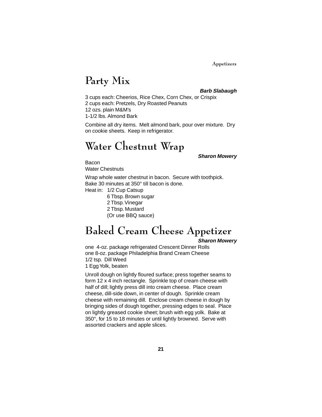### Party Mix

#### **Barb Slabaugh**

3 cups each: Cheerios, Rice Chex, Corn Chex, or Crispix 2 cups each: Pretzels, Dry Roasted Peanuts 12 ozs. plain M&M's 1-1/2 lbs. Almond Bark

Combine all dry items. Melt almond bark, pour over mixture. Dry on cookie sheets. Keep in refrigerator.

### Water Chestnut Wrap

**Sharon Mowery**

Bacon Water Chestnuts

Wrap whole water chestnut in bacon. Secure with toothpick. Bake 30 minutes at 350° till bacon is done.

Heat in: 1/2 Cup Catsup

6 Tbsp. Brown sugar 2 Tbsp. Vinegar 2 Tbsp. Mustard (Or use BBQ sauce)

# Baked Cream Cheese Appetizer

**Sharon Mowery**

one 4-oz. package refrigerated Crescent Dinner Rolls one 8-oz. package Philadelphia Brand Cream Cheese 1/2 tsp. Dill Weed 1 Egg Yolk, beaten

Unroll dough on lightly floured surface; press together seams to form 12 x 4 inch rectangle. Sprinkle top of cream cheese with half of dill; lightly press dill into cream cheese. Place cream cheese, dill-side down, in center of dough. Sprinkle cream cheese with remaining dill. Enclose cream cheese in dough by bringing sides of dough together, pressing edges to seal. Place on lightly greased cookie sheet; brush with egg yolk. Bake at 350°, for 15 to 18 minutes or until lightly browned. Serve with assorted crackers and apple slices.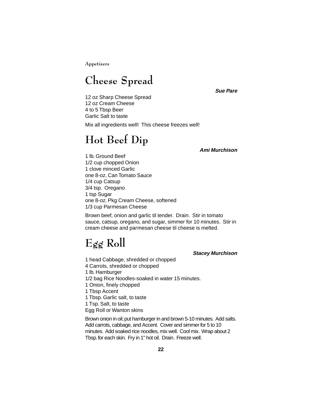### Cheese Spread

**Sue Pare**

12 oz Sharp Cheese Spread 12 oz Cream Cheese 4 to 5 Tbsp Beer Garlic Salt to taste Mix all ingredients well! This cheese freezes well!

### Hot Beef Dip

**Ami Murchison**

1 lb. Ground Beef 1/2 cup chopped Onion 1 clove minced Garlic one 8-oz. Can Tomato Sauce 1/4 cup Catsup 3/4 tsp. Oregano 1 tsp Sugar one 8-oz. Pkg Cream Cheese, softened 1/3 cup Parmesan Cheese

Brown beef, onion and garlic til tender. Drain. Stir in tomato sauce, catsup, oregano, and sugar, simmer for 10 minutes. Stir in cream cheese and parmesan cheese til cheese is melted.

# Egg Roll

**Stacey Murchison**

1 head Cabbage, shredded or chopped 4 Carrots, shredded or chopped 1 lb. Hamburger 1/2 bag Rice Noodles-soaked in water 15 minutes. 1 Onion, finely chopped 1 Tbsp Accent 1 Tbsp. Garlic salt, to taste 1 Tsp. Salt, to taste Egg Roll or Wanton skins

Brown onion in oil; put hamburger in and brown 5-10 minutes. Add salts. Add carrots, cabbage, and Accent. Cover and simmer for 5 to 10 minutes. Add soaked rice noodles, mix well. Cool mix. Wrap about 2 Tbsp. for each skin. Fry in 1" hot oil. Drain. Freeze well.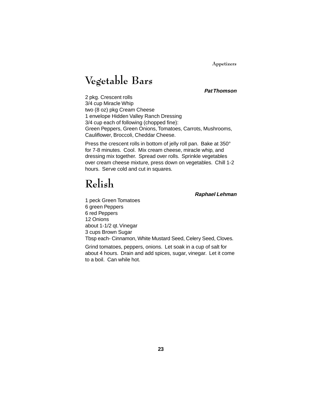### Vegetable Bars

**Pat Thomson**

2 pkg. Crescent rolls 3/4 cup Miracle Whip two (8 oz) pkg Cream Cheese 1 envelope Hidden Valley Ranch Dressing 3/4 cup each of following (chopped fine): Green Peppers, Green Onions, Tomatoes, Carrots, Mushrooms, Cauliflower, Broccoli, Cheddar Cheese.

Press the crescent rolls in bottom of jelly roll pan. Bake at 350° for 7-8 minutes. Cool. Mix cream cheese, miracle whip, and dressing mix together. Spread over rolls. Sprinkle vegetables over cream cheese mixture, press down on vegetables. Chill 1-2 hours. Serve cold and cut in squares.

# Relish

**Raphael Lehman**

1 peck Green Tomatoes 6 green Peppers 6 red Peppers 12 Onions about 1-1/2 qt. Vinegar 3 cups Brown Sugar Tbsp each- Cinnamon, White Mustard Seed, Celery Seed, Cloves.

Grind tomatoes, peppers, onions. Let soak in a cup of salt for about 4 hours. Drain and add spices, sugar, vinegar. Let it come to a boil. Can while hot.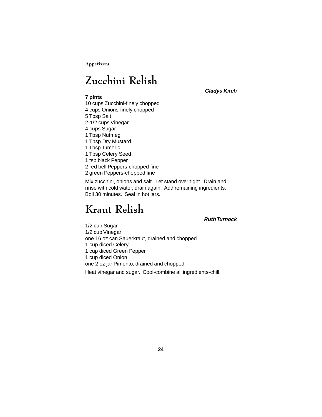# Zucchini Relish

**Gladys Kirch**

**7 pints** 10 cups Zucchini-finely chopped 4 cups Onions-finely chopped 5 Tbsp Salt 2-1/2 cups Vinegar 4 cups Sugar 1 Tbsp Nutmeg 1 Tbsp Dry Mustard 1 Tbsp Tumeric 1 Tbsp Celery Seed 1 tsp black Pepper 2 red bell Peppers-chopped fine

2 green Peppers-chopped fine

Mix zucchini, onions and salt. Let stand overnight. Drain and rinse with cold water, drain again. Add remaining ingredients. Boil 30 minutes. Seal in hot jars.

### Kraut Relish

**Ruth Turnock**

1/2 cup Sugar 1/2 cup Vinegar one 16 oz can Sauerkraut, drained and chopped 1 cup diced Celery 1 cup diced Green Pepper 1 cup diced Onion one 2 oz jar Pimento, drained and chopped

Heat vinegar and sugar. Cool-combine all ingredients-chill.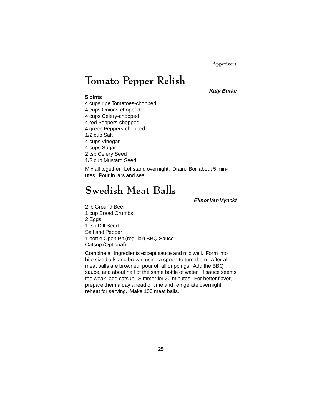### Tomato Pepper Relish

**Katy Burke**

### **5 pints**

4 cups ripe Tomatoes-chopped 4 cups Onions-chopped 4 cups Celery-chopped 4 red Peppers-chopped 4 green Peppers-chopped 1/2 cup Salt 4 cups Vinegar 4 cups Sugar 2 tsp Celery Seed 1/3 cup Mustard Seed

Mix all together. Let stand overnight. Drain. Boil about 5 minutes. Pour in jars and seal.

### Swedish Meat Balls

**Elinor Van Vynckt**

2 lb Ground Beef 1 cup Bread Crumbs 2 Eggs 1 tsp Dill Seed Salt and Pepper 1 bottle Open Pit (regular) BBQ Sauce Catsup (Optional)

Combine all ingredients except sauce and mix well. Form into bite size balls and brown, using a spoon to turn them. After all meat balls are browned, pour off all drippings. Add the BBQ sauce, and about half of the same bottle of water. If sauce seems too weak, add catsup. Simmer for 20 minutes. For better flavor, prepare them a day ahead of time and refrigerate overnight, reheat for serving. Make 100 meat balls.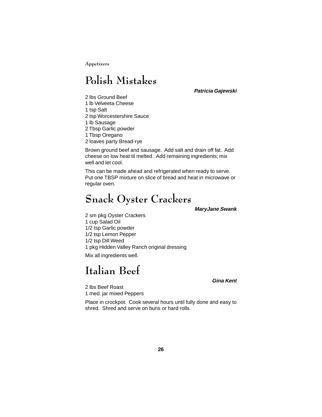# Polish Mistakes

**Patricia Gajewski**

2 lbs Ground Beef

- 1 lb Velveeta Cheese
- 1 tsp Salt
- 2 tsp Worcestershire Sauce
- 1 lb Sausage
- 2 Tbsp Garlic powder
- 1 Tbsp Oregano
- 2 loaves party Bread-rye

Brown ground beef and sausage. Add salt and drain off fat. Add cheese on low heat til melted. Add remaining ingredients; mix well and let cool.

This can be made ahead and refrigerated when ready to serve. Put one TBSP mixture on slice of bread and heat in microwave or regular oven.

### Snack Oyster Crackers

**MaryJane Swank**

2 sm pkg Oyster Crackers 1 cup Salad Oil 1/2 tsp Garlic powder 1/2 tsp Lemon Pepper 1/2 tsp Dill Weed 1 pkg Hidden Valley Ranch original dressing

Mix all ingredients well.

### Italian Beef

**Gina Kent**

2 lbs Beef Roast 1 med. jar mixed Peppers

Place in crockpot. Cook several hours until fully done and easy to shred. Shred and serve on buns or hard rolls.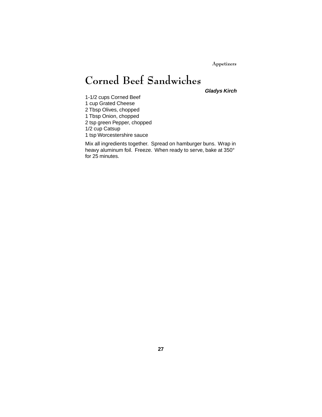# Corned Beef Sandwiches

**Gladys Kirch**

1-1/2 cups Corned Beef 1 cup Grated Cheese 2 Tbsp Olives, chopped 1 Tbsp Onion, chopped 2 tsp green Pepper, chopped 1/2 cup Catsup 1 tsp Worcestershire sauce

Mix all ingredients together. Spread on hamburger buns. Wrap in heavy aluminum foil. Freeze. When ready to serve, bake at 350° for 25 minutes.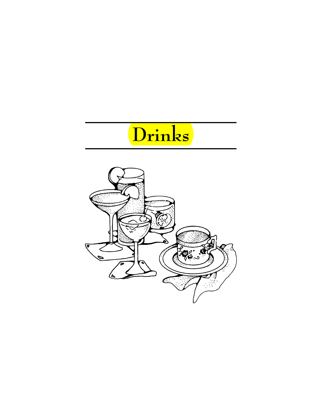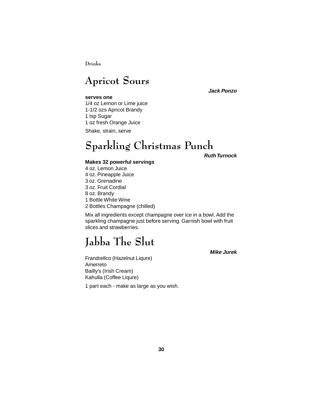### Apricot Sours

**Jack Ponzo**

#### **serves one**

1/4 oz Lemon or Lime juice 1-1/2 ozs Apricot Brandy 1 tsp Sugar 1 oz fresh Orange Juice Shake, strain, serve

# Sparkling Christmas Punch

#### **Ruth Turnock**

#### **Makes 32 powerful servings**

4 oz. Lemon Juice 4 oz. Pineapple Juice 3 oz. Grenadine 3 oz. Fruit Cordial 8 oz. Brandy 1 Bottle White Wine 2 Bottles Champagne (chilled)

Mix all ingredients except champagne over ice in a bowl. Add the sparkling champagne just before serving. Garnish bowl with fruit slices and strawberries.

# Jabba The Slut

**Mike Jurek**

Frandrellco (Hazelnut Liqure) Amerreto Bailly's (Irish Cream) Kahulla (Coffee Liqure)

1 part each - make as large as you wish.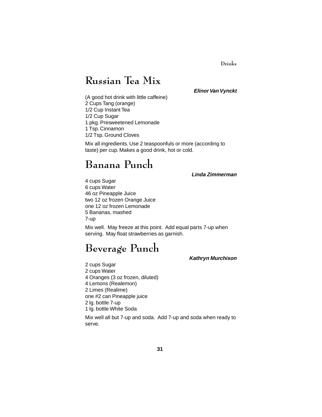### Russian Tea Mix

**Elinor Van Vynckt**

(A good hot drink with little caffeine) 2 Cups Tang (orange) 1/2 Cup Instant Tea 1/2 Cup Sugar 1 pkg. Presweetened Lemonade 1 Tsp. Cinnamon 1/2 Tsp. Ground Cloves

Mix all ingredients. Use 2 teaspoonfuls or more (according to taste) per cup. Makes a good drink, hot or cold.

### Banana Punch

**Linda Zimmerman**

4 cups Sugar 6 cups Water 46 oz Pineapple Juice two 12 oz frozen Orange Juice one 12 oz frozen Lemonade 5 Bananas, mashed 7-up

Mix well. May freeze at this point. Add equal parts 7-up when serving. May float strawberries as garnish.

### Beverage Punch

**Kathryn Murchison**

2 cups Sugar 2 cups Water 4 Oranges (3 oz frozen, diluted) 4 Lemons (Realemon) 2 Limes (Realime) one #2 can Pineapple juice 2 lg. bottle 7-up 1 lg. bottle White Soda

Mix well all but 7-up and soda. Add 7-up and soda when ready to serve.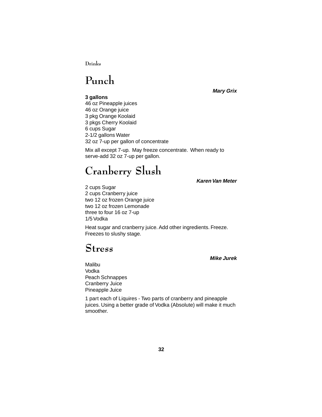# Punch

**Mary Grix**

**3 gallons** 46 oz Pineapple juices 46 oz Orange juice 3 pkg Orange Koolaid 3 pkgs Cherry Koolaid 6 cups Sugar 2-1/2 gallons Water 32 oz 7-up per gallon of concentrate

Mix all except 7-up. May freeze concentrate. When ready to serve-add 32 oz 7-up per gallon.

# Cranberry Slush

**Karen Van Meter**

2 cups Sugar 2 cups Cranberry juice two 12 oz frozen Orange juice two 12 oz frozen Lemonade three to four 16 oz 7-up 1/5 Vodka

Heat sugar and cranberry juice. Add other ingredients. Freeze. Freezes to slushy stage.

### Stress

**Mike Jurek**

Malibu Vodka Peach Schnappes Cranberry Juice Pineapple Juice

1 part each of Liquires - Two parts of cranberry and pineapple juices. Using a better grade of Vodka (Absolute) will make it much smoother.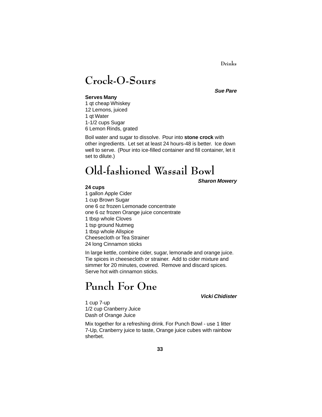# Crock-O-Sours

**Sue Pare**

#### **Serves Many**

1 qt cheap Whiskey 12 Lemons, juiced 1 qt Water 1-1/2 cups Sugar 6 Lemon Rinds, grated

Boil water and sugar to dissolve. Pour into **stone crock** with other ingredients. Let set at least 24 hours-48 is better. Ice down well to serve. (Pour into ice-filled container and fill container, let it set to dilute.)

# Old-fashioned Wassail Bowl

**Sharon Mowery**

#### **24 cups**

1 gallon Apple Cider 1 cup Brown Sugar one 6 oz frozen Lemonade concentrate one 6 oz frozen Orange juice concentrate 1 tbsp whole Cloves 1 tsp ground Nutmeg 1 tbsp whole Allspice Cheesecloth or Tea Strainer 24 long Cinnamon sticks

In large kettle, combine cider, sugar, lemonade and orange juice. Tie spices in cheesecloth or strainer. Add to cider mixture and simmer for 20 minutes, covered. Remove and discard spices. Serve hot with cinnamon sticks.

### Punch For One

**Vicki Chidister**

1 cup 7-up 1/2 cup Cranberry Juice Dash of Orange Juice

Mix together for a refreshing drink. For Punch Bowl - use 1 litter 7-Up, Cranberry juice to taste, Orange juice cubes with rainbow sherbet.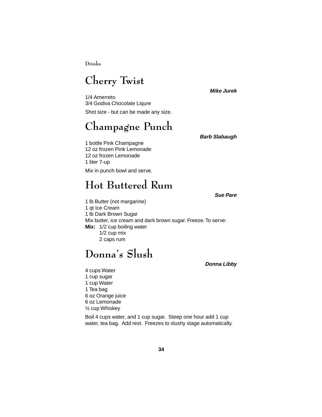# Cherry Twist

**Mike Jurek**

1/4 Amerreto 3/4 Godiva Chocolate Liqure Shot size - but can be made any size.

### Champagne Punch

**Barb Slabaugh**

1 bottle Pink Champagne 12 oz frozen Pink Lemonade 12 oz frozen Lemonade 1 liter 7-up Mix in punch bowl and serve.

# Hot Buttered Rum

**Sue Pare**

1 lb Butter (not margarine) 1 qt Ice Cream 1 lb Dark Brown Sugar Mix butter, ice cream and dark brown sugar. Freeze. To serve: **Mix:** 1/2 cup boiling water 1/2 cup mix 2 caps rum

# Donna's Slush

**Donna Libby**

4 cups Water 1 cup sugar 1 cup Water 1 Tea bag 6 oz Orange juice 6 oz Lemonade ½ cup Whiskey

Boil 4 cups water, and 1 cup sugar. Steep one hour add 1 cup water, tea bag. Add rest. Freezes to slushy stage automatically.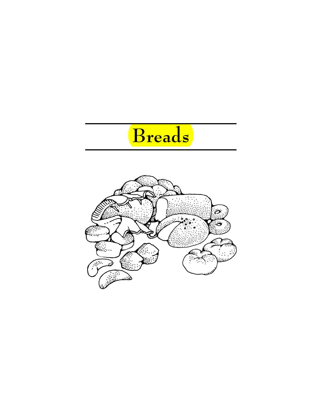

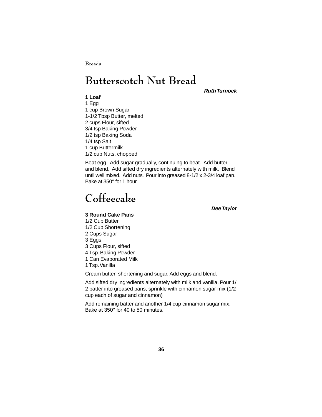## Butterscotch Nut Bread

**Ruth Turnock**

**1 Loaf** 1 Egg 1 cup Brown Sugar 1-1/2 Tbsp Butter, melted 2 cups Flour, sifted 3/4 tsp Baking Powder 1/2 tsp Baking Soda 1/4 tsp Salt 1 cup Buttermilk 1/2 cup Nuts, chopped

Beat egg. Add sugar gradually, continuing to beat. Add butter and blend. Add sifted dry ingredients alternately with milk. Blend until well mixed. Add nuts. Pour into greased 8-1/2 x 2-3/4 loaf pan. Bake at 350° for 1 hour

# Coffeecake

**Dee Taylor**

- **3 Round Cake Pans** 1/2 Cup Butter 1/2 Cup Shortening 2 Cups Sugar 3 Eggs
- 3 Cups Flour, sifted
- 4 Tsp. Baking Powder 1 Can Evaporated Milk
- 
- 1 Tsp. Vanilla

Cream butter, shortening and sugar. Add eggs and blend.

Add sifted dry ingredients alternately with milk and vanilla. Pour 1/ 2 batter into greased pans, sprinkle with cinnamon sugar mix (1/2 cup each of sugar and cinnamon)

Add remaining batter and another 1/4 cup cinnamon sugar mix. Bake at 350° for 40 to 50 minutes.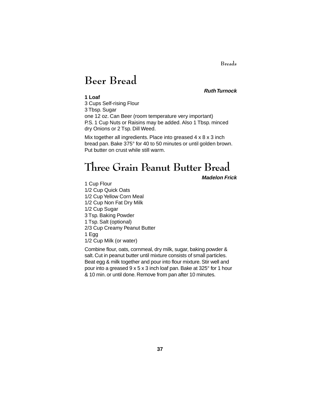### Beer Bread

#### **Ruth Turnock**

**1 Loaf** 3 Cups Self-rising Flour 3 Tbsp. Sugar one 12 oz. Can Beer (room temperature very important) P.S. 1 Cup Nuts or Raisins may be added. Also 1 Tbsp. minced dry Onions or 2 Tsp. Dill Weed.

Mix together all ingredients. Place into greased 4 x 8 x 3 inch bread pan. Bake 375° for 40 to 50 minutes or until golden brown. Put butter on crust while still warm.

### Three Grain Peanut Butter Bread

**Madelon Frick**

1 Cup Flour 1/2 Cup Quick Oats 1/2 Cup Yellow Corn Meal 1/2 Cup Non Fat Dry Milk 1/2 Cup Sugar 3 Tsp. Baking Powder 1 Tsp. Salt (optional) 2/3 Cup Creamy Peanut Butter 1 Egg 1/2 Cup Milk (or water)

Combine flour, oats, cornmeal, dry milk, sugar, baking powder & salt. Cut in peanut butter until mixture consists of small particles. Beat egg & milk together and pour into flour mixture. Stir well and pour into a greased 9 x 5 x 3 inch loaf pan. Bake at 325° for 1 hour & 10 min. or until done. Remove from pan after 10 minutes.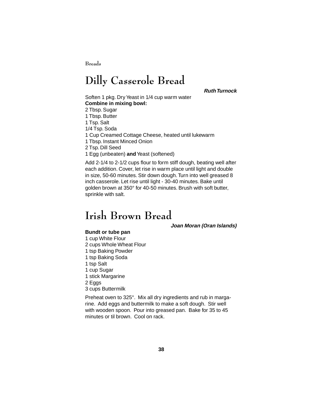## Dilly Casserole Bread

**Ruth Turnock**

Soften 1 pkg. Dry Yeast in 1/4 cup warm water **Combine in mixing bowl:** 2 Tbsp. Sugar 1 Tbsp. Butter 1 Tsp. Salt 1/4 Tsp. Soda 1 Cup Creamed Cottage Cheese, heated until lukewarm 1 Tbsp. Instant Minced Onion 2 Tsp. Dill Seed 1 Egg (unbeaten) **and** Yeast (softened)

Add 2-1/4 to 2-1/2 cups flour to form stiff dough, beating well after each addition. Cover, let rise in warm place until light and double in size, 50-60 minutes. Stir down dough. Turn into well greased 8 inch casserole. Let rise until light - 30-40 minutes. Bake until golden brown at 350° for 40-50 minutes. Brush with soft butter, sprinkle with salt.

## Irish Brown Bread

#### **Joan Moran (Oran Islands)**

#### **Bundt or tube pan**

- 1 cup White Flour
- 2 cups Whole Wheat Flour
- 1 tsp Baking Powder
- 1 tsp Baking Soda
- 1 tsp Salt
- 1 cup Sugar
- 1 stick Margarine
- 2 Eggs
- 3 cups Buttermilk

Preheat oven to 325°. Mix all dry ingredients and rub in margarine. Add eggs and buttermilk to make a soft dough. Stir well with wooden spoon. Pour into greased pan. Bake for 35 to 45 minutes or til brown. Cool on rack.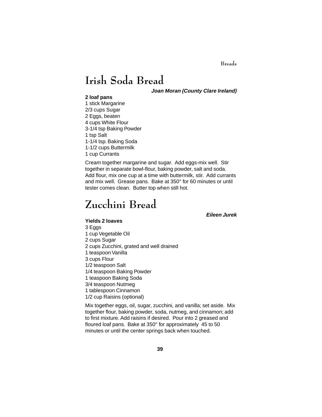## Irish Soda Bread

**Joan Moran (County Clare Ireland)**

#### **2 loaf pans**

1 stick Margarine 2/3 cups Sugar 2 Eggs, beaten 4 cups White Flour 3-1/4 tsp Baking Powder 1 tsp Salt 1-1/4 tsp. Baking Soda 1-1/2 cups Buttermilk 1 cup Currants

Cream together margarine and sugar. Add eggs-mix well. Stir together in separate bowl-flour, baking powder, salt and soda. Add flour, mix one cup at a time with buttermilk, stir. Add currants and mix well. Grease pans. Bake at 350° for 60 minutes or until tester comes clean. Butter top when still hot.

## Zucchini Bread

**Eileen Jurek**

#### **Yields 2 loaves**

3 Eggs 1 cup Vegetable Oil 2 cups Sugar 2 cups Zucchini, grated and well drained 1 teaspoon Vanilla 3 cups Flour 1/2 teaspoon Salt 1/4 teaspoon Baking Powder 1 teaspoon Baking Soda 3/4 teaspoon Nutmeg 1 tablespoon Cinnamon 1/2 cup Raisins (optional)

Mix together eggs, oil, sugar, zucchini, and vanilla; set aside. Mix together flour, baking powder, soda, nutmeg, and cinnamon; add to first mixture. Add raisins if desired. Pour into 2 greased and floured loaf pans. Bake at 350° for approximately 45 to 50 minutes or until the center springs back when touched.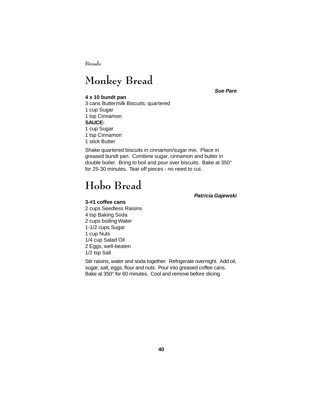### Monkey Bread

**Sue Pare**

#### **4 x 10 bundt pan**

3 cans Buttermilk Biscuits, quartered 1 cup Sugar 1 tsp Cinnamon **SAUCE:** 1 cup Sugar 1 tsp Cinnamon 1 stick Butter

Shake quartered biscuits in cinnamon/sugar mix. Place in greased bundt pan. Combine sugar, cinnamon and butter in double boiler. Bring to boil and pour over biscuits. Bake at 350° for 25-30 minutes. Tear off pieces - no need to cut.

## Hobo Bread

**Patricia Gajewski**

#### **3-#1 coffee cans**

2 cups Seedless Raisins 4 tsp Baking Soda 2 cups boiling Water 1-1/2 cups Sugar 1 cup Nuts 1/4 cup Salad Oil 2 Eggs, well-beaten 1/2 tsp Salt

Stir raisins, water and soda together. Refrigerate overnight. Add oil, sugar, salt, eggs, flour and nuts. Pour into greased coffee cans. Bake at 350° for 60 minutes. Cool and remove before slicing.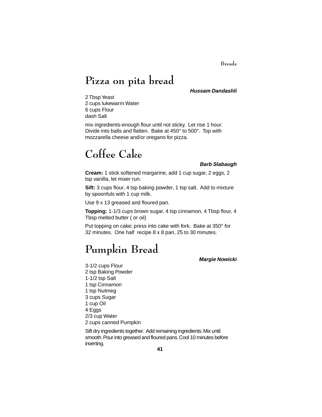### Pizza on pita bread

**Hussam Dandashli**

2 Tbsp Yeast 2 cups lukewarm Water 6 cups Flour dash Salt

mix ingredients-enough flour until not sticky. Let rise 1 hour. Divide into balls and flatten. Bake at 450° to 500°. Top with mozzarella cheese and/or oregano for pizza.

## Coffee Cake

#### **Barb Slabaugh**

**Cream:** 1 stick softened margarine, add 1 cup sugar, 2 eggs, 2 tsp vanilla, let mixer run.

**Sift:** 3 cups flour, 4 tsp baking powder, 1 tsp salt. Add to mixture by spoonfuls with 1 cup milk.

Use 9 x 13 greased and floured pan.

**Topping:** 1-1/3 cups brown sugar, 4 tsp cinnamon, 4 Tbsp flour, 4 Tbsp melted butter ( or oil)

Put topping on cake; press into cake with fork. Bake at 350° for 32 minutes. One half recipe 8 x 8 pan, 25 to 30 minutes.

### Pumpkin Bread

#### **Margie Nowicki**

3-1/2 cups Flour 2 tsp Baking Powder 1-1/2 tsp Salt 1 tsp Cinnamon 1 tsp Nutmeg 3 cups Sugar 1 cup Oil 4 Eggs 2/3 cup Water 2 cups canned Pumpkin

Sift dry ingredients together. Add remaining ingredients. Mix until smooth. Pour into greased and floured pans. Cool 10 minutes before inverting.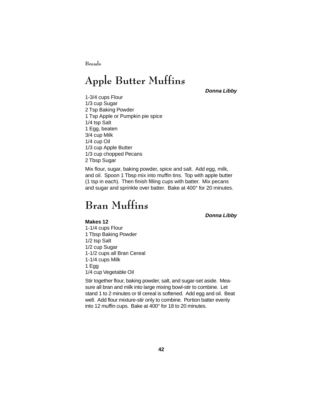## Apple Butter Muffins

**Donna Libby**

1-3/4 cups Flour 1/3 cup Sugar 2 Tsp Baking Powder 1 Tsp Apple or Pumpkin pie spice 1/4 tsp Salt 1 Egg, beaten 3/4 cup Milk 1/4 cup Oil 1/3 cup Apple Butter 1/3 cup chopped Pecans 2 Tbsp Sugar

Mix flour, sugar, baking powder, spice and salt. Add egg, milk, and oil. Spoon 1 Tbsp mix into muffin tins. Top with apple butter (1 tsp in each). Then finish filling cups with batter. Mix pecans and sugar and sprinkle over batter. Bake at 400° for 20 minutes.

## Bran Muffins

**Donna Libby**

#### **Makes 12**

1-1/4 cups Flour 1 Tbsp Baking Powder 1/2 tsp Salt 1/2 cup Sugar 1-1/2 cups all Bran Cereal 1-1/4 cups Milk 1 Egg 1/4 cup Vegetable Oil

Stir together flour, baking powder, salt, and sugar-set aside. Measure all bran and milk into large mixing bowl-stir to combine. Let stand 1 to 2 minutes or til cereal is softened. Add egg and oil. Beat well. Add flour mixture-stir only to combine. Portion batter evenly into 12 muffin cups. Bake at 400° for 18 to 20 minutes.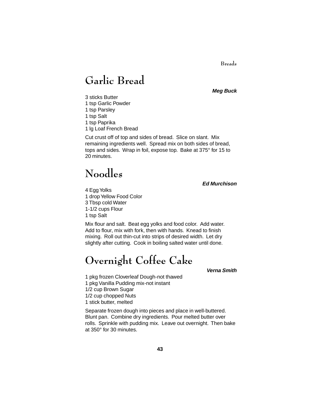## Garlic Bread

**Meg Buck**

3 sticks Butter

1 tsp Garlic Powder

1 tsp Parsley

1 tsp Salt

1 tsp Paprika

1 lg Loaf French Bread

Cut crust off of top and sides of bread. Slice on slant. Mix remaining ingredients well. Spread mix on both sides of bread, tops and sides. Wrap in foil, expose top. Bake at 375° for 15 to 20 minutes.

## Noodles

**Ed Murchison**

4 Egg Yolks 1 drop Yellow Food Color 3 Tbsp cold Water 1-1/2 cups Flour 1 tsp Salt

Mix flour and salt. Beat egg yolks and food color. Add water. Add to flour, mix with fork, then with hands. Knead to finish mixing. Roll out thin-cut into strips of desired width. Let dry slightly after cutting. Cook in boiling salted water until done.

## Overnight Coffee Cake

**Verna Smith**

1 pkg frozen Cloverleaf Dough-not thawed 1 pkg Vanilla Pudding mix-not instant 1/2 cup Brown Sugar 1/2 cup chopped Nuts 1 stick butter, melted

Separate frozen dough into pieces and place in well-buttered. Blunt pan. Combine dry ingredients. Pour melted butter over rolls. Sprinkle with pudding mix. Leave out overnight. Then bake at 350° for 30 minutes.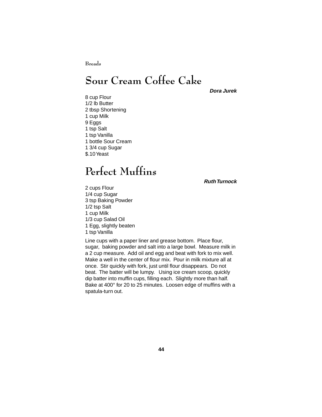## Sour Cream Coffee Cake

**Dora Jurek**

8 cup Flour 1/2 lb Butter 2 tbsp Shortening 1 cup Milk 9 Eggs 1 tsp Salt 1 tsp Vanilla 1 bottle Sour Cream 1 3/4 cup Sugar \$.10 Yeast

## Perfect Muffins

**Ruth Turnock**

2 cups Flour 1/4 cup Sugar 3 tsp Baking Powder 1/2 tsp Salt 1 cup Milk 1/3 cup Salad Oil 1 Egg, slightly beaten 1 tsp Vanilla

Line cups with a paper liner and grease bottom. Place flour, sugar, baking powder and salt into a large bowl. Measure milk in a 2 cup measure. Add oil and egg and beat with fork to mix well. Make a well in the center of flour mix. Pour in milk mixture all at once. Stir quickly with fork, just until flour disappears. Do not beat. The batter will be lumpy. Using ice cream scoop, quickly dip batter into muffin cups, filling each. Slightly more than half. Bake at 400° for 20 to 25 minutes. Loosen edge of muffins with a spatula-turn out.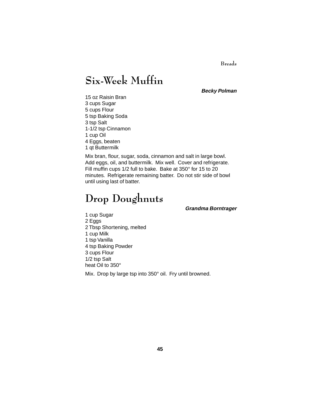## Six-Week Muffin

**Becky Polman**

15 oz Raisin Bran 3 cups Sugar 5 cups Flour 5 tsp Baking Soda 3 tsp Salt 1-1/2 tsp Cinnamon 1 cup Oil 4 Eggs, beaten 1 qt Buttermilk

Mix bran, flour, sugar, soda, cinnamon and salt in large bowl. Add eggs, oil, and buttermilk. Mix well. Cover and refrigerate. Fill muffin cups 1/2 full to bake. Bake at 350° for 15 to 20 minutes. Refrigerate remaining batter. Do not stir side of bowl until using last of batter.

### Drop Doughnuts

**Grandma Borntrager**

1 cup Sugar 2 Eggs 2 Tbsp Shortening, melted 1 cup Milk 1 tsp Vanilla 4 tsp Baking Powder 3 cups Flour 1/2 tsp Salt heat Oil to 350°

Mix. Drop by large tsp into 350° oil. Fry until browned.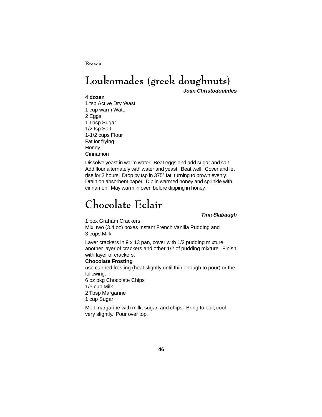### Loukomades (greek doughnuts) **Joan Christodoulides**

#### **4 dozen**

1 tsp Active Dry Yeast 1 cup warm Water 2 Eggs 1 Tbsp Sugar 1/2 tsp Salt 1-1/2 cups Flour Fat for frying **Honey** Cinnamon

Dissolve yeast in warm water. Beat eggs and add sugar and salt. Add flour alternately with water and yeast. Beat well. Cover and let rise for 2 hours. Drop by tsp in 375° fat, turning to brown evenly. Drain on absorbent paper. Dip in warmed honey and sprinkle with cinnamon. May warm in oven before dipping in honey.

## Chocolate Eclair

#### **Tina Slabaugh**

1 box Graham Crackers

Mix: two (3.4 oz) boxes Instant French Vanilla Pudding and 3 cups Milk

Layer crackers in 9 x 13 pan, cover with 1/2 pudding mixture; another layer of crackers and other 1/2 of pudding mixture. Finish with layer of crackers.

#### **Chocolate Frosting**

use canned frosting (heat slightly until thin enough to pour) or the following.

6 oz pkg Chocolate Chips

1/3 cup Milk

- 2 Tbsp Margarine
- 1 cup Sugar

Melt margarine with milk, sugar, and chips. Bring to boil; cool very slightly. Pour over top.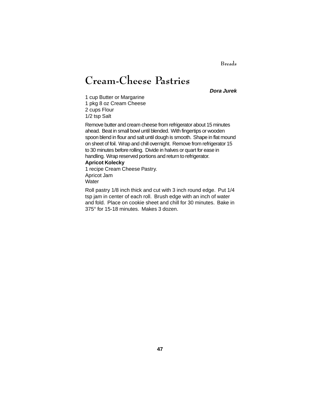## Cream-Cheese Pastries

**Dora Jurek**

1 cup Butter or Margarine 1 pkg 8 oz Cream Cheese 2 cups Flour 1/2 tsp Salt

Remove butter and cream cheese from refrigerator about 15 minutes ahead. Beat in small bowl until blended. With fingertips or wooden spoon blend in flour and salt until dough is smooth. Shape in flat mound on sheet of foil. Wrap and chill overnight. Remove from refrigerator 15 to 30 minutes before rolling. Divide in halves or quart for ease in handling. Wrap reserved portions and return to refrigerator.

#### **Apricot Kolecky**

1 recipe Cream Cheese Pastry. Apricot Jam **Water** 

Roll pastry 1/8 inch thick and cut with 3 inch round edge. Put 1/4 tsp jam in center of each roll. Brush edge with an inch of water and fold. Place on cookie sheet and chill for 30 minutes. Bake in 375° for 15-18 minutes. Makes 3 dozen.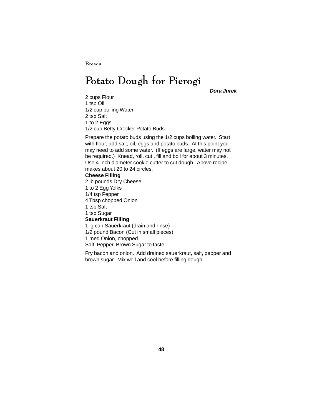### Potato Dough for Pierogi

**Dora Jurek**

2 cups Flour 1 tsp Oil 1/2 cup boiling Water 2 tsp Salt 1 to 2 Eggs 1/2 cup Betty Crocker Potato Buds

Prepare the potato buds using the 1/2 cups boiling water. Start with flour, add salt, oil, eggs and potato buds. At this point you may need to add some water. (If eggs are large, water may not be required.) Knead, roll, cut , fill and boil for about 3 minutes. Use 4-inch diameter cookie cutter to cut dough. Above recipe makes about 20 to 24 circles.

#### **Cheese Filling**

2 lb pounds Dry Cheese

- 1 to 2 Egg Yolks
- 1/4 tsp Pepper
- 4 Tbsp chopped Onion
- 1 tsp Salt
- 1 tsp Sugar

#### **Sauerkraut Filling**

1 lg can Sauerkraut (drain and rinse)

1/2 pound Bacon (Cut in small pieces)

- 1 med Onion, chopped
- Salt, Pepper, Brown Sugar to taste.

Fry bacon and onion. Add drained sauerkraut, salt, pepper and brown sugar. Mix well and cool before filling dough.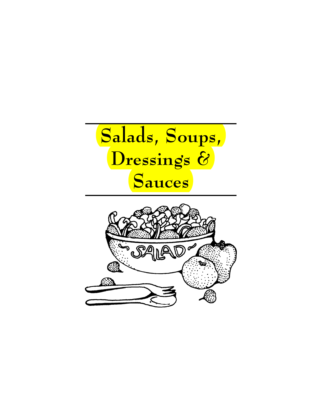

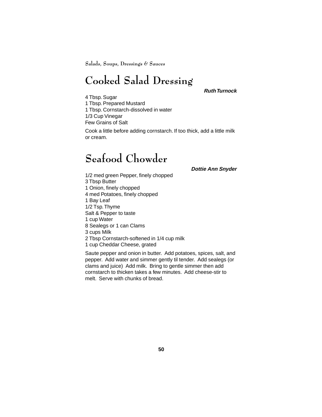### Cooked Salad Dressing

**Ruth Turnock**

4 Tbsp. Sugar 1 Tbsp. Prepared Mustard 1 Tbsp. Cornstarch-dissolved in water 1/3 Cup Vinegar Few Grains of Salt

Cook a little before adding cornstarch. If too thick, add a little milk or cream.

### Seafood Chowder

**Dottie Ann Snyder**

1/2 med green Pepper, finely chopped 3 Tbsp Butter 1 Onion, finely chopped 4 med Potatoes, finely chopped 1 Bay Leaf 1/2 Tsp. Thyme Salt & Pepper to taste 1 cup Water 8 Sealegs or 1 can Clams 3 cups Milk 2 Tbsp Cornstarch-softened in 1/4 cup milk 1 cup Cheddar Cheese, grated

Saute pepper and onion in butter. Add potatoes, spices, salt, and pepper. Add water and simmer gently til tender. Add sealegs (or clams and juice) Add milk. Bring to gentle simmer then add cornstarch to thicken takes a few minutes. Add cheese-stir to melt. Serve with chunks of bread.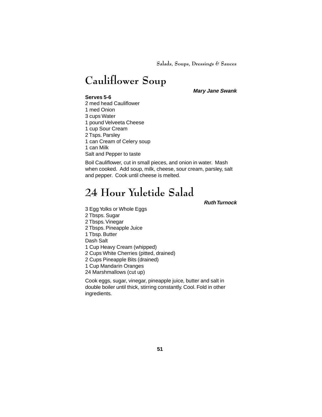## Cauliflower Soup

**Mary Jane Swank**

#### **Serves 5-6**

2 med head Cauliflower 1 med Onion 3 cups Water 1 pound Velveeta Cheese 1 cup Sour Cream 2 Tsps. Parsley 1 can Cream of Celery soup 1 can Milk Salt and Pepper to taste

Boil Cauliflower, cut in small pieces, and onion in water. Mash when cooked. Add soup, milk, cheese, sour cream, parsley, salt and pepper. Cook until cheese is melted.

### 24 Hour Yuletide Salad

**Ruth Turnock**

- 3 Egg Yolks or Whole Eggs 2 Tbsps. Sugar 2 Tbsps. Vinegar 2 Tbsps. Pineapple Juice 1 Tbsp. Butter Dash Salt 1 Cup Heavy Cream (whipped) 2 Cups White Cherries (pitted, drained) 2 Cups Pineapple Bits (drained) 1 Cup Mandarin Oranges
- 24 Marshmallows (cut up)

Cook eggs, sugar, vinegar, pineapple juice, butter and salt in double boiler until thick, stirring constantly. Cool. Fold in other ingredients.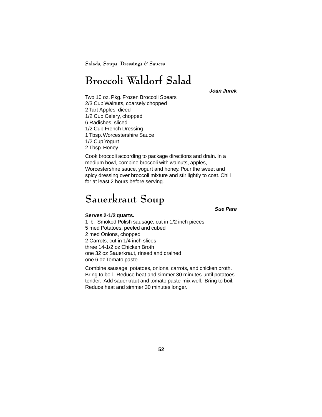## Broccoli Waldorf Salad

**Joan Jurek**

Two 10 oz. Pkg. Frozen Broccoli Spears 2/3 Cup Walnuts, coarsely chopped 2 Tart Apples, diced 1/2 Cup Celery, chopped 6 Radishes, sliced 1/2 Cup French Dressing 1 Tbsp. Worcestershire Sauce 1/2 Cup Yogurt 2 Tbsp. Honey

Cook broccoli according to package directions and drain. In a medium bowl, combine broccoli with walnuts, apples, Worcestershire sauce, yogurt and honey. Pour the sweet and spicy dressing over broccoli mixture and stir lightly to coat. Chill for at least 2 hours before serving.

## Sauerkraut Soup

**Sue Pare**

**Serves 2-1/2 quarts.**

1 lb. Smoked Polish sausage, cut in 1/2 inch pieces 5 med Potatoes, peeled and cubed 2 med Onions, chopped 2 Carrots, cut in 1/4 inch slices three 14-1/2 oz Chicken Broth one 32 oz Sauerkraut, rinsed and drained one 6 oz Tomato paste

Combine sausage, potatoes, onions, carrots, and chicken broth. Bring to boil. Reduce heat and simmer 30 minutes-until potatoes tender. Add sauerkraut and tomato paste-mix well. Bring to boil. Reduce heat and simmer 30 minutes longer.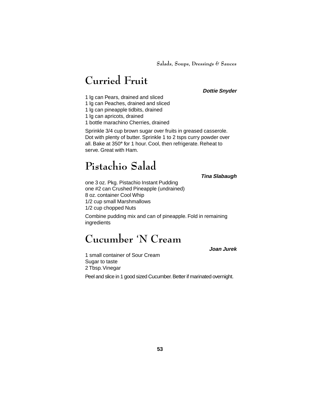## Curried Fruit

**Dottie Snyder**

- 1 lg can Pears, drained and sliced
- 1 lg can Peaches, drained and sliced
- 1 lg can pineapple tidbits, drained
- 1 lg can apricots, drained
- 1 bottle marachino Cherries, drained

Sprinkle 3/4 cup brown sugar over fruits in greased casserole. Dot with plenty of butter. Sprinkle 1 to 2 tsps curry powder over all. Bake at 350**°** for 1 hour. Cool, then refrigerate. Reheat to serve. Great with Ham.

### Pistachio Salad

**Tina Slabaugh**

one 3 oz. Pkg. Pistachio Instant Pudding one #2 can Crushed Pineapple (undrained) 8 oz. container Cool Whip 1/2 cup small Marshmallows 1/2 cup chopped Nuts

Combine pudding mix and can of pineapple. Fold in remaining ingredients

## Cucumber N Cream

**Joan Jurek**

1 small container of Sour Cream Sugar to taste 2 Tbsp. Vinegar

Peel and slice in 1 good sized Cucumber. Better if marinated overnight.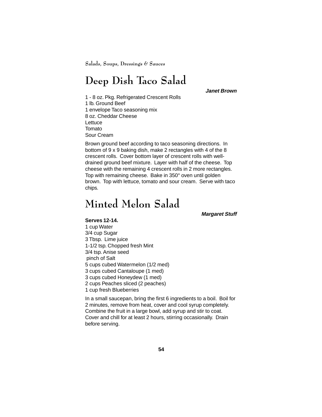### Deep Dish Taco Salad

**Janet Brown**

1 - 8 oz. Pkg. Refrigerated Crescent Rolls 1 lb. Ground Beef 1 envelope Taco seasoning mix 8 oz. Cheddar Cheese **Lettuce** Tomato Sour Cream

Brown ground beef according to taco seasoning directions. In bottom of 9 x 9 baking dish, make 2 rectangles with 4 of the 8 crescent rolls. Cover bottom layer of crescent rolls with welldrained ground beef mixture. Layer with half of the cheese. Top cheese with the remaining 4 crescent rolls in 2 more rectangles. Top with remaining cheese. Bake in 350° oven until golden brown. Top with lettuce, tomato and sour cream. Serve with taco chips.

## Minted Melon Salad

**Margaret Stuff**

#### **Serves 12-14.**

1 cup Water 3/4 cup Sugar 3 Tbsp. Lime juice 1-1/2 tsp. Chopped fresh Mint 3/4 tsp. Anise seed pinch of Salt 5 cups cubed Watermelon (1/2 med) 3 cups cubed Cantaloupe (1 med) 3 cups cubed Honeydew (1 med) 2 cups Peaches sliced (2 peaches) 1 cup fresh Blueberries

In a small saucepan, bring the first 6 ingredients to a boil. Boil for 2 minutes, remove from heat, cover and cool syrup completely. Combine the fruit in a large bowl, add syrup and stir to coat. Cover and chill for at least 2 hours, stirring occasionally. Drain before serving.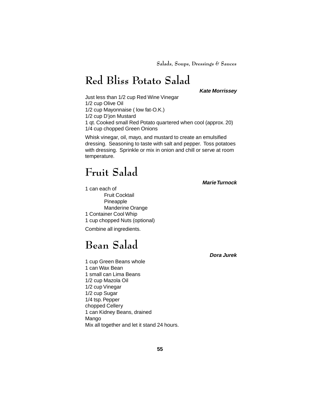## Red Bliss Potato Salad

#### **Kate Morrissey**

Just less than 1/2 cup Red Wine Vinegar 1/2 cup Olive Oil 1/2 cup Mayonnaise ( low fat-O.K.) 1/2 cup D'jon Mustard 1 qt. Cooked small Red Potato quartered when cool (approx. 20) 1/4 cup chopped Green Onions

Whisk vinegar, oil, mayo, and mustard to create an emulsified dressing. Seasoning to taste with salt and pepper. Toss potatoes with dressing. Sprinkle or mix in onion and chill or serve at room temperature.

### Fruit Salad

#### **Marie Turnock**

1 can each of Fruit Cocktail Pineapple Manderine Orange 1 Container Cool Whip 1 cup chopped Nuts (optional)

Combine all ingredients.

## Bean Salad

1 cup Green Beans whole 1 can Wax Bean 1 small can Lima Beans 1/2 cup Mazola Oil 1/2 cup Vinegar 1/2 cup Sugar 1/4 tsp. Pepper chopped Cellery 1 can Kidney Beans, drained Mango Mix all together and let it stand 24 hours. **Dora Jurek**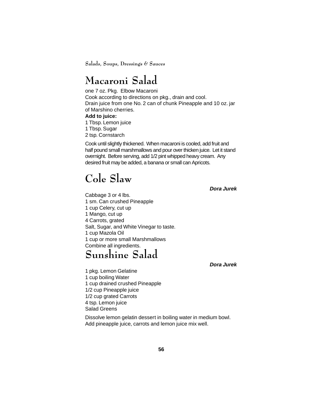## Macaroni Salad

one 7 oz. Pkg. Elbow Macaroni

Cook according to directions on pkg., drain and cool. Drain juice from one No. 2 can of chunk Pineapple and 10 oz. jar of Marshino cherries.

#### **Add to juice:**

1 Tbsp. Lemon juice

- 1 Tbsp. Sugar
- 2 tsp. Cornstarch

Cook until slightly thickened. When macaroni is cooled, add fruit and half pound small marshmallows and pour over thicken juice. Let it stand overnight. Before serving, add 1/2 pint whipped heavy cream. Any desired fruit may be added, a banana or small can Apricots.

### Cole Slaw

**Dora Jurek**

Cabbage 3 or 4 lbs. 1 sm. Can crushed Pineapple 1 cup Celery, cut up 1 Mango, cut up 4 Carrots, grated Salt, Sugar, and White Vinegar to taste. 1 cup Mazola Oil 1 cup or more small Marshmallows Combine all ingredients.

## Sunshine Salad

**Dora Jurek**

1 pkg. Lemon Gelatine 1 cup boiling Water 1 cup drained crushed Pineapple 1/2 cup Pineapple juice 1/2 cup grated Carrots 4 tsp. Lemon juice Salad Greens

Dissolve lemon gelatin dessert in boiling water in medium bowl. Add pineapple juice, carrots and lemon juice mix well.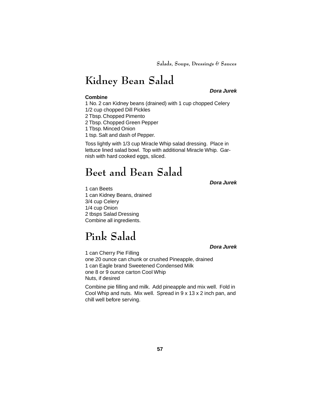## Kidney Bean Salad

#### **Dora Jurek**

#### **Combine**

1 No. 2 can Kidney beans (drained) with 1 cup chopped Celery 1/2 cup chopped Dill Pickles

2 Tbsp. Chopped Pimento

2 Tbsp. Chopped Green Pepper

1 Tbsp. Minced Onion

1 tsp. Salt and dash of Pepper.

Toss lightly with 1/3 cup Miracle Whip salad dressing. Place in lettuce lined salad bowl. Top with additional Miracle Whip. Garnish with hard cooked eggs, sliced.

## Beet and Bean Salad

**Dora Jurek**

1 can Beets 1 can Kidney Beans, drained 3/4 cup Celery 1/4 cup Onion 2 tbsps Salad Dressing Combine all ingredients.

## Pink Salad

**Dora Jurek**

1 can Cherry Pie Filling one 20 ounce can chunk or crushed Pineapple, drained 1 can Eagle brand Sweetened Condensed Milk one 8 or 9 ounce carton Cool Whip Nuts, if desired

Combine pie filling and milk. Add pineapple and mix well. Fold in Cool Whip and nuts. Mix well. Spread in 9 x 13 x 2 inch pan, and chill well before serving.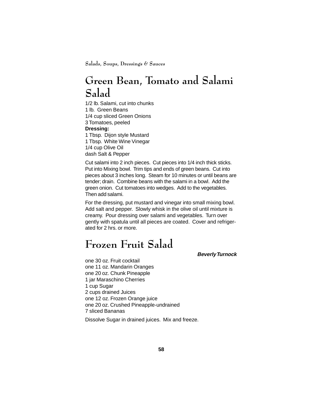### Green Bean, Tomato and Salami Salad

1/2 lb. Salami, cut into chunks 1 lb. Green Beans 1/4 cup sliced Green Onions 3 Tomatoes, peeled **Dressing:** 1 Tbsp. Dijon style Mustard 1 Tbsp. White Wine Vinegar 1/4 cup Olive Oil dash Salt & Pepper

Cut salami into 2 inch pieces. Cut pieces into 1/4 inch thick sticks. Put into Mixing bowl. Trim tips and ends of green beans. Cut into pieces about 3 inches long. Steam for 10 minutes or until beans are tender; drain. Combine beans with the salami in a bowl. Add the green onion. Cut tomatoes into wedges. Add to the vegetables. Then add salami.

For the dressing, put mustard and vinegar into small mixing bowl. Add salt and pepper. Slowly whisk in the olive oil until mixture is creamy. Pour dressing over salami and vegetables. Turn over gently with spatula until all pieces are coated. Cover and refrigerated for 2 hrs. or more.

### Frozen Fruit Salad

**Beverly Turnock**

one 30 oz. Fruit cocktail one 11 oz. Mandarin Oranges one 20 oz. Chunk Pineapple 1 jar Maraschino Cherries 1 cup Sugar 2 cups drained Juices one 12 oz. Frozen Orange juice one 20 oz. Crushed Pineapple-undrained 7 sliced Bananas

Dissolve Sugar in drained juices. Mix and freeze.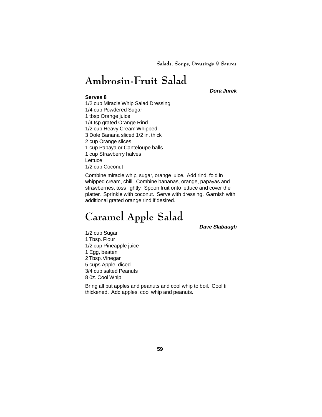## Ambrosin-Fruit Salad

**Dora Jurek**

#### **Serves 8**

1/2 cup Miracle Whip Salad Dressing 1/4 cup Powdered Sugar 1 tbsp Orange juice 1/4 tsp grated Orange Rind 1/2 cup Heavy Cream Whipped 3 Dole Banana sliced 1/2 in. thick 2 cup Orange slices 1 cup Papaya or Canteloupe balls 1 cup Strawberry halves Lettuce 1/2 cup Coconut

Combine miracle whip, sugar, orange juice. Add rind, fold in whipped cream, chill. Combine bananas, orange, papayas and strawberries, toss lightly. Spoon fruit onto lettuce and cover the platter. Sprinkle with coconut. Serve with dressing. Garnish with additional grated orange rind if desired.

## Caramel Apple Salad

**Dave Slabaugh**

1/2 cup Sugar 1 Tbsp. Flour 1/2 cup Pineapple juice 1 Egg, beaten 2 Tbsp. Vinegar 5 cups Apple, diced 3/4 cup salted Peanuts 8 0z. Cool Whip

Bring all but apples and peanuts and cool whip to boil. Cool til thickened. Add apples, cool whip and peanuts.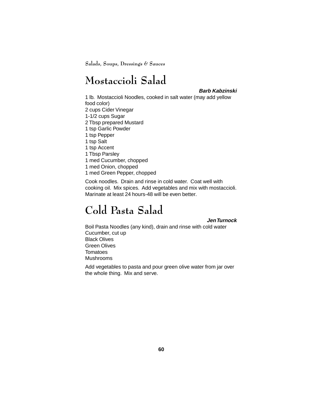## Mostaccioli Salad

#### **Barb Kabzinski**

1 lb. Mostaccioli Noodles, cooked in salt water (may add yellow food color) 2 cups Cider Vinegar 1-1/2 cups Sugar 2 Tbsp prepared Mustard 1 tsp Garlic Powder 1 tsp Pepper 1 tsp Salt 1 tsp Accent 1 Tbsp Parsley 1 med Cucumber, chopped 1 med Onion, chopped 1 med Green Pepper, chopped

Cook noodles. Drain and rinse in cold water. Coat well with cooking oil. Mix spices. Add vegetables and mix with mostaccioli. Marinate at least 24 hours-48 will be even better.

## Cold Pasta Salad

**Jen Turnock**

Boil Pasta Noodles (any kind), drain and rinse with cold water Cucumber, cut up Black Olives Green Olives Tomatoes Mushrooms

Add vegetables to pasta and pour green olive water from jar over the whole thing. Mix and serve.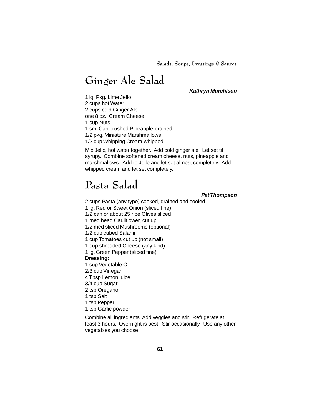### Ginger Ale Salad

**Kathryn Murchison**

1 lg. Pkg. Lime Jello 2 cups hot Water 2 cups cold Ginger Ale one 8 oz. Cream Cheese 1 cup Nuts 1 sm. Can crushed Pineapple-drained 1/2 pkg. Miniature Marshmallows 1/2 cup Whipping Cream-whipped

Mix Jello, hot water together. Add cold ginger ale. Let set til syrupy. Combine softened cream cheese, nuts, pineapple and marshmallows. Add to Jello and let set almost completely. Add whipped cream and let set completely.

### Pasta Salad

#### **Pat Thompson**

2 cups Pasta (any type) cooked, drained and cooled 1 lg. Red or Sweet Onion (sliced fine) 1/2 can or about 25 ripe Olives sliced 1 med head Cauliflower, cut up 1/2 med sliced Mushrooms (optional) 1/2 cup cubed Salami 1 cup Tomatoes cut up (not small) 1 cup shredded Cheese (any kind) 1 lg. Green Pepper (sliced fine) **Dressing:** 1 cup Vegetable Oil 2/3 cup Vinegar 4 Tbsp Lemon juice 3/4 cup Sugar 2 tsp Oregano 1 tsp Salt 1 tsp Pepper 1 tsp Garlic powder

Combine all ingredients. Add veggies and stir. Refrigerate at least 3 hours. Overnight is best. Stir occasionally. Use any other vegetables you choose.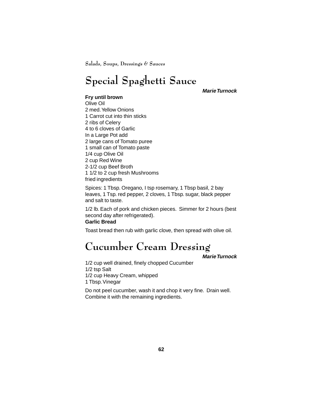### Special Spaghetti Sauce

**Marie Turnock**

#### **Fry until brown**

Olive Oil 2 med. Yellow Onions 1 Carrot cut into thin sticks 2 ribs of Celery 4 to 6 cloves of Garlic In a Large Pot add 2 large cans of Tomato puree 1 small can of Tomato paste 1/4 cup Olive Oil 2 cup Red Wine 2-1/2 cup Beef Broth 1 1/2 to 2 cup fresh Mushrooms fried ingredients

Spices: 1 Tbsp. Oregano, I tsp rosemary, 1 Tbsp basil, 2 bay leaves, 1 Tsp. red pepper, 2 cloves, 1 Tbsp. sugar, black pepper and salt to taste.

1/2 lb. Each of pork and chicken pieces. Simmer for 2 hours (best second day after refrigerated).

**Garlic Bread**

Toast bread then rub with garlic clove, then spread with olive oil.

### Cucumber Cream Dressing

#### **Marie Turnock**

1/2 cup well drained, finely chopped Cucumber 1/2 tsp Salt 1/2 cup Heavy Cream, whipped 1 Tbsp. Vinegar

Do not peel cucumber, wash it and chop it very fine. Drain well. Combine it with the remaining ingredients.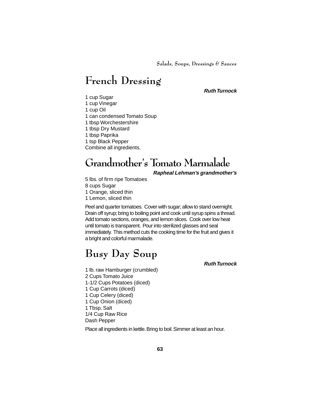### French Dressing

**Ruth Turnock**

**Ruth Turnock**

1 cup Sugar 1 cup Vinegar 1 cup Oil 1 can condensed Tomato Soup 1 tbsp Worchestershire 1 tbsp Dry Mustard 1 tbsp Paprika 1 tsp Black Pepper Combine all ingredients.

## Grandmother's Tomato Marmalade

**Rapheal Lehman's grandmother's**

5 lbs. of firm ripe Tomatoes 8 cups Sugar 1 Orange, sliced thin 1 Lemon, sliced thin

Peel and quarter tomatoes. Cover with sugar; allow to stand overnight. Drain off syrup; bring to boiling point and cook until syrup spins a thread. Add tomato sections, oranges, and lemon slices. Cook over low heat until tomato is transparent. Pour into sterilized glasses and seal immediately. This method cuts the cooking time for the fruit and gives it a bright and colorful marmalade.

### Busy Day Soup

1 lb. raw Hamburger (crumbled) 2 Cups Tomato Juice 1-1/2 Cups Potatoes (diced) 1 Cup Carrots (diced) 1 Cup Celery (diced) 1 Cup Onion (diced) 1 Tbsp. Salt 1/4 Cup Raw Rice Dash Pepper

Place all ingredients in kettle. Bring to boil. Simmer at least an hour.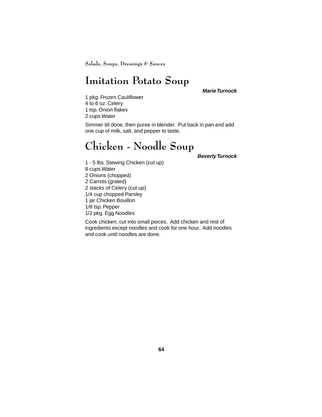### Imitation Potato Soup

**Marie Turnock**

1 pkg. Frozen Cauliflower 4 to 6 oz. Celery 1 tsp. Onion flakes 2 cups Water

Simmer till done, then puree in blender. Put back in pan and add one cup of milk, salt, and pepper to taste.

### Chicken - Noodle Soup

**Beverly Turnock**

1 - 5 lbs. Stewing Chicken (cut up) 8 cups Water 2 Onions (chopped) 2 Carrots (grated) 2 stacks of Celery (cut up) 1/4 cup chopped Parsley 1 jar Chicken Bouillon 1/8 tsp. Pepper 1/2 pkg. Egg Noodles

Cook chicken, cut into small pieces. Add chicken and rest of ingredients except noodles and cook for one hour. Add noodles and cook until noodles are done.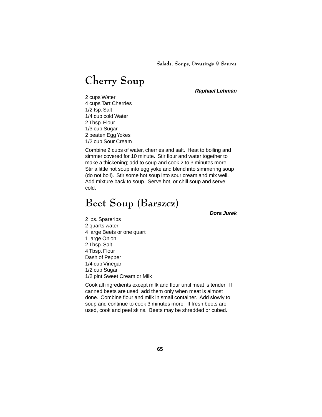### Cherry Soup

**Raphael Lehman**

2 cups Water 4 cups Tart Cherries 1/2 tsp. Salt 1/4 cup cold Water 2 Tbsp. Flour 1/3 cup Sugar 2 beaten Egg Yokes 1/2 cup Sour Cream

Combine 2 cups of water, cherries and salt. Heat to boiling and simmer covered for 10 minute. Stir flour and water together to make a thickening; add to soup and cook 2 to 3 minutes more. Stir a little hot soup into egg yoke and blend into simmering soup (do not boil). Stir some hot soup into sour cream and mix well. Add mixture back to soup. Serve hot, or chill soup and serve cold.

### Beet Soup (Barszcz)

**Dora Jurek**

2 lbs. Spareribs 2 quarts water 4 large Beets or one quart 1 large Onion 2 Tbsp. Salt 4 Tbsp. Flour Dash of Pepper 1/4 cup Vinegar 1/2 cup Sugar 1/2 pint Sweet Cream or Milk

Cook all ingredients except milk and flour until meat is tender. If canned beets are used, add them only when meat is almost done. Combine flour and milk in small container. Add slowly to soup and continue to cook 3 minutes more. If fresh beets are used, cook and peel skins. Beets may be shredded or cubed.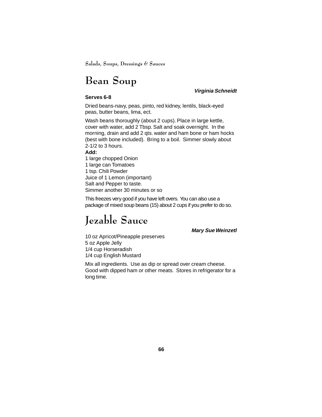### Bean Soup

#### **Virginia Schneidt**

#### **Serves 6-8**

Dried beans-navy, peas, pinto, red kidney, lentils, black-eyed peas, butter beans, lima, ect.

Wash beans thoroughly (about 2 cups). Place in large kettle, cover with water, add 2 Tbsp. Salt and soak overnight. In the morning, drain and add 2 qts. water and ham bone or ham hocks (best with bone included). Bring to a boil. Simmer slowly about 2-1/2 to 3 hours.

#### **Add:**

1 large chopped Onion 1 large can Tomatoes 1 tsp. Chili Powder Juice of 1 Lemon (important) Salt and Pepper to taste. Simmer another 30 minutes or so

This freezes very good if you have left overs. You can also use a package of mixed soup beans (15) about 2 cups if you prefer to do so.

### Jezable Sauce

**Mary Sue Weinzetl**

10 oz Apricot/Pineapple preserves 5 oz Apple Jelly 1/4 cup Horseradish 1/4 cup English Mustard

Mix all ingredients. Use as dip or spread over cream cheese. Good with dipped ham or other meats. Stores in refrigerator for a long time.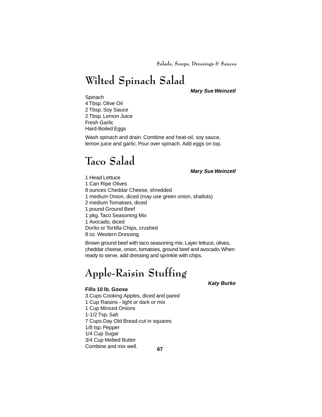## Wilted Spinach Salad

**Mary Sue Weinzetl**

Spinach 4 Tbsp. Olive Oil 2 Tbsp. Soy Sauce 2 Tbsp. Lemon Juice Fresh Garlic Hard-Boiled Eggs

Wash spinach and drain. Combine and heat-oil, soy sauce, lemon juice and garlic. Pour over spinach. Add eggs on top.

## Taco Salad

**Mary Sue Weinzetl**

1 Head Lettuce 1 Can Ripe Olives 8 ounces Cheddar Cheese, shredded 1 medium Onion, diced (may use green onion, shallots) 2 medium Tomatoes, diced 1 pound Ground Beef 1 pkg. Taco Seasoning Mix 1 Avocado, diced Dorito or Tortilla Chips, crushed 8 oz. Western Dressing

Brown ground beef with taco seasoning mix. Layer lettuce, olives, cheddar cheese, onion, tomatoes, ground beef and avocado. When ready to serve, add dressing and sprinkle with chips.

## Apple-Raisin Stuffing

**Katy Burke**

### **Fills 10 lb. Goose**

3 Cups Cooking Apples, diced and pared 1 Cup Raisins - light or dark or mix 1 Cup Minced Onions 1-1/2 Tsp. Salt 7 Cups Day Old Bread-cut in squares 1/8 tsp. Pepper 1/4 Cup Sugar 3/4 Cup Melted Butter Combine and mix well.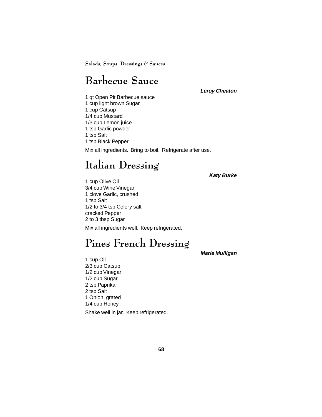### Barbecue Sauce

**Leroy Cheaton**

1 qt Open Pit Barbecue sauce 1 cup light brown Sugar 1 cup Catsup 1/4 cup Mustard 1/3 cup Lemon juice 1 tsp Garlic powder 1 tsp Salt 1 tsp Black Pepper

Mix all ingredients. Bring to boil. Refrigerate after use.

## Italian Dressing

**Katy Burke**

1 cup Olive Oil 3/4 cup Wine Vinegar 1 clove Garlic, crushed 1 tsp Salt 1/2 to 3/4 tsp Celery salt cracked Pepper 2 to 3 tbsp Sugar

Mix all ingredients well. Keep refrigerated.

### Pines French Dressing

**Marie Mulligan**

1 cup Oil 2/3 cup Catsup 1/2 cup Vinegar 1/2 cup Sugar 2 tsp Paprika 2 tsp Salt 1 Onion, grated 1/4 cup Honey

Shake well in jar. Keep refrigerated.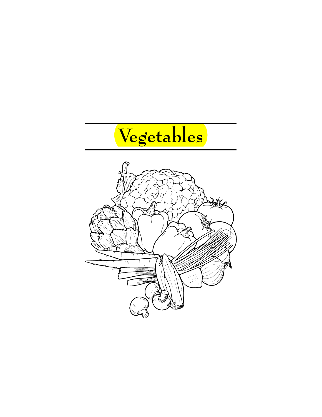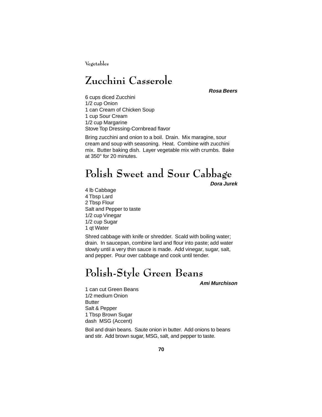Vegetables

### Zucchini Casserole

**Rosa Beers**

6 cups diced Zucchini 1/2 cup Onion 1 can Cream of Chicken Soup 1 cup Sour Cream 1/2 cup Margarine Stove Top Dressing-Cornbread flavor

Bring zucchini and onion to a boil. Drain. Mix maragine, sour cream and soup with seasoning. Heat. Combine with zucchini mix. Butter baking dish. Layer vegetable mix with crumbs. Bake at 350° for 20 minutes.

# Polish Sweet and Sour Cabbage

**Dora Jurek**

4 lb Cabbage 4 Tbsp Lard 2 Tbsp Flour Salt and Pepper to taste 1/2 cup Vinegar 1/2 cup Sugar 1 qt Water

Shred cabbage with knife or shredder. Scald with boiling water; drain. In saucepan, combine lard and flour into paste; add water slowly until a very thin sauce is made. Add vinegar, sugar, salt, and pepper. Pour over cabbage and cook until tender.

## Polish-Style Green Beans

**Ami Murchison**

1 can cut Green Beans 1/2 medium Onion **Butter** Salt & Pepper 1 Tbsp Brown Sugar dash MSG (Accent)

Boil and drain beans. Saute onion in butter. Add onions to beans and stir. Add brown sugar, MSG, salt, and pepper to taste.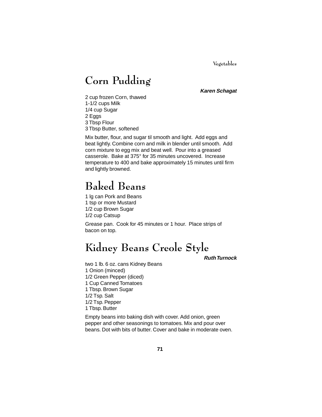#### Corn Pudding

**Karen Schagat**

2 cup frozen Corn, thawed 1-1/2 cups Milk 1/4 cup Sugar 2 Eggs 3 Tbsp Flour 3 Tbsp Butter, softened

Mix butter, flour, and sugar til smooth and light. Add eggs and beat lightly. Combine corn and milk in blender until smooth. Add corn mixture to egg mix and beat well. Pour into a greased casserole. Bake at 375° for 35 minutes uncovered. Increase temperature to 400 and bake approximately 15 minutes until firm and lightly browned.

# Baked Beans

1 lg can Pork and Beans 1 tsp or more Mustard 1/2 cup Brown Sugar 1/2 cup Catsup

Grease pan. Cook for 45 minutes or 1 hour. Place strips of bacon on top.

### Kidney Beans Creole Style

#### **Ruth Turnock**

two 1 lb. 6 oz. cans Kidney Beans 1 Onion (minced) 1/2 Green Pepper (diced) 1 Cup Canned Tomatoes 1 Tbsp. Brown Sugar 1/2 Tsp. Salt 1/2 Tsp. Pepper 1 Tbsp. Butter

Empty beans into baking dish with cover. Add onion, green pepper and other seasonings to tomatoes. Mix and pour over beans. Dot with bits of butter. Cover and bake in moderate oven.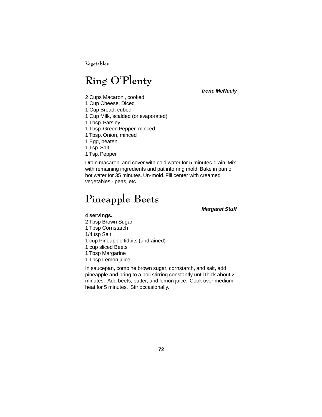### Ring O'Plenty

**Irene McNeely**

- 2 Cups Macaroni, cooked
- 1 Cup Cheese, Diced
- 1 Cup Bread, cubed
- 1 Cup Milk, scalded (or evaporated)
- 1 Tbsp. Parsley
- 1 Tbsp. Green Pepper, minced
- 1 Tbsp. Onion, minced
- 1 Egg, beaten
- 1 Tsp. Salt
- 1 Tsp. Pepper

Drain macaroni and cover with cold water for 5 minutes-drain. Mix with remaining ingredients and pat into ring mold. Bake in pan of hot water for 35 minutes. Un-mold. Fill center with creamed vegetables - peas, etc.

# Pineapple Beets

**Margaret Stuff**

#### **4 servings.**

- 2 Tbsp Brown Sugar
- 1 Tbsp Cornstarch
- 1/4 tsp Salt
- 1 cup Pineapple tidbits (undrained)
- 1 cup sliced Beets
- 1 Tbsp Margarine
- 1 Tbsp Lemon juice

In saucepan, combine brown sugar, cornstarch, and salt, add pineapple and bring to a boil stirring constantly until thick about 2 minutes. Add beets, butter, and lemon juice. Cook over medium heat for 5 minutes. Stir occasionally.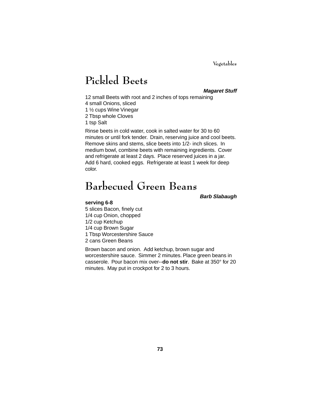# Pickled Beets

#### **Magaret Stuff**

12 small Beets with root and 2 inches of tops remaining 4 small Onions, sliced

1 ½ cups Wine Vinegar

2 Tbsp whole Cloves

1 tsp Salt

Rinse beets in cold water, cook in salted water for 30 to 60 minutes or until fork tender. Drain, reserving juice and cool beets. Remove skins and stems, slice beets into 1/2- inch slices. In medium bowl, combine beets with remaining ingredients. Cover and refrigerate at least 2 days. Place reserved juices in a jar. Add 6 hard, cooked eggs. Refrigerate at least 1 week for deep color.

### Barbecued Green Beans

**Barb Slabaugh**

#### **serving 6-8**

5 slices Bacon, finely cut 1/4 cup Onion, chopped 1/2 cup Ketchup 1/4 cup Brown Sugar 1 Tbsp Worcestershire Sauce 2 cans Green Beans

Brown bacon and onion. Add ketchup, brown sugar and worcestershire sauce. Simmer 2 minutes. Place green beans in casserole. Pour bacon mix over--**do not stir**. Bake at 350° for 20 minutes. May put in crockpot for 2 to 3 hours.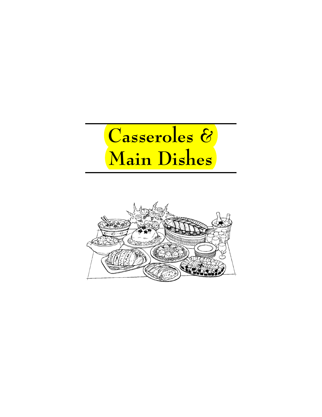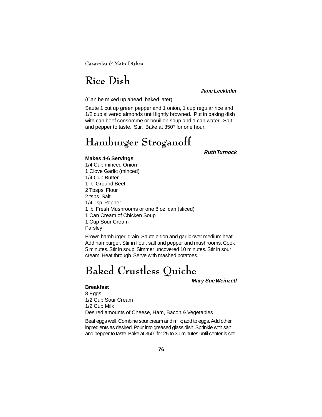### Rice Dish

**Jane Lecklider**

(Can be mixed up ahead, baked later)

Saute 1 cut up green pepper and 1 onion, 1 cup regular rice and 1/2 cup slivered almonds until lightly browned. Put in baking dish with can beef consomme or bouillon soup and 1 can water. Salt and pepper to taste. Stir. Bake at 350° for one hour.

### Hamburger Stroganoff

**Ruth Turnock**

#### **Makes 4-6 Servings**

1/4 Cup minced Onion 1 Clove Garlic (minced) 1/4 Cup Butter 1 lb. Ground Beef 2 Tbsps. Flour 2 tsps. Salt 1/4 Tsp. Pepper 1 lb. Fresh Mushrooms or one 8 oz. can (sliced) 1 Can Cream of Chicken Soup 1 Cup Sour Cream Parsley

Brown hamburger, drain. Saute onion and garlic over medium heat. Add hamburger. Stir in flour, salt and pepper and mushrooms. Cook 5 minutes. Stir in soup. Simmer uncovered 10 minutes. Stir in sour cream. Heat through. Serve with mashed potatoes.

### Baked Crustless Quiche

**Mary Sue Weinzetl**

#### **Breakfast**

8 Eggs 1/2 Cup Sour Cream 1/2 Cup Milk Desired amounts of Cheese, Ham, Bacon & Vegetables

Beat eggs well. Combine sour cream and milk; add to eggs. Add other ingredients as desired. Pour into greased glass dish. Sprinkle with salt and pepper to taste. Bake at 350° for 25 to 30 minutes until center is set.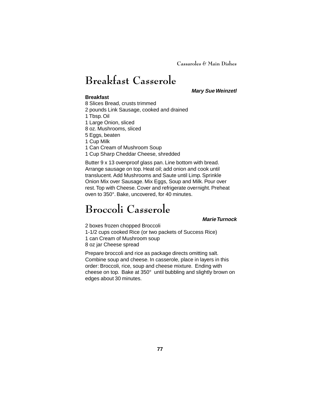### Breakfast Casserole

**Mary Sue Weinzetl**

#### **Breakfast**

8 Slices Bread, crusts trimmed

2 pounds Link Sausage, cooked and drained

1 Tbsp. Oil

1 Large Onion, sliced

8 oz. Mushrooms, sliced

5 Eggs, beaten

1 Cup Milk

1 Can Cream of Mushroom Soup

1 Cup Sharp Cheddar Cheese, shredded

Butter 9 x 13 ovenproof glass pan. Line bottom with bread. Arrange sausage on top. Heat oil; add onion and cook until translucent. Add Mushrooms and Saute until Limp. Sprinkle Onion Mix over Sausage. Mix Eggs, Soup and Milk. Pour over rest. Top with Cheese. Cover and refrigerate overnight. Preheat oven to 350°. Bake, uncovered, for 40 minutes.

### Broccoli Casserole

**Marie Turnock**

2 boxes frozen chopped Broccoli

1-1/2 cups cooked Rice (or two packets of Success Rice) 1 can Cream of Mushroom soup

8 oz jar Cheese spread

Prepare broccoli and rice as package directs omitting salt. Combine soup and cheese. In casserole, place in layers in this order: Broccoli, rice, soup and cheese mixture. Ending with cheese on top. Bake at 350° until bubbling and slightly brown on edges about 30 minutes.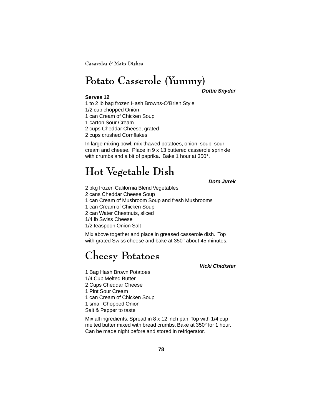### Potato Casserole (Yummy)

**Dottie Snyder**

#### **Serves 12**

1 to 2 lb bag frozen Hash Browns-O'Brien Style

1/2 cup chopped Onion

1 can Cream of Chicken Soup

1 carton Sour Cream

2 cups Cheddar Cheese, grated

2 cups crushed Cornflakes

In large mixing bowl, mix thawed potatoes, onion, soup, sour cream and cheese. Place in 9 x 13 buttered casserole sprinkle with crumbs and a bit of paprika. Bake 1 hour at 350°.

### Hot Vegetable Dish

#### **Dora Jurek**

2 pkg frozen California Blend Vegetables

2 cans Cheddar Cheese Soup

1 can Cream of Mushroom Soup and fresh Mushrooms

1 can Cream of Chicken Soup

2 can Water Chestnuts, sliced

1/4 lb Swiss Cheese

1/2 teaspoon Onion Salt

Mix above together and place in greased casserole dish. Top with grated Swiss cheese and bake at 350° about 45 minutes.

#### Cheesy Potatoes

**Vicki Chidister**

1 Bag Hash Brown Potatoes 1/4 Cup Melted Butter 2 Cups Cheddar Cheese 1 Pint Sour Cream 1 can Cream of Chicken Soup 1 small Chopped Onion Salt & Pepper to taste

Mix all ingredients. Spread in 8 x 12 inch pan. Top with 1/4 cup melted butter mixed with bread crumbs. Bake at 350° for 1 hour. Can be made night before and stored in refrigerator.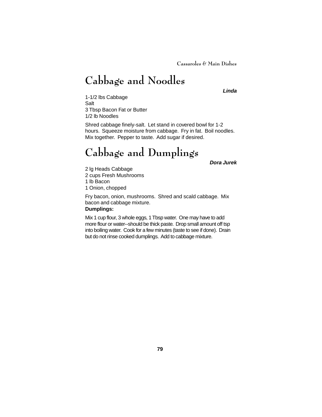### Cabbage and Noodles

**Linda**

1-1/2 lbs Cabbage Salt 3 Tbsp Bacon Fat or Butter 1/2 lb Noodles

Shred cabbage finely-salt. Let stand in covered bowl for 1-2 hours. Squeeze moisture from cabbage. Fry in fat. Boil noodles. Mix together. Pepper to taste. Add sugar if desired.

# Cabbage and Dumplings

**Dora Jurek**

2 lg Heads Cabbage 2 cups Fresh Mushrooms 1 lb Bacon 1 Onion, chopped

Fry bacon, onion, mushrooms. Shred and scald cabbage. Mix bacon and cabbage mixture.

#### **Dumplings:**

Mix 1 cup flour, 3 whole eggs, 1 Tbsp water. One may have to add more flour or water--should be thick paste. Drop small amount off tsp into boiling water. Cook for a few minutes (taste to see if done). Drain but do not rinse cooked dumplings. Add to cabbage mixture.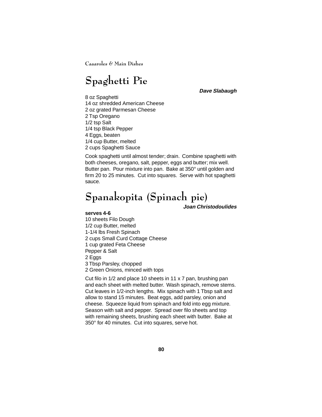#### Spaghetti Pie

**Dave Slabaugh**

8 oz Spaghetti 14 oz shredded American Cheese 2 oz grated Parmesan Cheese 2 Tsp Oregano 1/2 tsp Salt 1/4 tsp Black Pepper 4 Eggs, beaten 1/4 cup Butter, melted 2 cups Spaghetti Sauce

Cook spaghetti until almost tender; drain. Combine spaghetti with both cheeses, oregano, salt, pepper, eggs and butter; mix well. Butter pan. Pour mixture into pan. Bake at 350° until golden and firm 20 to 25 minutes. Cut into squares. Serve with hot spaghetti sauce.

# Spanakopita (Spinach pie)

**Joan Christodoulides**

#### **serves 4-6**

10 sheets Filo Dough 1/2 cup Butter, melted 1-1/4 lbs Fresh Spinach 2 cups Small Curd Cottage Cheese 1 cup grated Feta Cheese Pepper & Salt 2 Eggs 3 Tbsp Parsley, chopped 2 Green Onions, minced with tops

Cut filo in 1/2 and place 10 sheets in 11 x 7 pan, brushing pan and each sheet with melted butter. Wash spinach, remove stems. Cut leaves in 1/2-inch lengths. Mix spinach with 1 Tbsp salt and allow to stand 15 minutes. Beat eggs, add parsley, onion and cheese. Squeeze liquid from spinach and fold into egg mixture. Season with salt and pepper. Spread over filo sheets and top with remaining sheets, brushing each sheet with butter. Bake at 350° for 40 minutes. Cut into squares, serve hot.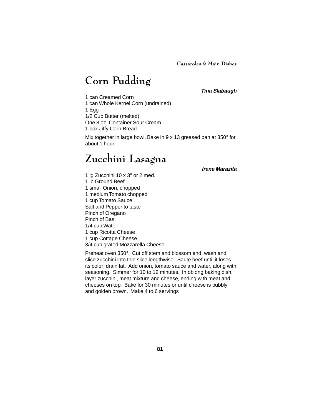### Corn Pudding

**Tina Slabaugh**

1 can Creamed Corn 1 can Whole Kernel Corn (undrained) 1 Egg 1/2 Cup Butter (melted) One 8 oz. Container Sour Cream 1 box Jiffy Corn Bread

Mix together in large bowl. Bake in 9 x 13 greased pan at 350° for about 1 hour.

#### Zucchini Lasagna

**Irene Marazita**

1 lg Zucchini 10 x 3" or 2 med. 1 lb Ground Beef 1 small Onion, chopped 1 medium Tomato chopped 1 cup Tomato Sauce Salt and Pepper to taste Pinch of Oregano Pinch of Basil 1/4 cup Water 1 cup Ricotta Cheese 1 cup Cottage Cheese 3/4 cup grated Mozzarella Cheese.

Preheat oven 350°. Cut off stem and blossom end, wash and slice zucchini into thin slice lengthwise. Saute beef until it loses its color; drain fat. Add onion, tomato sauce and water, along with seasoning. Simmer for 10 to 12 minutes. In oblong baking dish, layer zucchini, meat mixture and cheese, ending with meat and cheeses on top. Bake for 30 minutes or until cheese is bubbly and golden brown. Make 4 to 6 servings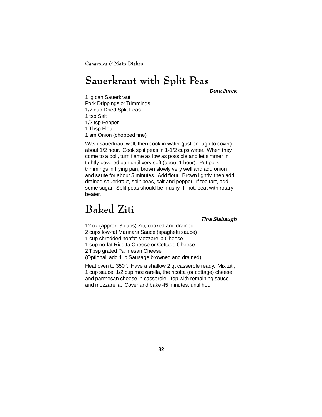### Sauerkraut with Split Peas

**Dora Jurek**

1 lg can Sauerkraut Pork Drippings or Trimmings 1/2 cup Dried Split Peas 1 tsp Salt 1/2 tsp Pepper 1 Tbsp Flour 1 sm Onion (chopped fine)

Wash sauerkraut well, then cook in water (just enough to cover) about 1/2 hour. Cook split peas in 1-1/2 cups water. When they come to a boil, turn flame as low as possible and let simmer in tightly-covered pan until very soft (about 1 hour). Put pork trimmings in frying pan, brown slowly very well and add onion and saute for about 5 minutes. Add flour. Brown lightly, then add drained sauerkraut, split peas, salt and pepper. If too tart, add some sugar. Split peas should be mushy. If not, beat with rotary beater.

# Baked Ziti

**Tina Slabaugh**

12 oz (approx. 3 cups) Ziti, cooked and drained 2 cups low-fat Marinara Sauce (spaghetti sauce) 1 cup shredded nonfat Mozzarella Cheese 1 cup no-fat Ricotta Cheese or Cottage Cheese 2 Tbsp grated Parmesan Cheese (Optional: add 1 lb Sausage browned and drained)

Heat oven to 350°. Have a shallow 2 qt casserole ready. Mix ziti, 1 cup sauce, 1/2 cup mozzarella, the ricotta (or cottage) cheese, and parmesan cheese in casserole. Top with remaining sauce and mozzarella. Cover and bake 45 minutes, until hot.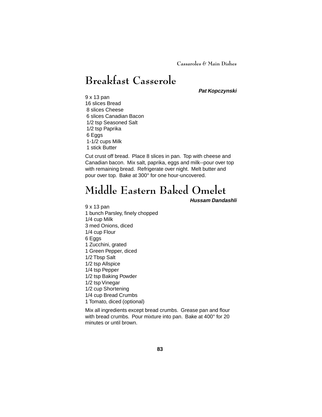### Breakfast Casserole

**Pat Kopczynski**

9 x 13 pan 16 slices Bread 8 slices Cheese 6 slices Canadian Bacon 1/2 tsp Seasoned Salt 1/2 tsp Paprika 6 Eggs 1-1/2 cups Milk 1 stick Butter

Cut crust off bread. Place 8 slices in pan. Top with cheese and Canadian bacon. Mix salt, paprika, eggs and milk--pour over top with remaining bread. Refrigerate over night. Melt butter and pour over top. Bake at 300° for one hour-uncovered.

# Middle Eastern Baked Omelet

**Hussam Dandashli**

9 x 13 pan 1 bunch Parsley, finely chopped 1/4 cup Milk 3 med Onions, diced 1/4 cup Flour 6 Eggs 1 Zucchini, grated 1 Green Pepper, diced 1/2 Tbsp Salt 1/2 tsp Allspice 1/4 tsp Pepper 1/2 tsp Baking Powder 1/2 tsp Vinegar 1/2 cup Shortening 1/4 cup Bread Crumbs 1 Tomato, diced (optional)

Mix all ingredients except bread crumbs. Grease pan and flour with bread crumbs. Pour mixture into pan. Bake at 400° for 20 minutes or until brown.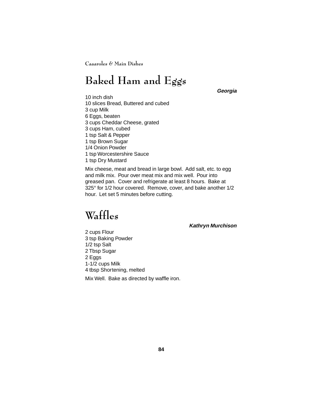# Baked Ham and Eggs

**Georgia**

10 inch dish 10 slices Bread, Buttered and cubed 3 cup Milk 6 Eggs, beaten 3 cups Cheddar Cheese, grated 3 cups Ham, cubed 1 tsp Salt & Pepper 1 tsp Brown Sugar 1/4 Onion Powder 1 tsp Worcestershire Sauce 1 tsp Dry Mustard

Mix cheese, meat and bread in large bowl. Add salt, etc. to egg and milk mix. Pour over meat mix and mix well. Pour into greased pan. Cover and refrigerate at least 8 hours. Bake at 325° for 1/2 hour covered. Remove, cover, and bake another 1/2 hour. Let set 5 minutes before cutting.

# Waffles

**Kathryn Murchison**

2 cups Flour 3 tsp Baking Powder 1/2 tsp Salt 2 Tbsp Sugar 2 Eggs 1-1/2 cups Milk 4 tbsp Shortening, melted

Mix Well. Bake as directed by waffle iron.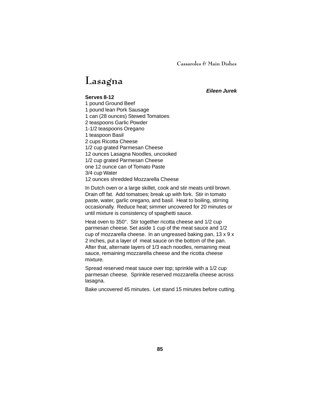#### Lasagna

**Serves 8-12**

**Eileen Jurek**

1 pound Ground Beef 1 pound lean Pork Sausage 1 can (28 ounces) Stewed Tomatoes 2 teaspoons Garlic Powder 1-1/2 teaspoons Oregano 1 teaspoon Basil 2 cups Ricotta Cheese 1/2 cup grated Parmesan Cheese 12 ounces Lasagna Noodles, uncooked 1/2 cup grated Parmesan Cheese one 12 ounce can of Tomato Paste 3/4 cup Water

12 ounces shredded Mozzarella Cheese

In Dutch oven or a large skillet, cook and stir meats until brown. Drain off fat. Add tomatoes; break up with fork. Stir in tomato paste, water, garlic oregano, and basil. Heat to boiling, stirring occasionally. Reduce heat; simmer uncovered for 20 minutes or until mixture is consistency of spaghetti sauce.

Heat oven to 350°. Stir together ricotta cheese and 1/2 cup parmesan cheese. Set aside 1 cup of the meat sauce and 1/2 cup of mozzarella cheese. In an ungreased baking pan, 13 x 9 x 2 inches, put a layer of meat sauce on the bottom of the pan. After that, alternate layers of 1/3 each noodles, remaining meat sauce, remaining mozzarella cheese and the ricotta cheese mixture.

Spread reserved meat sauce over top; sprinkle with a 1/2 cup parmesan cheese. Sprinkle reserved mozzarella cheese across lasagna.

Bake uncovered 45 minutes. Let stand 15 minutes before cutting.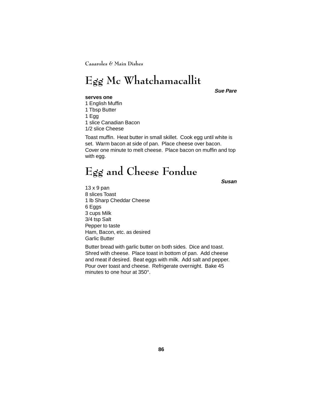# Egg Mc Whatchamacallit

**Sue Pare**

#### **serves one**

1 English Muffin 1 Tbsp Butter 1 Egg 1 slice Canadian Bacon 1/2 slice Cheese

Toast muffin. Heat butter in small skillet. Cook egg until white is set. Warm bacon at side of pan. Place cheese over bacon. Cover one minute to melt cheese. Place bacon on muffin and top with egg.

### Egg and Cheese Fondue

**Susan**

13 x 9 pan 8 slices Toast 1 lb Sharp Cheddar Cheese 6 Eggs 3 cups Milk 3/4 tsp Salt Pepper to taste Ham, Bacon, etc. as desired Garlic Butter

Butter bread with garlic butter on both sides. Dice and toast. Shred with cheese. Place toast in bottom of pan. Add cheese and meat if desired. Beat eggs with milk. Add salt and pepper. Pour over toast and cheese. Refrigerate overnight. Bake 45 minutes to one hour at 350°.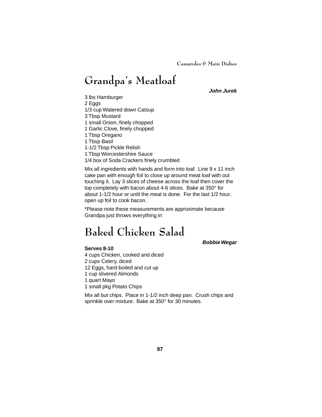#### Grandpa's Meatloaf

**John Jurek**

3 lbs Hamburger 2 Eggs 1/3 cup Watered down Catsup 3 Tbsp Mustard 1 small Onion, finely chopped 1 Garlic Clove, finely chopped 1 Tbsp Oregano 1 Tbsp Basil 1-1/2 Tbsp Pickle Relish 1 Tbsp Worcestershire Sauce 1/4 box of Soda Crackers finely crumbled

Mix all ingredients with hands and form into loaf. Line 9 x 11 inch cake pan with enough foil to close up around meat loaf with out touching it. Lay 3 slices of cheese across the loaf then cover the top completely with bacon about 4-6 slices. Bake at 350° for about 1-1/2 hour or until the meat is done. For the last 1/2 hour, open up foil to cook bacon.

\*Please note these measurements are approximate because Grandpa just throws everything in

# Baked Chicken Salad

**Bobbie Wegar**

#### **Serves 8-10**

4 cups Chicken, cooked and diced 2 cups Celery, diced 12 Eggs, hard-boiled and cut up 1 cup slivered Almonds 1 quart Mayo 1 small pkg Potato Chips

Mix all but chips. Place in 1-1/2 inch deep pan. Crush chips and sprinkle over mixture. Bake at 350° for 30 minutes.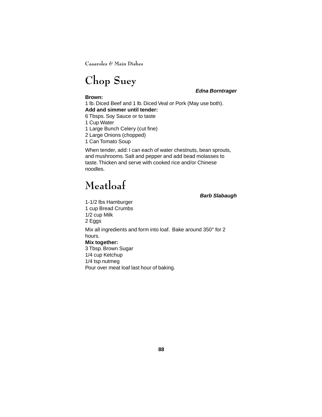# Chop Suey

#### **Edna Borntrager**

#### **Brown:**

1 lb. Diced Beef and 1 lb. Diced Veal or Pork (May use both). **Add and simmer until tender:**

6 Tbsps. Soy Sauce or to taste

1 Cup Water

1 Large Bunch Celery (cut fine)

2 Large Onions (chopped)

1 Can Tomato Soup

When tender, add: I can each of water chestnuts, bean sprouts, and mushrooms. Salt and pepper and add bead molasses to taste. Thicken and serve with cooked rice and/or Chinese noodles.

# Meatloaf

**Barb Slabaugh**

1-1/2 lbs Hamburger 1 cup Bread Crumbs 1/2 cup Milk 2 Eggs

Mix all ingredients and form into loaf. Bake around 350° for 2 hours.

**Mix together:**

3 Tbsp. Brown Sugar 1/4 cup Ketchup 1/4 tsp nutmeg Pour over meat loaf last hour of baking.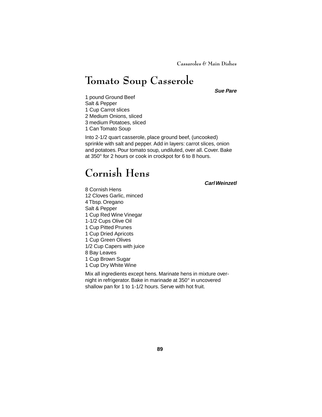#### Tomato Soup Casserole

**Sue Pare**

1 pound Ground Beef Salt & Pepper 1 Cup Carrot slices 2 Medium Onions, sliced 3 medium Potatoes, sliced 1 Can Tomato Soup

Into 2-1/2 quart casserole, place ground beef, (uncooked) sprinkle with salt and pepper. Add in layers: carrot slices, onion and potatoes. Pour tomato soup, undiluted, over all. Cover. Bake at 350° for 2 hours or cook in crockpot for 6 to 8 hours.

# Cornish Hens

**Carl Weinzetl**

8 Cornish Hens 12 Cloves Garlic, minced 4 Tbsp. Oregano Salt & Pepper 1 Cup Red Wine Vinegar 1-1/2 Cups Olive Oil 1 Cup Pitted Prunes 1 Cup Dried Apricots 1 Cup Green Olives 1/2 Cup Capers with juice 8 Bay Leaves 1 Cup Brown Sugar 1 Cup Dry White Wine

Mix all ingredients except hens. Marinate hens in mixture overnight in refrigerator. Bake in marinade at 350° in uncovered shallow pan for 1 to 1-1/2 hours. Serve with hot fruit.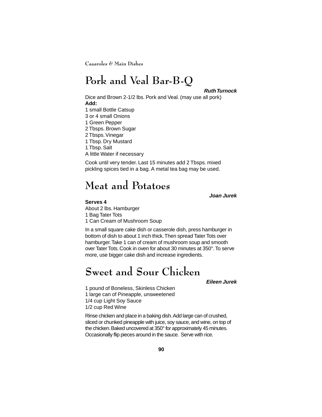# Pork and Veal Bar-B-Q

**Ruth Turnock**

Dice and Brown 2-1/2 lbs. Pork and Veal. (may use all pork) **Add:**

1 small Bottle Catsup 3 or 4 small Onions 1 Green Pepper 2 Tbsps. Brown Sugar 2 Tbsps. Vinegar 1 Tbsp. Dry Mustard 1 Tbsp. Salt

A little Water if necessary

Cook until very tender. Last 15 minutes add 2 Tbsps. mixed pickling spices tied in a bag. A metal tea bag may be used.

#### Meat and Potatoes

**Joan Jurek**

#### **Serves 4**

About 2 lbs. Hamburger 1 Bag Tater Tots 1 Can Cream of Mushroom Soup

In a small square cake dish or casserole dish, press hamburger in bottom of dish to about 1 inch thick. Then spread Tater Tots over hamburger. Take 1 can of cream of mushroom soup and smooth over Tater Tots. Cook in oven for about 30 minutes at 350°. To serve more, use bigger cake dish and increase ingredients.

### Sweet and Sour Chicken

**Eileen Jurek**

1 pound of Boneless, Skinless Chicken 1 large can of Pineapple, unsweetened 1/4 cup Light Soy Sauce 1/2 cup Red Wine

Rinse chicken and place in a baking dish. Add large can of crushed, sliced or chunked pineapple with juice, soy sauce, and wine, on top of the chicken. Baked uncovered at 350° for approximately 45 minutes. Occasionally flip pieces around in the sauce. Serve with rice.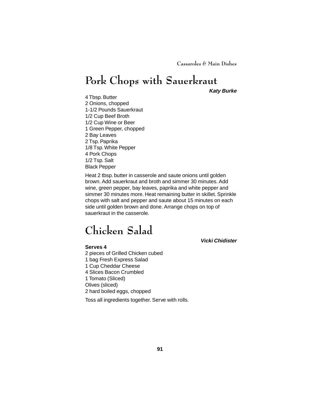# Pork Chops with Sauerkraut

**Katy Burke**

4 Tbsp. Butter 2 Onions, chopped 1-1/2 Pounds Sauerkraut 1/2 Cup Beef Broth 1/2 Cup Wine or Beer 1 Green Pepper, chopped 2 Bay Leaves 2 Tsp. Paprika 1/8 Tsp. White Pepper 4 Pork Chops 1/2 Tsp. Salt Black Pepper

Heat 2 tbsp. butter in casserole and saute onions until golden brown. Add sauerkraut and broth and simmer 30 minutes. Add wine, green pepper, bay leaves, paprika and white pepper and simmer 30 minutes more. Heat remaining butter in skillet. Sprinkle chops with salt and pepper and saute about 15 minutes on each side until golden brown and done. Arrange chops on top of sauerkraut in the casserole.

# Chicken Salad

**Vicki Chidister**

#### **Serves 4**

2 pieces of Grilled Chicken cubed 1 bag Fresh Express Salad 1 Cup Cheddar Cheese 4 Slices Bacon Crumbled 1 Tomato (Sliced) Olives (sliced) 2 hard boiled eggs, chopped

Toss all ingredients together. Serve with rolls.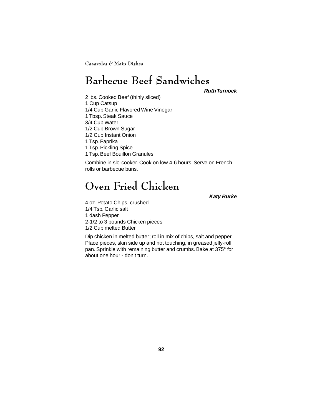# Barbecue Beef Sandwiches

**Ruth Turnock**

2 lbs. Cooked Beef (thinly sliced) 1 Cup Catsup 1/4 Cup Garlic Flavored Wine Vinegar 1 Tbsp. Steak Sauce 3/4 Cup Water 1/2 Cup Brown Sugar 1/2 Cup Instant Onion 1 Tsp. Paprika 1 Tsp. Pickling Spice 1 Tsp. Beef Bouillon Granules

Combine in slo-cooker. Cook on low 4-6 hours. Serve on French rolls or barbecue buns.

# Oven Fried Chicken

**Katy Burke**

4 oz. Potato Chips, crushed 1/4 Tsp. Garlic salt 1 dash Pepper 2-1/2 to 3 pounds Chicken pieces 1/2 Cup melted Butter

Dip chicken in melted butter; roll in mix of chips, salt and pepper. Place pieces, skin side up and not touching, in greased jelly-roll pan. Sprinkle with remaining butter and crumbs. Bake at 375° for about one hour - don't turn.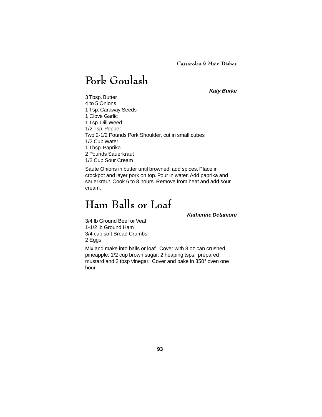# Pork Goulash

**Katy Burke**

3 Tbsp. Butter 4 to 5 Onions 1 Tsp. Caraway Seeds 1 Clove Garlic 1 Tsp. Dill Weed 1/2 Tsp. Pepper Two 2-1/2 Pounds Pork Shoulder, cut in small cubes 1/2 Cup Water 1 Tbsp. Paprika 2 Pounds Sauerkraut 1/2 Cup Sour Cream

Saute Onions in butter until browned; add spices. Place in crockpot and layer pork on top. Pour in water. Add paprika and sauerkraut. Cook 6 to 8 hours. Remove from heat and add sour cream.

# Ham Balls or Loaf

**Katherine Detamore**

3/4 lb Ground Beef or Veal 1-1/2 lb Ground Ham 3/4 cup soft Bread Crumbs 2 Eggs

Mix and make into balls or loaf. Cover with 8 oz can crushed pineapple, 1/2 cup brown sugar, 2 heaping tsps. prepared mustard and 2 tbsp vinegar. Cover and bake in 350° oven one hour.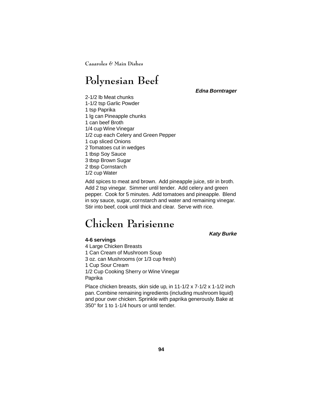# Polynesian Beef

**Edna Borntrager**

2-1/2 lb Meat chunks 1-1/2 tsp Garlic Powder 1 tsp Paprika 1 lg can Pineapple chunks 1 can beef Broth 1/4 cup Wine Vinegar 1/2 cup each Celery and Green Pepper 1 cup sliced Onions 2 Tomatoes cut in wedges 1 tbsp Soy Sauce 3 tbsp Brown Sugar 2 tbsp Cornstarch 1/2 cup Water

Add spices to meat and brown. Add pineapple juice, stir in broth. Add 2 tsp vinegar. Simmer until tender. Add celery and green pepper. Cook for 5 minutes. Add tomatoes and pineapple. Blend in soy sauce, sugar, cornstarch and water and remaining vinegar. Stir into beef, cook until thick and clear. Serve with rice.

# Chicken Parisienne

**Katy Burke**

**4-6 servings** 4 Large Chicken Breasts 1 Can Cream of Mushroom Soup 3 oz. can Mushrooms (or 1/3 cup fresh) 1 Cup Sour Cream 1/2 Cup Cooking Sherry or Wine Vinegar

Paprika

Place chicken breasts, skin side up, in 11-1/2 x 7-1/2 x 1-1/2 inch pan. Combine remaining ingredients (including mushroom liquid) and pour over chicken. Sprinkle with paprika generously. Bake at 350° for 1 to 1-1/4 hours or until tender.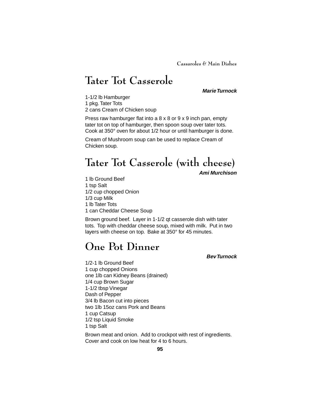#### Tater Tot Casserole

**Marie Turnock**

1-1/2 lb Hamburger 1 pkg. Tater Tots 2 cans Cream of Chicken soup

Press raw hamburger flat into a 8 x 8 or 9 x 9 inch pan, empty tater tot on top of hamburger, then spoon soup over tater tots. Cook at 350° oven for about 1/2 hour or until hamburger is done.

Cream of Mushroom soup can be used to replace Cream of Chicken soup.

# Tater Tot Casserole (with cheese)

**Ami Murchison**

1 lb Ground Beef 1 tsp Salt 1/2 cup chopped Onion 1/3 cup Milk 1 lb Tater Tots 1 can Cheddar Cheese Soup

Brown ground beef. Layer in 1-1/2 qt casserole dish with tater tots. Top with cheddar cheese soup, mixed with milk. Put in two layers with cheese on top. Bake at 350° for 45 minutes.

#### One Pot Dinner

#### **Bev Turnock**

1/2-1 lb Ground Beef 1 cup chopped Onions one 1lb can Kidney Beans (drained) 1/4 cup Brown Sugar 1-1/2 tbsp Vinegar Dash of Pepper 3/4 lb Bacon cut into pieces two 1lb 15oz cans Pork and Beans 1 cup Catsup 1/2 tsp Liquid Smoke 1 tsp Salt

Brown meat and onion. Add to crockpot with rest of ingredients. Cover and cook on low heat for 4 to 6 hours.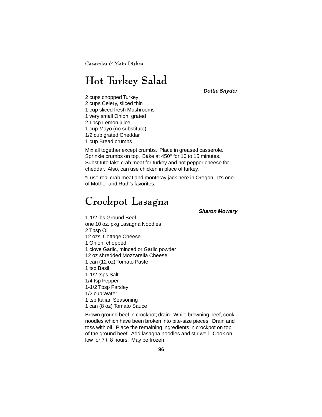#### Hot Turkey Salad

**Dottie Snyder**

2 cups chopped Turkey 2 cups Celery, sliced thin 1 cup sliced fresh Mushrooms 1 very small Onion, grated 2 Tbsp Lemon juice 1 cup Mayo (no substitute) 1/2 cup grated Cheddar 1 cup Bread crumbs

Mix all together except crumbs. Place in greased casserole. Sprinkle crumbs on top. Bake at 450° for 10 to 15 minutes. Substitute fake crab meat for turkey and hot pepper cheese for cheddar. Also, can use chicken in place of turkey.

\*I use real crab meat and monteray jack here in Oregon. It's one of Mother and Ruth's favorites.

### Crockpot Lasagna

**Sharon Mowery**

1-1/2 lbs Ground Beef one 10 oz. pkg Lasagna Noodles 2 Tbsp Oil 12 ozs. Cottage Cheese 1 Onion, chopped 1 clove Garlic, minced or Garlic powder 12 oz shredded Mozzarella Cheese 1 can (12 oz) Tomato Paste 1 tsp Basil 1-1/2 tsps Salt 1/4 tsp Pepper 1-1/2 Tbsp Parsley 1/2 cup Water 1 tsp Italian Seasoning 1 can (8 oz) Tomato Sauce

Brown ground beef in crockpot; drain. While browning beef, cook noodles which have been broken into bite-size pieces. Drain and toss with oil. Place the remaining ingredients in crockpot on top of the ground beef. Add lasagna noodles and stir well. Cook on low for 7 ti 8 hours. May be frozen.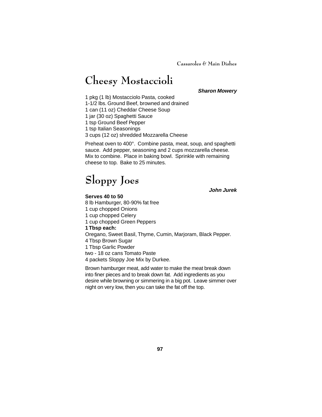#### Cheesy Mostaccioli

**Sharon Mowery**

**John Jurek**

1 pkg (1 lb) Mostacciolo Pasta, cooked

1-1/2 lbs. Ground Beef, browned and drained

1 can (11 oz) Cheddar Cheese Soup

1 jar (30 oz) Spaghetti Sauce

1 tsp Ground Beef Pepper

1 tsp Italian Seasonings

3 cups (12 oz) shredded Mozzarella Cheese

Preheat oven to 400°. Combine pasta, meat, soup, and spaghetti sauce. Add pepper, seasoning and 2 cups mozzarella cheese. Mix to combine. Place in baking bowl. Sprinkle with remaining cheese to top. Bake to 25 minutes.

# Sloppy Joes

#### **Serves 40 to 50**

8 lb Hamburger, 80-90% fat free

1 cup chopped Onions

1 cup chopped Celery

1 cup chopped Green Peppers

**1 Tbsp each:**

Oregano, Sweet Basil, Thyme, Cumin, Marjoram, Black Pepper. 4 Tbsp Brown Sugar

1 Tbsp Garlic Powder

two - 18 oz cans Tomato Paste 4 packets Sloppy Joe Mix by Durkee.

Brown hamburger meat, add water to make the meat break down into finer pieces and to break down fat. Add ingredients as you desire while browning or simmering in a big pot. Leave simmer over night on very low, then you can take the fat off the top.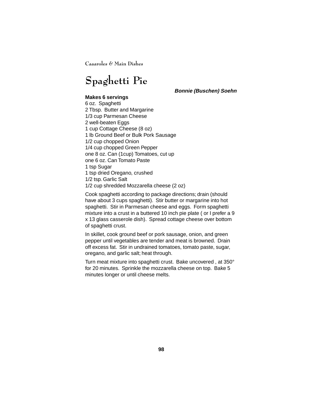### Spaghetti Pie

**Bonnie (Buschen) Soehn**

#### **Makes 6 servings** 6 oz. Spaghetti

2 Tbsp. Butter and Margarine 1/3 cup Parmesan Cheese 2 well-beaten Eggs 1 cup Cottage Cheese (8 oz) 1 lb Ground Beef or Bulk Pork Sausage 1/2 cup chopped Onion 1/4 cup chopped Green Pepper one 8 oz. Can (1cup) Tomatoes, cut up one 6 oz. Can Tomato Paste 1 tsp Sugar 1 tsp dried Oregano, crushed 1/2 tsp. Garlic Salt 1/2 cup shredded Mozzarella cheese (2 oz)

Cook spaghetti according to package directions; drain (should have about 3 cups spaghetti). Stir butter or margarine into hot spaghetti. Stir in Parmesan cheese and eggs. Form spaghetti mixture into a crust in a buttered 10 inch pie plate ( or I prefer a 9 x 13 glass casserole dish). Spread cottage cheese over bottom of spaghetti crust.

In skillet, cook ground beef or pork sausage, onion, and green pepper until vegetables are tender and meat is browned. Drain off excess fat. Stir in undrained tomatoes, tomato paste, sugar, oregano, and garlic salt; heat through.

Turn meat mixture into spaghetti crust. Bake uncovered , at 350° for 20 minutes. Sprinkle the mozzarella cheese on top. Bake 5 minutes longer or until cheese melts.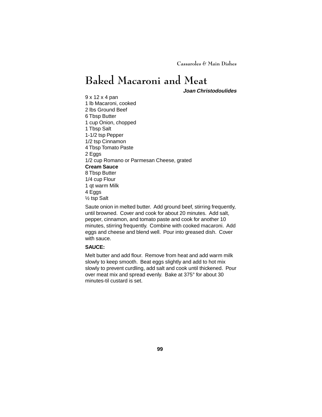# Baked Macaroni and Meat

**Joan Christodoulides**

9 x 12 x 4 pan 1 lb Macaroni, cooked 2 lbs Ground Beef 6 Tbsp Butter 1 cup Onion, chopped 1 Tbsp Salt 1-1/2 tsp Pepper 1/2 tsp Cinnamon 4 Tbsp Tomato Paste 2 Eggs 1/2 cup Romano or Parmesan Cheese, grated **Cream Sauce** 8 Tbsp Butter 1/4 cup Flour 1 qt warm Milk 4 Eggs ½ tsp Salt

Saute onion in melted butter. Add ground beef, stirring frequently, until browned. Cover and cook for about 20 minutes. Add salt, pepper, cinnamon, and tomato paste and cook for another 10 minutes, stirring frequently. Combine with cooked macaroni. Add eggs and cheese and blend well. Pour into greased dish. Cover with sauce.

#### **SAUCE:**

Melt butter and add flour. Remove from heat and add warm milk slowly to keep smooth. Beat eggs slightly and add to hot mix slowly to prevent curdling, add salt and cook until thickened. Pour over meat mix and spread evenly. Bake at 375° for about 30 minutes-til custard is set.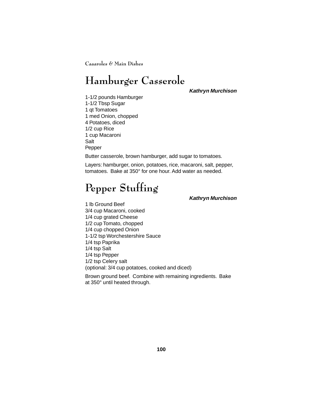#### Hamburger Casserole

**Kathryn Murchison**

1-1/2 pounds Hamburger 1-1/2 Tbsp Sugar 1 qt Tomatoes 1 med Onion, chopped 4 Potatoes, diced 1/2 cup Rice 1 cup Macaroni Salt Pepper

Butter casserole, brown hamburger, add sugar to tomatoes.

Layers: hamburger, onion, potatoes, rice, macaroni, salt, pepper, tomatoes. Bake at 350° for one hour. Add water as needed.

# Pepper Stuffing

**Kathryn Murchison**

1 lb Ground Beef 3/4 cup Macaroni, cooked 1/4 cup grated Cheese 1/2 cup Tomato, chopped 1/4 cup chopped Onion 1-1/2 tsp Worchestershire Sauce 1/4 tsp Paprika 1/4 tsp Salt 1/4 tsp Pepper 1/2 tsp Celery salt (optional: 3/4 cup potatoes, cooked and diced)

Brown ground beef. Combine with remaining ingredients. Bake at 350° until heated through.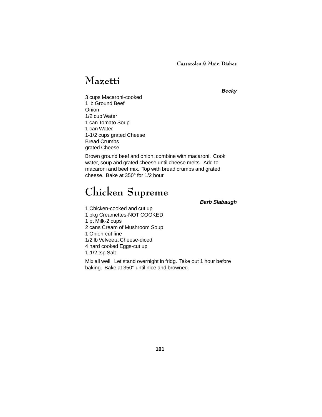### Mazetti

**Becky**

3 cups Macaroni-cooked 1 lb Ground Beef **Onion** 1/2 cup Water 1 can Tomato Soup 1 can Water 1-1/2 cups grated Cheese Bread Crumbs grated Cheese

Brown ground beef and onion; combine with macaroni. Cook water, soup and grated cheese until cheese melts. Add to macaroni and beef mix. Top with bread crumbs and grated cheese. Bake at 350° for 1/2 hour

# Chicken Supreme

**Barb Slabaugh**

1 Chicken-cooked and cut up 1 pkg Creamettes-NOT COOKED

- 1 pt Milk-2 cups
- 2 cans Cream of Mushroom Soup
- 1 Onion-cut fine
- 1/2 lb Velveeta Cheese-diced
- 4 hard cooked Eggs-cut up
- 1-1/2 tsp Salt

Mix all well. Let stand overnight in fridg. Take out 1 hour before baking. Bake at 350° until nice and browned.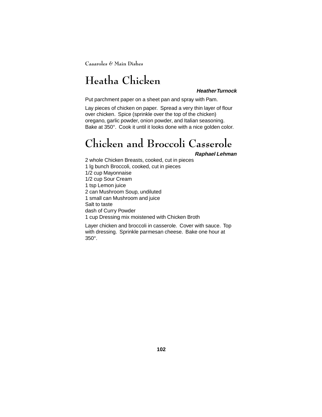# Heatha Chicken

#### **Heather Turnock**

Put parchment paper on a sheet pan and spray with Pam.

Lay pieces of chicken on paper. Spread a very thin layer of flour over chicken. Spice (sprinkle over the top of the chicken) oregano, garlic powder, onion powder, and Italian seasoning. Bake at 350°. Cook it until it looks done with a nice golden color.

# Chicken and Broccoli Casserole

#### **Raphael Lehman**

2 whole Chicken Breasts, cooked, cut in pieces 1 lg bunch Broccoli, cooked, cut in pieces 1/2 cup Mayonnaise 1/2 cup Sour Cream 1 tsp Lemon juice 2 can Mushroom Soup, undiluted 1 small can Mushroom and juice Salt to taste dash of Curry Powder 1 cup Dressing mix moistened with Chicken Broth

Layer chicken and broccoli in casserole. Cover with sauce. Top with dressing. Sprinkle parmesan cheese. Bake one hour at 350°.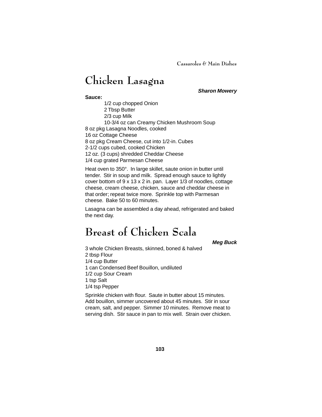# Chicken Lasagna

#### **Sharon Mowery**

**Sauce:**

1/2 cup chopped Onion 2 Tbsp Butter 2/3 cup Milk 10-3/4 oz can Creamy Chicken Mushroom Soup 8 oz pkg Lasagna Noodles, cooked 16 oz Cottage Cheese 8 oz pkg Cream Cheese, cut into 1/2-in. Cubes 2-1/2 cups cubed, cooked Chicken 12 oz. (3 cups) shredded Cheddar Cheese 1/4 cup grated Parmesan Cheese

Heat oven to 350°. In large skillet, saute onion in butter until tender. Stir in soup and milk. Spread enough sauce to lightly cover bottom of 9 x 13 x 2 in. pan. Layer 1/3 of noodles, cottage cheese, cream cheese, chicken, sauce and cheddar cheese in that order; repeat twice more. Sprinkle top with Parmesan cheese. Bake 50 to 60 minutes.

Lasagna can be assembled a day ahead, refrigerated and baked the next day.

### Breast of Chicken Scala

**Meg Buck**

3 whole Chicken Breasts, skinned, boned & halved 2 tbsp Flour 1/4 cup Butter 1 can Condensed Beef Bouillon, undiluted 1/2 cup Sour Cream 1 tsp Salt 1/4 tsp Pepper

Sprinkle chicken with flour. Saute in butter about 15 minutes. Add bouillon, simmer uncovered about 45 minutes. Stir in sour cream, salt, and pepper. Simmer 10 minutes. Remove meat to serving dish. Stir sauce in pan to mix well. Strain over chicken.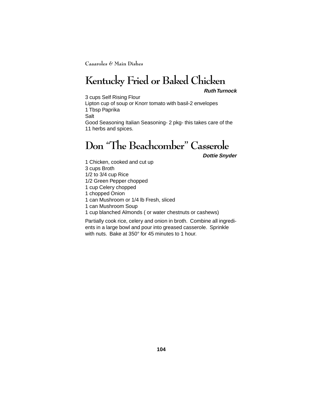# Kentucky Fried or Baked Chicken

**Ruth Turnock**

3 cups Self Rising Flour Lipton cup of soup or Knorr tomato with basil-2 envelopes 1 Tbsp Paprika Salt Good Seasoning Italian Seasoning- 2 pkg- this takes care of the 11 herbs and spices.

# Don "The Beachcomber" Casserole

**Dottie Snyder**

1 Chicken, cooked and cut up 3 cups Broth 1/2 to 3/4 cup Rice 1/2 Green Pepper chopped 1 cup Celery chopped 1 chopped Onion 1 can Mushroom or 1/4 lb Fresh, sliced 1 can Mushroom Soup 1 cup blanched Almonds ( or water chestnuts or cashews)

Partially cook rice, celery and onion in broth. Combine all ingredients in a large bowl and pour into greased casserole. Sprinkle with nuts. Bake at 350° for 45 minutes to 1 hour.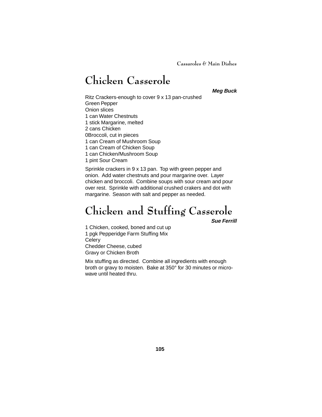# Chicken Casserole

**Meg Buck**

Ritz Crackers-enough to cover 9 x 13 pan-crushed Green Pepper Onion slices 1 can Water Chestnuts 1 stick Margarine, melted 2 cans Chicken 0Broccoli, cut in pieces 1 can Cream of Mushroom Soup 1 can Cream of Chicken Soup 1 can Chicken/Mushroom Soup 1 pint Sour Cream

Sprinkle crackers in 9 x 13 pan. Top with green pepper and onion. Add water chestnuts and pour margarine over. Layer chicken and broccoli. Combine soups with sour cream and pour over rest. Sprinkle with additional crushed crakers and dot with margarine. Season with salt and pepper as needed.

# Chicken and Stuffing Casserole

**Sue Ferrill**

1 Chicken, cooked, boned and cut up 1 pgk Pepperidge Farm Stuffing Mix **Celery** Chedder Cheese, cubed Gravy or Chicken Broth

Mix stuffing as directed. Combine all ingredients with enough broth or gravy to moisten. Bake at 350° for 30 minutes or microwave until heated thru.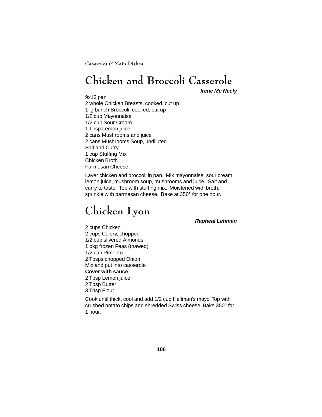# Chicken and Broccoli Casserole

**Irene Mc Neely**

9x13 pan 2 whole Chicken Breasts, cooked, cut up 1 lg bunch Broccoli, cooked, cut up 1/2 cup Mayonnaise 1/2 cup Sour Cream 1 Tbsp Lemon juice 2 cans Mushrooms and juice 2 cans Mushrooms Soup, undiluted Salt and Curry 1 cup Stuffing Mix Chicken Broth Parmesan Cheese

Layer chicken and broccoli in pan. Mix mayonnaise, sour cream, lemon juice, mushroom soup, mushrooms and juice. Salt and curry to taste. Top with stuffing mix. Moistened with broth, sprinkle with parmesan cheese. Bake at 350° for one hour.

### Chicken Lyon

**Rapheal Lehman**

2 cups Chicken 2 cups Celery, chopped 1/2 cup slivered Almonds 1 pkg frozen Peas (thawed) 1/2 can Pimento 2 Tbsps chopped Onion Mix and put into casserole **Cover with sauce** 2 Tbsp Lemon juice 2 Tbsp Butter 3 Tbsp Flour

Cook until thick, cool and add 1/2 cup Hellman's mayo. Top with crushed potato chips and shredded Swiss cheese. Bake 350° for 1 hour.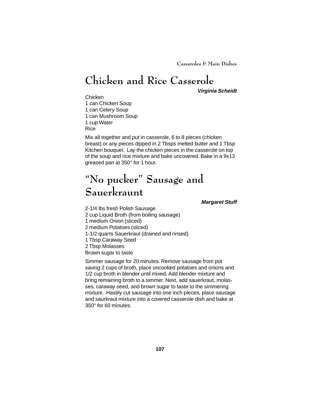Cassaroles & Main Dishes

# Chicken and Rice Casserole

**Virginia Scheidt**

**Chicken** 1 can Chicken Soup 1 can Celery Soup 1 can Mushroom Soup 1 cup Water Rice

Mix all together and put in casserole, 6 to 8 pieces (chicken breast) or any pieces dipped in 2 Tbsps melted butter and 1 Tbsp Kitchen bouquet. Lay the chicken pieces in the casserole on top of the soup and rice mixture and bake uncovered. Bake in a 9x13 greased pan at 350° for 1 hour.

## "No pucker" Sausage and Sauerkraunt

**Margaret Stuff**

2-1/4 lbs fresh Polish Sausage 2 cup Liquid Broth (from boiling sausage) 1 medium Onion (sliced) 2 medium Potatoes (sliced) 1-1/2 quarts Sauerkraut (drained and rinsed) 1 Tbsp Caraway Seed 2 Tbsp Molasses Brown sugar to taste

Simmer sausage for 20 minutes. Remove sausage from pot saving 2 cups of broth, place uncooked potatoes and onions and 1/2 cup broth in blender until mixed. Add blender mixture and bring remaining broth to a simmer. Next, add sauerkraut, molasses, caraway seed, and brown sugar to taste to the simmering mixture. Hastily cut sausage into one inch pieces, place sausage and saurkraut mixture into a covered casserole dish and bake at 350° for 60 minutes.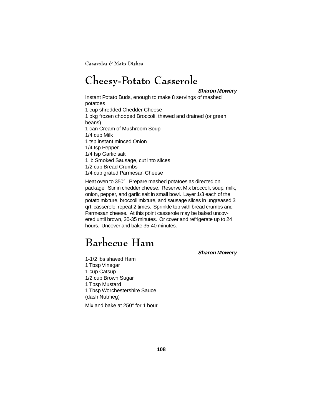Caaaroles & Main Dishes

## Cheesy-Potato Casserole

**Sharon Mowery**

Instant Potato Buds, enough to make 8 servings of mashed potatoes 1 cup shredded Chedder Cheese 1 pkg frozen chopped Broccoli, thawed and drained (or green beans) 1 can Cream of Mushroom Soup 1/4 cup Milk 1 tsp instant minced Onion 1/4 tsp Pepper 1/4 tsp Garlic salt 1 lb Smoked Sausage, cut into slices 1/2 cup Bread Crumbs 1/4 cup grated Parmesan Cheese

Heat oven to 350°. Prepare mashed potatoes as directed on package. Stir in chedder cheese. Reserve. Mix broccoli, soup, milk, onion, pepper, and garlic salt in small bowl. Layer 1/3 each of the potato mixture, broccoli mixture, and sausage slices in ungreased 3 qrt. casserole; repeat 2 times. Sprinkle top with bread crumbs and Parmesan cheese. At this point casserole may be baked uncovered until brown, 30-35 minutes. Or cover and refrigerate up to 24 hours. Uncover and bake 35-40 minutes.

# Barbecue Ham

**Sharon Mowery**

1-1/2 lbs shaved Ham 1 Tbsp Vinegar 1 cup Catsup 1/2 cup Brown Sugar 1 Tbsp Mustard 1 Tbsp Worchestershire Sauce (dash Nutmeg)

Mix and bake at 250° for 1 hour.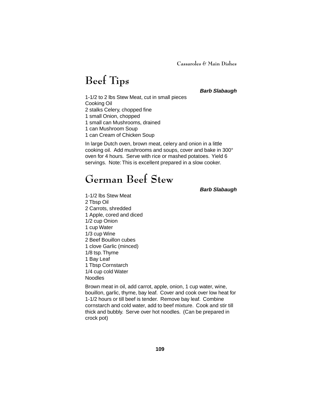Cassaroles & Main Dishes

# Beef Tips

**Barb Slabaugh**

1-1/2 to 2 lbs Stew Meat, cut in small pieces Cooking Oil 2 stalks Celery, chopped fine 1 small Onion, chopped

1 small can Mushrooms, drained

1 can Mushroom Soup

1 can Cream of Chicken Soup

In large Dutch oven, brown meat, celery and onion in a little cooking oil. Add mushrooms and soups, cover and bake in 300° oven for 4 hours. Serve with rice or mashed potatoes. Yield 6 servings. Note: This is excellent prepared in a slow cooker.

### German Beef Stew

**Barb Slabaugh**

1-1/2 lbs Stew Meat 2 Tbsp Oil 2 Carrots, shredded 1 Apple, cored and diced 1/2 cup Onion 1 cup Water 1/3 cup Wine 2 Beef Bouillon cubes 1 clove Garlic (minced) 1/8 tsp. Thyme 1 Bay Leaf 1 Tbsp Cornstarch 1/4 cup cold Water Noodles

Brown meat in oil, add carrot, apple, onion, 1 cup water, wine, bouillon, garlic, thyme, bay leaf. Cover and cook over low heat for 1-1/2 hours or till beef is tender. Remove bay leaf. Combine cornstarch and cold water, add to beef mixture. Cook and stir till thick and bubbly. Serve over hot noodles. (Can be prepared in crock pot)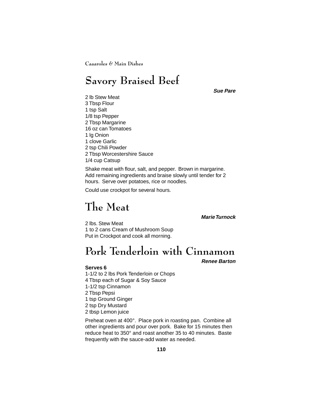Caaaroles & Main Dishes

### Savory Braised Beef

**Sue Pare**

2 lb Stew Meat 3 Tbsp Flour 1 tsp Salt 1/8 tsp Pepper 2 Tbsp Margarine 16 oz can Tomatoes 1 lg Onion 1 clove Garlic 2 tsp Chili Powder 2 Tbsp Worcestershire Sauce 1/4 cup Catsup

Shake meat with flour, salt, and pepper. Brown in margarine. Add remaining ingredients and braise slowly until tender for 2 hours. Serve over potatoes, rice or noodles.

Could use crockpot for several hours.

# The Meat

**Marie Turnock**

2 lbs. Stew Meat 1 to 2 cans Cream of Mushroom Soup Put in Crockpot and cook all morning.

## Pork Tenderloin with Cinnamon

**Renee Barton**

#### **Serves 6**

1-1/2 to 2 lbs Pork Tenderloin or Chops 4 Tbsp each of Sugar & Soy Sauce 1-1/2 tsp Cinnamon 2 Tbsp Pepsi 1 tsp Ground Ginger 2 tsp Dry Mustard 2 tbsp Lemon juice

Preheat oven at 400°. Place pork in roasting pan. Combine all other ingredients and pour over pork. Bake for 15 minutes then reduce heat to 350° and roast another 35 to 40 minutes. Baste frequently with the sauce-add water as needed.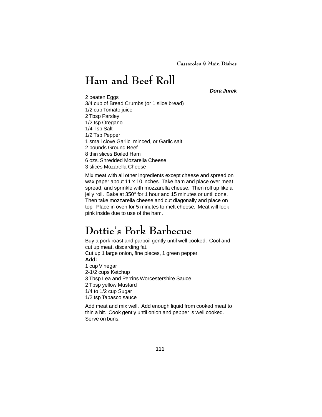Cassaroles & Main Dishes

## Ham and Beef Roll

**Dora Jurek**

2 beaten Eggs 3/4 cup of Bread Crumbs (or 1 slice bread) 1/2 cup Tomato juice 2 Tbsp Parsley 1/2 tsp Oregano 1/4 Tsp Salt 1/2 Tsp Pepper 1 small clove Garlic, minced, or Garlic salt 2 pounds Ground Beef 8 thin slices Boiled Ham 6 ozs. Shredded Mozarella Cheese 3 slices Mozarella Cheese

Mix meat with all other ingredients except cheese and spread on wax paper about 11 x 10 inches. Take ham and place over meat spread, and sprinkle with mozzarella cheese. Then roll up like a jelly roll. Bake at 350° for 1 hour and 15 minutes or until done. Then take mozzarella cheese and cut diagonally and place on top. Place in oven for 5 minutes to melt cheese. Meat will look pink inside due to use of the ham.

### Dottie's Pork Barbecue

Buy a pork roast and parboil gently until well cooked. Cool and cut up meat, discarding fat. Cut up 1 large onion, fine pieces, 1 green pepper. **Add:** 1 cup Vinegar 2-1/2 cups Ketchup 3 Tbsp Lea and Perrins Worcestershire Sauce 2 Tbsp yellow Mustard 1/4 to 1/2 cup Sugar 1/2 tsp Tabasco sauce

Add meat and mix well. Add enough liquid from cooked meat to thin a bit. Cook gently until onion and pepper is well cooked. Serve on buns.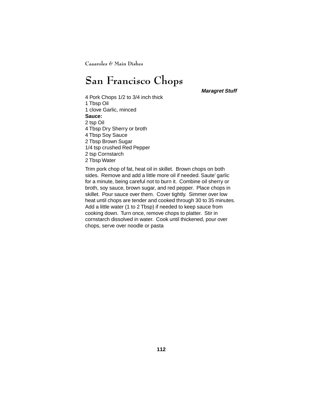Caaaroles & Main Dishes

### San Francisco Chops

**Maragret Stuff**

4 Pork Chops 1/2 to 3/4 inch thick 1 Tbsp Oil 1 clove Garlic, minced **Sauce:** 2 tsp Oil 4 Tbsp Dry Sherry or broth 4 Tbsp Soy Sauce 2 Tbsp Brown Sugar 1/4 tsp crushed Red Pepper 2 tsp Cornstarch 2 Tbsp Water

Trim pork chop of fat, heat oil in skillet. Brown chops on both sides. Remove and add a little more oil if needed. Saute' garlic for a minute, being careful not to burn it. Combine oil sherry or broth, soy sauce, brown sugar, and red pepper. Place chops in skillet. Pour sauce over them. Cover tightly. Simmer over low heat until chops are tender and cooked through 30 to 35 minutes. Add a little water (1 to 2 Tbsp) if needed to keep sauce from cooking down. Turn once, remove chops to platter. Stir in cornstarch dissolved in water. Cook until thickened, pour over chops, serve over noodle or pasta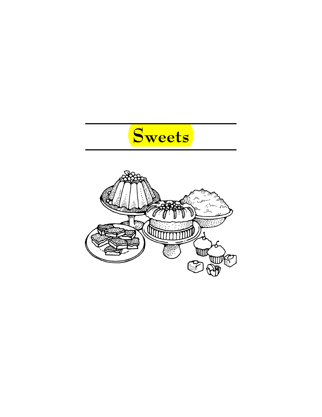

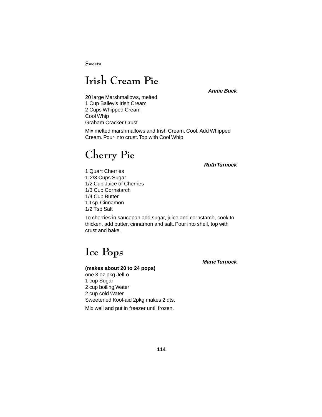## Irish Cream Pie

**Annie Buck**

20 large Marshmallows, melted 1 Cup Bailey's Irish Cream 2 Cups Whipped Cream Cool Whip Graham Cracker Crust

Mix melted marshmallows and Irish Cream. Cool. Add Whipped Cream. Pour into crust. Top with Cool Whip

## Cherry Pie

**Ruth Turnock**

**Marie Turnock**

1 Quart Cherries 1-2/3 Cups Sugar 1/2 Cup Juice of Cherries 1/3 Cup Cornstarch 1/4 Cup Butter 1 Tsp. Cinnamon 1/2 Tsp Salt

To cherries in saucepan add sugar, juice and cornstarch, cook to thicken, add butter, cinnamon and salt. Pour into shell, top with crust and bake.

### Ice Pops

#### **(makes about 20 to 24 pops)**

one 3 oz pkg Jell-o 1 cup Sugar 2 cup boiling Water 2 cup cold Water Sweetened Kool-aid 2pkg makes 2 qts.

Mix well and put in freezer until frozen.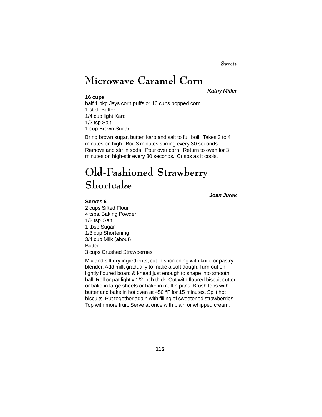### Microwave Caramel Corn

#### **Kathy Miller**

#### **16 cups**

half 1 pkg Jays corn puffs or 16 cups popped corn 1 stick Butter 1/4 cup light Karo 1/2 tsp Salt 1 cup Brown Sugar

Bring brown sugar, butter, karo and salt to full boil. Takes 3 to 4 minutes on high. Boil 3 minutes stirring every 30 seconds. Remove and stir in soda. Pour over corn. Return to oven for 3 minutes on high-stir every 30 seconds. Crisps as it cools.

## Old-Fashioned Strawberry Shortcake

**Joan Jurek**

#### **Serves 6**

2 cups Sifted Flour 4 tsps. Baking Powder 1/2 tsp. Salt 1 tbsp Sugar 1/3 cup Shortening 3/4 cup Milk (about) **Butter** 3 cups Crushed Strawberries

Mix and sift dry ingredients; cut in shortening with knife or pastry blender. Add milk gradually to make a soft dough. Turn out on lightly floured board & knead just enough to shape into smooth ball. Roll or pat lightly 1/2 inch thick. Cut with floured biscuit cutter or bake in large sheets or bake in muffin pans. Brush tops with butter and bake in hot oven at 450 **°**F for 15 minutes. Split hot biscuits. Put together again with filling of sweetened strawberries. Top with more fruit. Serve at once with plain or whipped cream.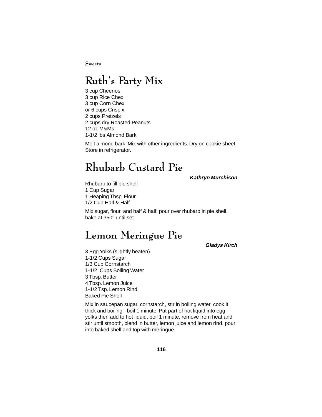### Ruth's Party Mix

3 cup Cheerios 3 cup Rice Chex 3 cup Corn Chex or 6 cups Crispix 2 cups Pretzels 2 cups dry Roasted Peanuts 12 oz M&Ms' 1-1/2 lbs Almond Bark

Melt almond bark. Mix with other ingredients. Dry on cookie sheet. Store in refrigerator.

## Rhubarb Custard Pie

**Kathryn Murchison**

Rhubarb to fill pie shell 1 Cup Sugar 1 Heaping Tbsp. Flour 1/2 Cup Half & Half

Mix sugar, flour, and half & half, pour over rhubarb in pie shell, bake at 350° until set.

### Lemon Meringue Pie

**Gladys Kirch**

3 Egg Yolks (slightly beaten) 1-1/2 Cups Sugar 1/3 Cup Cornstarch 1-1/2 Cups Boiling Water 3 Tbsp. Butter 4 Tbsp. Lemon Juice 1-1/2 Tsp. Lemon Rind Baked Pie Shell

Mix in saucepan sugar, cornstarch, stir in boiling water, cook it thick and boiling - boil 1 minute. Put part of hot liquid into egg yolks then add to hot liquid, boil 1 minute, remove from heat and stir until smooth, blend in butter, lemon juice and lemon rind, pour into baked shell and top with meringue.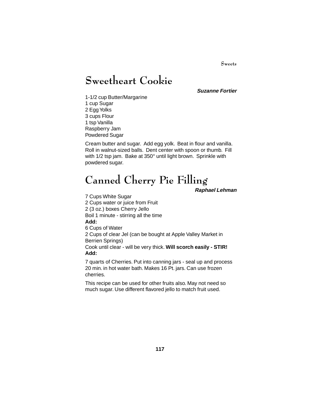## Sweetheart Cookie

**Suzanne Fortier**

1-1/2 cup Butter/Margarine 1 cup Sugar 2 Egg Yolks 3 cups Flour 1 tsp Vanilla Raspberry Jam Powdered Sugar

Cream butter and sugar. Add egg yolk. Beat in flour and vanilla. Roll in walnut-sized balls. Dent center with spoon or thumb. Fill with 1/2 tsp jam. Bake at 350° until light brown. Sprinkle with powdered sugar.

## Canned Cherry Pie Filling

#### **Raphael Lehman**

7 Cups White Sugar 2 Cups water or juice from Fruit 2 (3 oz.) boxes Cherry Jello Boil 1 minute - stirring all the time **Add:** 6 Cups of Water 2 Cups of clear Jel (can be bought at Apple Valley Market in Berrien Springs) Cook until clear - will be very thick. **Will scorch easily - STIR! Add:**

7 quarts of Cherries. Put into canning jars - seal up and process 20 min. in hot water bath. Makes 16 Pt. jars. Can use frozen cherries.

This recipe can be used for other fruits also. May not need so much sugar. Use different flavored jello to match fruit used.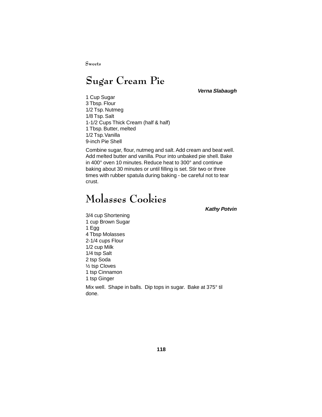## Sugar Cream Pie

**Verna Slabaugh**

1 Cup Sugar 3 Tbsp. Flour 1/2 Tsp. Nutmeg 1/8 Tsp. Salt 1-1/2 Cups Thick Cream (half & half) 1 Tbsp. Butter, melted 1/2 Tsp. Vanilla 9-inch Pie Shell

Combine sugar, flour, nutmeg and salt. Add cream and beat well. Add melted butter and vanilla. Pour into unbaked pie shell. Bake in 400° oven 10 minutes. Reduce heat to 300° and continue baking about 30 minutes or until filling is set. Stir two or three times with rubber spatula during baking - be careful not to tear crust.

## Molasses Cookies

**Kathy Potvin**

3/4 cup Shortening 1 cup Brown Sugar 1 Egg 4 Tbsp Molasses 2-1/4 cups Flour 1/2 cup Milk 1/4 tsp Salt 2 tsp Soda ½ tsp Cloves 1 tsp Cinnamon 1 tsp Ginger

Mix well. Shape in balls. Dip tops in sugar. Bake at 375° til done.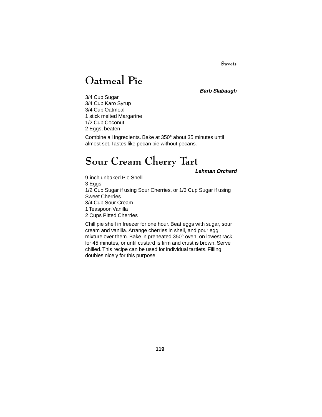## Oatmeal Pie

**Barb Slabaugh**

3/4 Cup Sugar 3/4 Cup Karo Syrup 3/4 Cup Oatmeal 1 stick melted Margarine 1/2 Cup Coconut 2 Eggs, beaten

Combine all ingredients. Bake at 350° about 35 minutes until almost set. Tastes like pecan pie without pecans.

## Sour Cream Cherry Tart

**Lehman Orchard**

9-inch unbaked Pie Shell 3 Eggs 1/2 Cup Sugar if using Sour Cherries, or 1/3 Cup Sugar if using Sweet Cherries 3/4 Cup Sour Cream 1 Teaspoon Vanilla 2 Cups Pitted Cherries

Chill pie shell in freezer for one hour. Beat eggs with sugar, sour cream and vanilla. Arrange cherries in shell, and pour egg mixture over them. Bake in preheated 350° oven, on lowest rack, for 45 minutes, or until custard is firm and crust is brown. Serve chilled. This recipe can be used for individual tartlets. Filling doubles nicely for this purpose.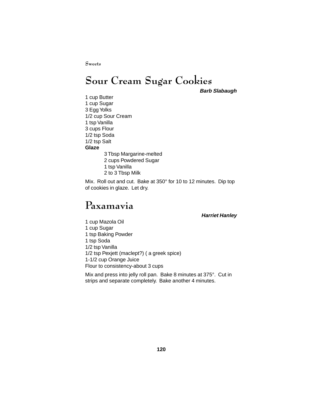# Sour Cream Sugar Cookies

**Barb Slabaugh**

1 cup Butter 1 cup Sugar 3 Egg Yolks 1/2 cup Sour Cream 1 tsp Vanilla 3 cups Flour 1/2 tsp Soda 1/2 tsp Salt **Glaze** 3 Tbsp Margarine-melted 2 cups Powdered Sugar 1 tsp Vanilla 2 to 3 Tbsp Milk

Mix. Roll out and cut. Bake at 350° for 10 to 12 minutes. Dip top of cookies in glaze. Let dry.

### Paxamavia

**Harriet Hanley**

1 cup Mazola Oil 1 cup Sugar 1 tsp Baking Powder 1 tsp Soda 1/2 tsp Vanilla 1/2 tsp Pexjett (maclept?) ( a greek spice) 1-1/2 cup Orange Juice Flour to consistency-about 3 cups

Mix and press into jelly roll pan. Bake 8 minutes at 375°. Cut in strips and separate completely. Bake another 4 minutes.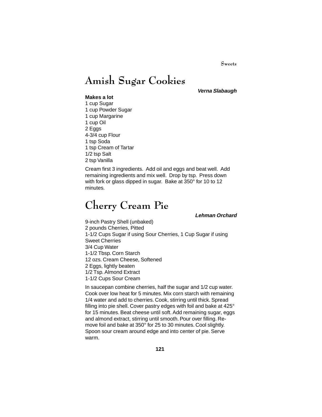## Amish Sugar Cookies

**Verna Slabaugh**

#### **Makes a lot**

1 cup Sugar 1 cup Powder Sugar 1 cup Margarine 1 cup Oil 2 Eggs 4-3/4 cup Flour 1 tsp Soda 1 tsp Cream of Tartar 1/2 tsp Salt 2 tsp Vanilla

Cream first 3 ingredients. Add oil and eggs and beat well. Add remaining ingredients and mix well. Drop by tsp. Press down with fork or glass dipped in sugar. Bake at 350° for 10 to 12 minutes.

### Cherry Cream Pie

**Lehman Orchard**

9-inch Pastry Shell (unbaked) 2 pounds Cherries, Pitted 1-1/2 Cups Sugar if using Sour Cherries, 1 Cup Sugar if using Sweet Cherries 3/4 Cup Water 1-1/2 Tbsp. Corn Starch 12 ozs. Cream Cheese, Softened 2 Eggs, lightly beaten 1/2 Tsp. Almond Extract 1-1/2 Cups Sour Cream

In saucepan combine cherries, half the sugar and 1/2 cup water. Cook over low heat for 5 minutes. Mix corn starch with remaining 1/4 water and add to cherries. Cook, stirring until thick. Spread filling into pie shell. Cover pastry edges with foil and bake at 425° for 15 minutes. Beat cheese until soft. Add remaining sugar, eggs and almond extract, stirring until smooth. Pour over filling. Remove foil and bake at 350° for 25 to 30 minutes. Cool slightly. Spoon sour cream around edge and into center of pie. Serve warm.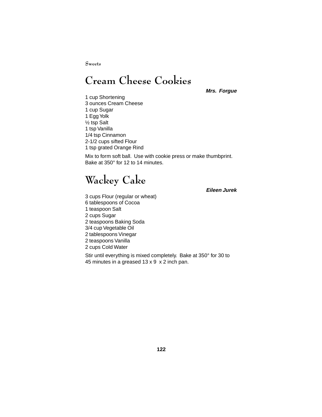## Cream Cheese Cookies

**Mrs. Forgue**

**Eileen Jurek**

1 cup Shortening 3 ounces Cream Cheese 1 cup Sugar 1 Egg Yolk ½ tsp Salt 1 tsp Vanilla 1/4 tsp Cinnamon 2-1/2 cups sifted Flour 1 tsp grated Orange Rind

Mix to form soft ball. Use with cookie press or make thumbprint. Bake at 350° for 12 to 14 minutes.

## Wackey Cake

3 cups Flour (regular or wheat) 6 tablespoons of Cocoa 1 teaspoon Salt 2 cups Sugar 2 teaspoons Baking Soda 3/4 cup Vegetable Oil 2 tablespoons Vinegar 2 teaspoons Vanilla 2 cups Cold Water Stir until everything is mixed completely. Bake at 350° for 30 to 45 minutes in a greased 13 x 9 x 2 inch pan.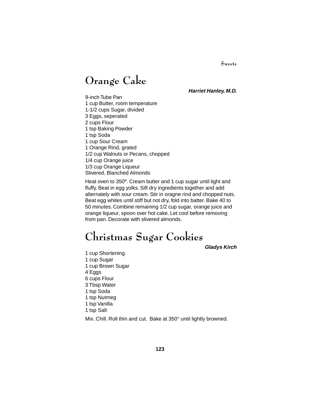### Orange Cake

**Harriet Hanley, M.D.**

9-inch Tube Pan 1 cup Butter, room temperature 1-1/2 cups Sugar, divided 3 Eggs, seperated 2 cups Flour 1 tsp Baking Powder 1 tsp Soda 1 cup Sour Cream 1 Orange Rind, grated 1/2 cup Walnuts or Pecans, chopped 1/4 cup Orange juice 1/3 cup Orange Liqueur Slivered, Blanched Almonds

Heat oven to 350**°**. Cream butter and 1 cup sugar until light and fluffy. Beat in egg yolks. Sift dry ingredients together and add alternately with sour cream. Stir in oragne rind and chopped nuts. Beat egg whites until stiff but not dry, fold into batter. Bake 40 to 50 minutes. Combine remaining 1/2 cup sugar, orange juice and orange liqueur, spoon over hot cake. Let cool before removing from pan. Decorate with slivered almonds.

### Christmas Sugar Cookies

**Gladys Kirch**

- 1 cup Shortening 1 cup Sugar 1 cup Brown Sugar 4 Eggs 6 cups Flour 3 Tbsp Water 1 tsp Soda 1 tsp Nutmeg 1 tsp Vanilla
- 1 tsp Salt

Mix. Chill. Roll thin and cut. Bake at 350° until lightly browned.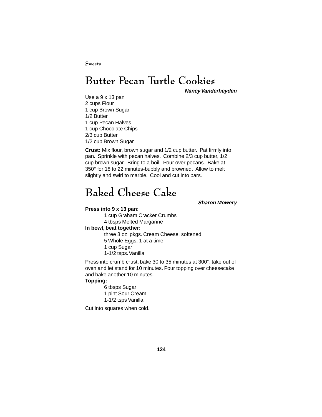# Butter Pecan Turtle Cookies

**Nancy Vanderheyden**

Use a 9 x 13 pan 2 cups Flour 1 cup Brown Sugar 1/2 Butter 1 cup Pecan Halves 1 cup Chocolate Chips 2/3 cup Butter 1/2 cup Brown Sugar

**Crust:** Mix flour, brown sugar and 1/2 cup butter. Pat firmly into pan. Sprinkle with pecan halves. Combine 2/3 cup butter, 1/2 cup brown sugar. Bring to a boil. Pour over pecans. Bake at 350° for 18 to 22 minutes-bubbly and browned. Allow to melt slightly and swirl to marble. Cool and cut into bars.

# Baked Cheese Cake

**Sharon Mowery**

#### **Press into 9 x 13 pan:**

1 cup Graham Cracker Crumbs

4 tbsps Melted Margarine

#### **In bowl, beat together:**

three 8 oz. pkgs. Cream Cheese, softened 5 Whole Eggs, 1 at a time

1 cup Sugar

1-1/2 tsps. Vanilla

Press into crumb crust; bake 30 to 35 minutes at 300°. take out of oven and let stand for 10 minutes. Pour topping over cheesecake and bake another 10 minutes.

#### **Topping:**

6 tbsps Sugar 1 pint Sour Cream 1-1/2 tsps Vanilla

Cut into squares when cold.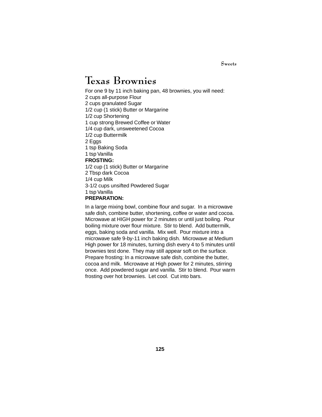### Texas Brownies

For one 9 by 11 inch baking pan, 48 brownies, you will need: 2 cups all-purpose Flour 2 cups granulated Sugar 1/2 cup (1 stick) Butter or Margarine 1/2 cup Shortening 1 cup strong Brewed Coffee or Water 1/4 cup dark, unsweetened Cocoa 1/2 cup Buttermilk 2 Eggs 1 tsp Baking Soda 1 tsp Vanilla **FROSTING:** 1/2 cup (1 stick) Butter or Margarine 2 Tbsp dark Cocoa 1/4 cup Milk

3-1/2 cups unsifted Powdered Sugar 1 tsp Vanilla

#### **PREPARATION:**

In a large mixing bowl, combine flour and sugar. In a microwave safe dish, combine butter, shortening, coffee or water and cocoa. Microwave at HIGH power for 2 minutes or until just boiling. Pour boiling mixture over flour mixture. Stir to blend. Add buttermilk, eggs, baking soda and vanilla. Mix well. Pour mixture into a microwave safe 9-by-11 inch baking dish. Microwave at Medium High power for 18 minutes, turning dish every 4 to 5 minutes until brownies test done. They may still appear soft on the surface. Prepare frosting: In a microwave safe dish, combine the butter, cocoa and milk. Microwave at High power for 2 minutes, stirring once. Add powdered sugar and vanilla. Stir to blend. Pour warm frosting over hot brownies. Let cool. Cut into bars.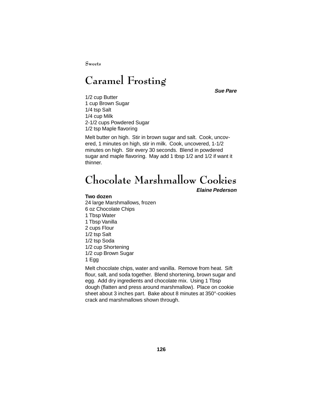### Caramel Frosting

**Sue Pare**

1/2 cup Butter 1 cup Brown Sugar 1/4 tsp Salt 1/4 cup Milk 2-1/2 cups Powdered Sugar 1/2 tsp Maple flavoring

Melt butter on high. Stir in brown sugar and salt. Cook, uncovered, 1 minutes on high, stir in milk. Cook, uncovered, 1-1/2 minutes on high. Stir every 30 seconds. Blend in powdered sugar and maple flavoring. May add 1 tbsp 1/2 and 1/2 if want it thinner.

# Chocolate Marshmallow Cookies

**Elaine Pederson**

#### **Two dozen**

24 large Marshmallows, frozen 6 oz Chocolate Chips 1 Tbsp Water 1 Tbsp Vanilla 2 cups Flour 1/2 tsp Salt 1/2 tsp Soda 1/2 cup Shortening 1/2 cup Brown Sugar 1 Egg

Melt chocolate chips, water and vanilla. Remove from heat. Sift flour, salt, and soda together. Blend shortening, brown sugar and egg. Add dry ingredients and chocolate mix. Using 1 Tbsp dough (flatten and press around marshmallow). Place on cookie sheet about 3 inches part. Bake about 8 minutes at 350°-cookies crack and marshmallows shown through.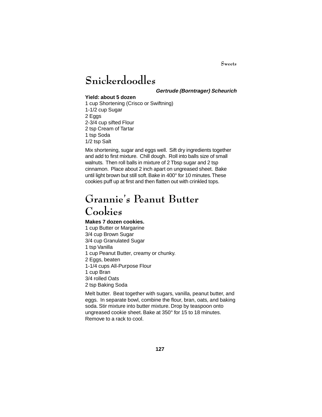## Snickerdoodles

**Gertrude (Borntrager) Scheurich**

#### **Yield: about 5 dozen**

1 cup Shortening (Crisco or Swiftning) 1-1/2 cup Sugar 2 Eggs 2-3/4 cup sifted Flour 2 tsp Cream of Tartar 1 tsp Soda 1/2 tsp Salt

Mix shortening, sugar and eggs well. Sift dry ingredients together and add to first mixture. Chill dough. Roll into balls size of small walnuts. Then roll balls in mixture of 2 Tbsp sugar and 2 tsp cinnamon. Place about 2 inch apart on ungreased sheet. Bake until light brown but still soft. Bake in 400° for 10 minutes. These cookies puff up at first and then flatten out with crinkled tops.

### Grannie's Peanut Butter Cookies

#### **Makes 7 dozen cookies.**

1 cup Butter or Margarine 3/4 cup Brown Sugar 3/4 cup Granulated Sugar 1 tsp Vanilla 1 cup Peanut Butter, creamy or chunky. 2 Eggs, beaten 1-1/4 cups All-Purpose Flour 1 cup Bran 3/4 rolled Oats 2 tsp Baking Soda

Melt butter. Beat together with sugars, vanilla, peanut butter, and eggs. In separate bowl, combine the flour, bran, oats, and baking soda. Stir mixture into butter mixture. Drop by teaspoon onto ungreased cookie sheet. Bake at 350° for 15 to 18 minutes. Remove to a rack to cool.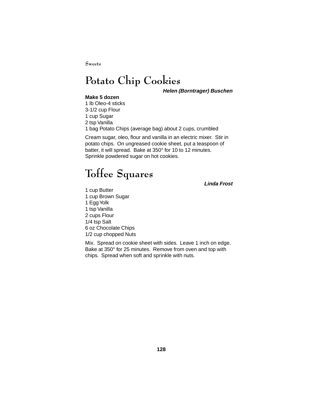### Potato Chip Cookies

**Helen (Borntrager) Buschen**

#### **Make 5 dozen**

1 lb Oleo-4 sticks 3-1/2 cup Flour 1 cup Sugar 2 tsp Vanilla 1 bag Potato Chips (average bag) about 2 cups, crumbled

Cream sugar, oleo, flour and vanilla in an electric mixer. Stir in potato chips. On ungreased cookie sheet, put a teaspoon of batter, it will spread. Bake at 350° for 10 to 12 minutes. Sprinkle powdered sugar on hot cookies.

# Toffee Squares

**Linda Frost**

1 cup Butter 1 cup Brown Sugar 1 Egg Yolk 1 tsp Vanilla 2 cups Flour 1/4 tsp Salt 6 oz Chocolate Chips 1/2 cup chopped Nuts

Mix. Spread on cookie sheet with sides. Leave 1 inch on edge. Bake at 350° for 25 minutes. Remove from oven and top with chips. Spread when soft and sprinkle with nuts.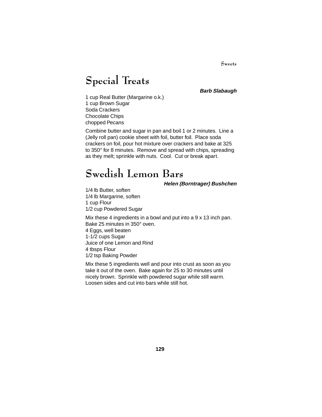## Special Treats

**Barb Slabaugh**

1 cup Real Butter (Margarine o.k.) 1 cup Brown Sugar Soda Crackers Chocolate Chips chopped Pecans

Combine butter and sugar in pan and boil 1 or 2 minutes. Line a (Jelly roll pan) cookie sheet with foil, butter foil. Place soda crackers on foil, pour hot mixture over crackers and bake at 325 to 350° for 8 minutes. Remove and spread with chips, spreading as they melt; sprinkle with nuts. Cool. Cut or break apart.

# Swedish Lemon Bars

**Helen (Borntrager) Bushchen**

1/4 lb Butter, soften 1/4 lb Margarine, soften 1 cup Flour 1/2 cup Powdered Sugar

Mix these 4 ingredients in a bowl and put into a 9 x 13 inch pan. Bake 25 minutes in 350° oven. 4 Eggs, well beaten 1-1/2 cups Sugar Juice of one Lemon and Rind 4 tbsps Flour 1/2 tsp Baking Powder

Mix these 5 ingredients well and pour into crust as soon as you take it out of the oven. Bake again for 25 to 30 minutes until nicely brown. Sprinkle with powdered sugar while still warm. Loosen sides and cut into bars while still hot.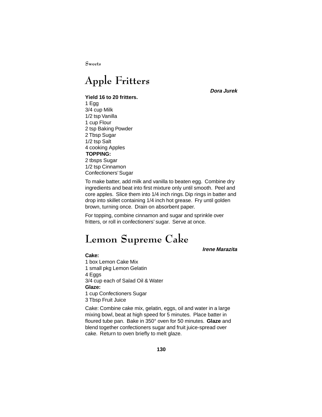## Apple Fritters

**Dora Jurek**

**Yield 16 to 20 fritters.** 1 Egg 3/4 cup Milk 1/2 tsp Vanilla 1 cup Flour 2 tsp Baking Powder 2 Tbsp Sugar 1/2 tsp Salt 4 cooking Apples  **TOPPING:** 2 tbsps Sugar 1/2 tsp Cinnamon Confectioners' Sugar

To make batter, add milk and vanilla to beaten egg. Combine dry ingredients and beat into first mixture only until smooth. Peel and core apples. Slice them into 1/4 inch rings. Dip rings in batter and drop into skillet containing 1/4 inch hot grease. Fry until golden brown, turning once. Drain on absorbent paper.

For topping, combine cinnamon and sugar and sprinkle over fritters, or roll in confectioners' sugar. Serve at once.

### Lemon Supreme Cake

**Irene Marazita**

**Cake:**

1 box Lemon Cake Mix 1 small pkg Lemon Gelatin 4 Eggs 3/4 cup each of Salad Oil & Water **Glaze:** 1 cup Confectioners Sugar 3 Tbsp Fruit Juice

Cake: Combine cake mix, gelatin, eggs, oil and water in a large mixing bowl, beat at high speed for 5 minutes. Place batter in floured tube pan. Bake in 350° oven for 50 minutes. **Glaze** and blend together confectioners sugar and fruit juice-spread over cake. Return to oven briefly to melt glaze.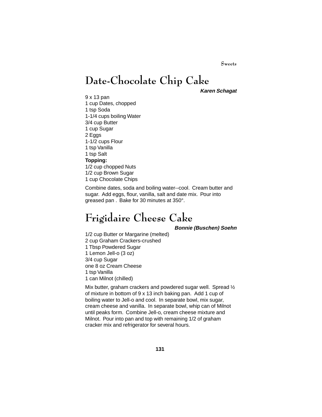## Date-Chocolate Chip Cake

**Karen Schagat**

9 x 13 pan 1 cup Dates, chopped 1 tsp Soda 1-1/4 cups boiling Water 3/4 cup Butter 1 cup Sugar 2 Eggs 1-1/2 cups Flour 1 tsp Vanilla 1 tsp Salt **Topping:** 1/2 cup chopped Nuts 1/2 cup Brown Sugar

1 cup Chocolate Chips

Combine dates, soda and boiling water--cool. Cream butter and sugar. Add eggs, flour, vanilla, salt and date mix. Pour into greased pan . Bake for 30 minutes at 350°.

### Frigidaire Cheese Cake

**Bonnie (Buschen) Soehn**

1/2 cup Butter or Margarine (melted) 2 cup Graham Crackers-crushed 1 Tbsp Powdered Sugar 1 Lemon Jell-o (3 oz) 3/4 cup Sugar one 8 oz Cream Cheese 1 tsp Vanilla 1 can Milnot (chilled)

Mix butter, graham crackers and powdered sugar well. Spread  $\frac{1}{2}$ of mixture in bottom of 9 x 13 inch baking pan. Add 1 cup of boiling water to Jell-o and cool. In separate bowl, mix sugar, cream cheese and vanilla. In separate bowl, whip can of Milnot until peaks form. Combine Jell-o, cream cheese mixture and Milnot. Pour into pan and top with remaining 1/2 of graham cracker mix and refrigerator for several hours.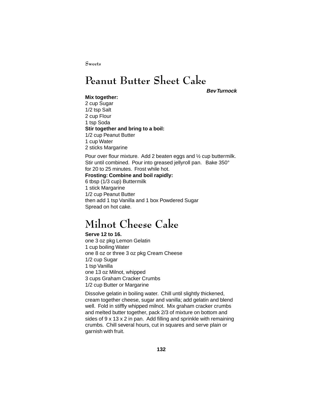### Peanut Butter Sheet Cake

**Bev Turnock**

#### **Mix together:**

2 cup Sugar 1/2 tsp Salt 2 cup Flour 1 tsp Soda **Stir together and bring to a boil:** 1/2 cup Peanut Butter 1 cup Water 2 sticks Margarine

Pour over flour mixture. Add 2 beaten eggs and ½ cup buttermilk. Stir until combined. Pour into greased jellyroll pan. Bake 350° for 20 to 25 minutes. Frost while hot.

#### **Frosting: Combine and boil rapidly:**

6 tbsp (1/3 cup) Buttermilk 1 stick Margarine 1/2 cup Peanut Butter then add 1 tsp Vanilla and 1 box Powdered Sugar Spread on hot cake.

### Milnot Cheese Cake

#### **Serve 12 to 16.**

one 3 oz pkg Lemon Gelatin 1 cup boiling Water one 8 oz or three 3 oz pkg Cream Cheese 1/2 cup Sugar 1 tsp Vanilla one 13 oz Milnot, whipped 3 cups Graham Cracker Crumbs 1/2 cup Butter or Margarine

Dissolve gelatin in boiling water. Chill until slightly thickened, cream together cheese, sugar and vanilla; add gelatin and blend well. Fold in stiffly whipped milnot. Mix graham cracker crumbs and melted butter together, pack 2/3 of mixture on bottom and sides of 9 x 13 x 2 in pan. Add filling and sprinkle with remaining crumbs. Chill several hours, cut in squares and serve plain or garnish with fruit.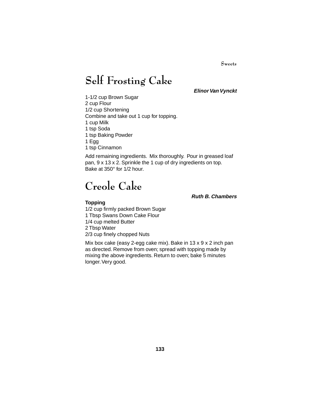## Self Frosting Cake

**Elinor Van Vynckt**

1-1/2 cup Brown Sugar 2 cup Flour 1/2 cup Shortening Combine and take out 1 cup for topping. 1 cup Milk 1 tsp Soda 1 tsp Baking Powder 1 Egg 1 tsp Cinnamon

Add remaining ingredients. Mix thoroughly. Pour in greased loaf pan, 9 x 13 x 2. Sprinkle the 1 cup of dry ingredients on top. Bake at 350° for 1/2 hour.

### Creole Cake

#### **Ruth B. Chambers**

**Topping** 1/2 cup firmly packed Brown Sugar 1 Tbsp Swans Down Cake Flour 1/4 cup melted Butter

2 Tbsp Water

2/3 cup finely chopped Nuts

Mix box cake (easy 2-egg cake mix). Bake in 13 x 9 x 2 inch pan as directed. Remove from oven; spread with topping made by mixing the above ingredients. Return to oven; bake 5 minutes longer. Very good.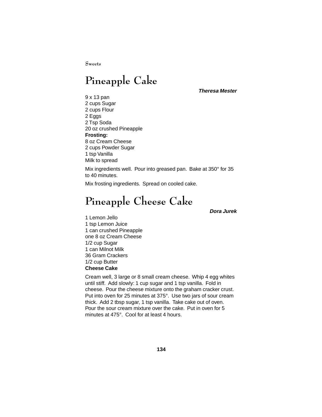### Pineapple Cake

**Theresa Mester**

9 x 13 pan 2 cups Sugar 2 cups Flour 2 Eggs 2 Tsp Soda 20 oz crushed Pineapple **Frosting:** 8 oz Cream Cheese 2 cups Powder Sugar 1 tsp Vanilla Milk to spread

Mix ingredients well. Pour into greased pan. Bake at 350° for 35 to 40 minutes.

Mix frosting ingredients. Spread on cooled cake.

### Pineapple Cheese Cake

**Dora Jurek**

1 Lemon Jello 1 tsp Lemon Juice 1 can crushed Pineapple one 8 oz Cream Cheese 1/2 cup Sugar 1 can Milnot Milk 36 Gram Crackers 1/2 cup Butter **Cheese Cake**

Cream well, 3 large or 8 small cream cheese. Whip 4 egg whites until stiff. Add slowly: 1 cup sugar and 1 tsp vanilla. Fold in cheese. Pour the cheese mixture onto the graham cracker crust. Put into oven for 25 minutes at 375°. Use two jars of sour cream thick. Add 2 tbsp sugar, 1 tsp vanilla. Take cake out of oven. Pour the sour cream mixture over the cake. Put in oven for 5 minutes at 475°. Cool for at least 4 hours.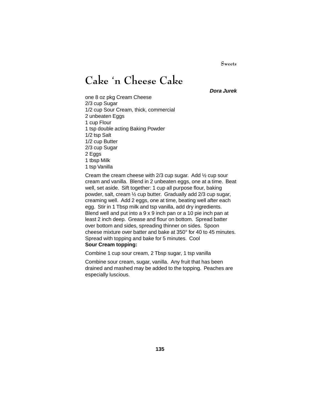## Cake 'n Cheese Cake

**Dora Jurek**

one 8 oz pkg Cream Cheese 2/3 cup Sugar 1/2 cup Sour Cream, thick, commercial 2 unbeaten Eggs 1 cup Flour 1 tsp double acting Baking Powder 1/2 tsp Salt 1/2 cup Butter 2/3 cup Sugar 2 Eggs 1 tbsp Milk 1 tsp Vanilla

Cream the cream cheese with 2/3 cup sugar. Add ½ cup sour cream and vanilla. Blend in 2 unbeaten eggs, one at a time. Beat well, set aside. Sift together: 1 cup all purpose flour, baking powder, salt, cream ½ cup butter. Gradually add 2/3 cup sugar, creaming well. Add 2 eggs, one at time, beating well after each egg. Stir in 1 Tbsp milk and tsp vanilla, add dry ingredients. Blend well and put into a 9 x 9 inch pan or a 10 pie inch pan at least 2 inch deep. Grease and flour on bottom. Spread batter over bottom and sides, spreading thinner on sides. Spoon cheese mixture over batter and bake at 350° for 40 to 45 minutes. Spread with topping and bake for 5 minutes. Cool **Sour Cream topping:**

Combine 1 cup sour cream, 2 Tbsp sugar, 1 tsp vanilla

Combine sour cream, sugar, vanilla. Any fruit that has been drained and mashed may be added to the topping. Peaches are especially luscious.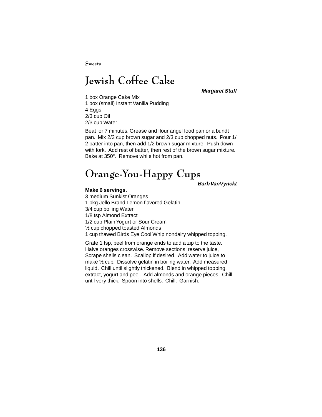### Jewish Coffee Cake

**Margaret Stuff**

1 box Orange Cake Mix 1 box (small) Instant Vanilla Pudding 4 Eggs 2/3 cup Oil 2/3 cup Water

Beat for 7 minutes. Grease and flour angel food pan or a bundt pan. Mix 2/3 cup brown sugar and 2/3 cup chopped nuts. Pour 1/ 2 batter into pan, then add 1/2 brown sugar mixture. Push down with fork. Add rest of batter, then rest of the brown sugar mixture. Bake at 350°. Remove while hot from pan.

## Orange-You-Happy Cups

**Barb VanVynckt**

#### **Make 6 servings.**

3 medium Sunkist Oranges 1 pkg Jello Brand Lemon flavored Gelatin 3/4 cup boiling Water 1/8 tsp Almond Extract 1/2 cup Plain Yogurt or Sour Cream ½ cup chopped toasted Almonds 1 cup thawed Birds Eye Cool Whip nondairy whipped topping.

Grate 1 tsp, peel from orange ends to add a zip to the taste. Halve oranges crosswise. Remove sections; reserve juice, Scrape shells clean. Scallop if desired. Add water to juice to make ½ cup. Dissolve gelatin in boiling water. Add measured liquid. Chill until slightly thickened. Blend in whipped topping, extract, yogurt and peel. Add almonds and orange pieces. Chill until very thick. Spoon into shells. Chill. Garnish.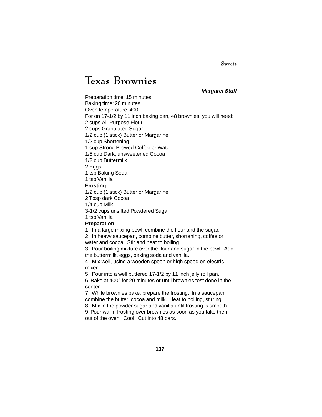### Texas Brownies

**Margaret Stuff**

Preparation time: 15 minutes Baking time: 20 minutes Oven temperature: 400° For on 17-1/2 by 11 inch baking pan, 48 brownies, you will need: 2 cups All-Purpose Flour 2 cups Granulated Sugar 1/2 cup (1 stick) Butter or Margarine 1/2 cup Shortening 1 cup Strong Brewed Coffee or Water 1/5 cup Dark, unsweetened Cocoa 1/2 cup Buttermilk 2 Eggs 1 tsp Baking Soda 1 tsp Vanilla **Frosting:** 1/2 cup (1 stick) Butter or Margarine 2 Tbsp dark Cocoa 1/4 cup Milk 3-1/2 cups unsifted Powdered Sugar

1 tsp Vanilla

**Preparation:**

1. In a large mixing bowl, combine the flour and the sugar. 2. In heavy saucepan, combine butter, shortening, coffee or

water and cocoa. Stir and heat to boiling.

3. Pour boiling mixture over the flour and sugar in the bowl. Add the buttermilk, eggs, baking soda and vanilla.

4. Mix well, using a wooden spoon or high speed on electric mixer.

5. Pour into a well buttered 17-1/2 by 11 inch jelly roll pan.

6. Bake at 400° for 20 minutes or until brownies test done in the center.

7. While brownies bake, prepare the frosting. In a saucepan, combine the butter, cocoa and milk. Heat to boiling, stirring.

8. Mix in the powder sugar and vanilla until frosting is smooth. 9. Pour warm frosting over brownies as soon as you take them out of the oven. Cool. Cut into 48 bars.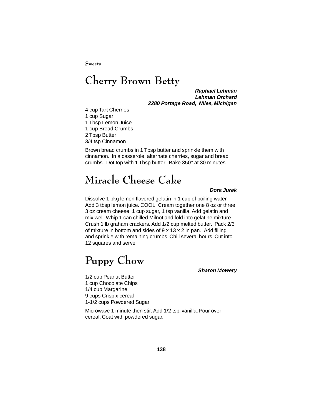# Cherry Brown Betty

**Raphael Lehman Lehman Orchard 2280 Portage Road, Niles, Michigan**

4 cup Tart Cherries 1 cup Sugar 1 Tbsp Lemon Juice 1 cup Bread Crumbs 2 Tbsp Butter 3/4 tsp Cinnamon

Brown bread crumbs in 1 Tbsp butter and sprinkle them with cinnamon. In a casserole, alternate cherries, sugar and bread crumbs. Dot top with 1 Tbsp butter. Bake 350° at 30 minutes.

### Miracle Cheese Cake

#### **Dora Jurek**

Dissolve 1 pkg lemon flavored gelatin in 1 cup of boiling water. Add 3 tbsp lemon juice. COOL! Cream together one 8 oz or three 3 oz cream cheese, 1 cup sugar, 1 tsp vanilla. Add gelatin and mix well. Whip 1 can chilled Milnot and fold into gelatine mixture. Crush 1 lb graham crackers. Add 1/2 cup melted butter. Pack 2/3 of mixture in bottom and sides of 9 x 13 x 2 in pan. Add filling and sprinkle with remaining crumbs. Chill several hours. Cut into 12 squares and serve.

# Puppy Chow

**Sharon Mowery**

1/2 cup Peanut Butter 1 cup Chocolate Chips 1/4 cup Margarine 9 cups Crispix cereal 1-1/2 cups Powdered Sugar

Microwave 1 minute then stir. Add 1/2 tsp. vanilla. Pour over cereal. Coat with powdered sugar.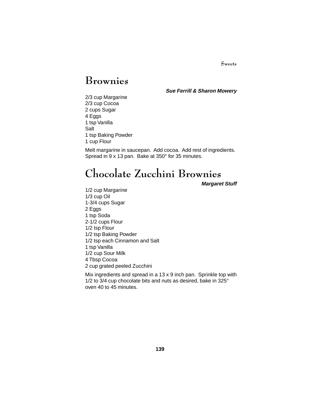### Brownies

**Sue Ferrill & Sharon Mowery**

2/3 cup Margarine 2/3 cup Cocoa 2 cups Sugar 4 Eggs 1 tsp Vanilla Salt 1 tsp Baking Powder 1 cup Flour

Melt margarine in saucepan. Add cocoa. Add rest of ingredients. Spread in 9 x 13 pan. Bake at 350° for 35 minutes.

# Chocolate Zucchini Brownies

**Margaret Stuff**

1/2 cup Margarine 1/3 cup Oil 1-3/4 cups Sugar 2 Eggs 1 tsp Soda 2-1/2 cups Flour 1/2 tsp Flour 1/2 tsp Baking Powder 1/2 tsp each Cinnamon and Salt 1 tsp Vanilla 1/2 cup Sour Milk 4 Tbsp Cocoa 2 cup grated peeled Zucchini

Mix ingredients and spread in a 13 x 9 inch pan. Sprinkle top with 1/2 to 3/4 cup chocolate bits and nuts as desired, bake in 325° oven 40 to 45 minutes.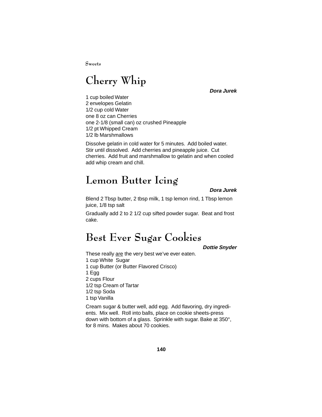# Cherry Whip

**Dora Jurek**

1 cup boiled Water 2 envelopes Gelatin 1/2 cup cold Water one 8 oz can Cherries one 2-1/8 (small can) oz crushed Pineapple 1/2 pt Whipped Cream 1/2 lb Marshmallows

Dissolve gelatin in cold water for 5 minutes. Add boiled water. Stir until dissolved. Add cherries and pineapple juice. Cut cherries. Add fruit and marshmallow to gelatin and when cooled add whip cream and chill.

### Lemon Butter Icing

#### **Dora Jurek**

Blend 2 Tbsp butter, 2 tbsp milk, 1 tsp lemon rind, 1 Tbsp lemon juice, 1/8 tsp salt

Gradually add 2 to 2 1/2 cup sifted powder sugar. Beat and frost cake.

### Best Ever Sugar Cookies

**Dottie Snyder**

These really are the very best we've ever eaten. 1 cup White Sugar 1 cup Butter (or Butter Flavored Crisco) 1 Egg 2 cups Flour 1/2 tsp Cream of Tartar 1/2 tsp Soda 1 tsp Vanilla

Cream sugar & butter well, add egg. Add flavoring, dry ingredients. Mix well. Roll into balls, place on cookie sheets-press down with bottom of a glass. Sprinkle with sugar. Bake at 350°, for 8 mins. Makes about 70 cookies.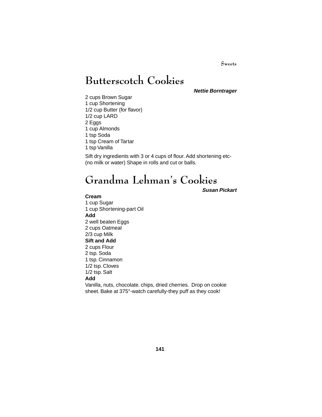## Butterscotch Cookies

**Nettie Borntrager**

2 cups Brown Sugar 1 cup Shortening 1/2 cup Butter (for flavor) 1/2 cup LARD 2 Eggs 1 cup Almonds 1 tsp Soda 1 tsp Cream of Tartar 1 tsp Vanilla

Sift dry ingredients with 3 or 4 cups of flour. Add shortening etc- (no milk or water) Shape in rolls and cut or balls.

### Grandma Lehman's Cookies

**Susan Pickart**

#### **Cream**

1 cup Sugar 1 cup Shortening-part Oil **Add** 2 well beaten Eggs 2 cups Oatmeal 2/3 cup Milk **Sift and Add** 2 cups Flour 2 tsp. Soda 1 tsp. Cinnamon 1/2 tsp. Cloves 1/2 tsp. Salt **Add**

Vanilla, nuts, chocolate. chips, dried cherries. Drop on cookie sheet. Bake at 375°-watch carefully-they puff as they cook!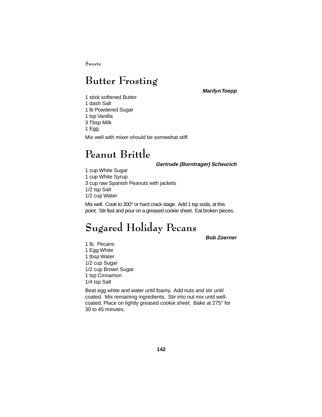### Butter Frosting

**Marilyn Toepp**

1 stick softened Butter 1 dash Salt 1 lb Powdered Sugar 1 tsp Vanilla 3 Tbsp Milk

1 Egg

Mix well with mixer-should be somewhat stiff.

## Peanut Brittle

**Gertrude (Borntrager) Scheurich**

1 cup White Sugar 1 cup White Syrup 3 cup raw Spanish Peanuts with jackets 1/2 tsp Salt 1/2 cup Water

Mix well. Cook to 300° or hard crack stage. Add 1 tsp soda, at this point. Stir fast and pour on a greased cookie sheet. Eat broken pieces.

## Sugared Holiday Pecans

**Bob Zoerner**

1 lb. Pecans 1 Egg White 1 tbsp Water 1/2 cup Sugar 1/2 cup Brown Sugar 1 tsp Cinnamon 1/4 tsp Salt

Beat egg white and water until foamy. Add nuts and stir until coated. Mix remaining ingredients. Stir into nut mix until wellcoated. Place on lightly greased cookie sheet. Bake at 275° for 30 to 45 minutes.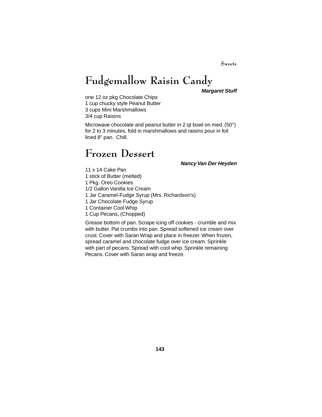# Fudgemallow Raisin Candy

**Margaret Stuff**

one 12 oz pkg Chocolate Chips 1 cup chucky style Peanut Butter 3 cups Mini Marshmallows 3/4 cup Raisins

Microwave chocolate and peanut butter in 2 qt bowl on med. (50°) for 2 to 3 minutes, fold in marshmallows and raisins pour in foil lined 8" pan. Chill.

### Frozen Dessert

**Nancy Van Der Heyden**

11 x 14 Cake Pan 1 stick of Butter (melted) 1 Pkg. Oreo Cookies 1/2 Gallon Vanilla Ice Cream 1 Jar Caramel-Fudge Syrup (Mrs. Richardson's) 1 Jar Chocolate Fudge Syrup 1 Container Cool Whip 1 Cup Pecans, (Chopped)

Grease bottom of pan. Scrape icing off cookies - crumble and mix with butter. Pat crumbs into pan. Spread softened ice cream over crust. Cover with Saran Wrap and place in freezer. When frozen, spread caramel and chocolate fudge over ice cream. Sprinkle with part of pecans. Spread with cool whip. Sprinkle remaining Pecans. Cover with Saran wrap and freeze.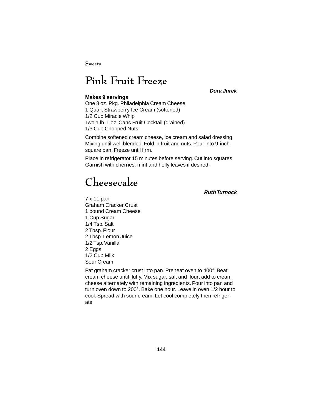# Pink Fruit Freeze

**Dora Jurek**

#### **Makes 9 servings**

One 8 oz. Pkg. Philadelphia Cream Cheese 1 Quart Strawberry Ice Cream (softened) 1/2 Cup Miracle Whip Two 1 lb. 1 oz. Cans Fruit Cocktail (drained) 1/3 Cup Chopped Nuts

Combine softened cream cheese, ice cream and salad dressing. Mixing until well blended. Fold in fruit and nuts. Pour into 9-inch square pan. Freeze until firm.

Place in refrigerator 15 minutes before serving. Cut into squares. Garnish with cherries, mint and holly leaves if desired.

### Cheesecake

**Ruth Turnock**

7 x 11 pan Graham Cracker Crust 1 pound Cream Cheese 1 Cup Sugar 1/4 Tsp. Salt 2 Tbsp. Flour 2 Tbsp. Lemon Juice 1/2 Tsp. Vanilla 2 Eggs 1/2 Cup Milk Sour Cream

Pat graham cracker crust into pan. Preheat oven to 400°. Beat cream cheese until fluffy. Mix sugar, salt and flour; add to cream cheese alternately with remaining ingredients. Pour into pan and turn oven down to 200°. Bake one hour. Leave in oven 1/2 hour to cool. Spread with sour cream. Let cool completely then refrigerate.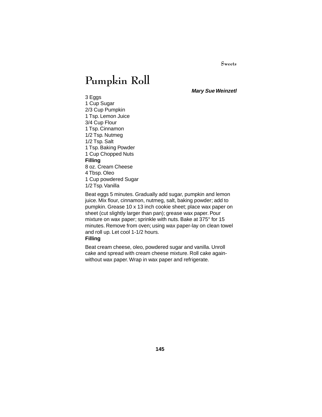### Pumpkin Roll

**Mary Sue Weinzetl**

3 Eggs 1 Cup Sugar 2/3 Cup Pumpkin 1 Tsp. Lemon Juice 3/4 Cup Flour 1 Tsp. Cinnamon 1/2 Tsp. Nutmeg 1/2 Tsp. Salt 1 Tsp. Baking Powder 1 Cup Chopped Nuts **Filling** 8 oz. Cream Cheese 4 Tbsp. Oleo 1 Cup powdered Sugar 1/2 Tsp. Vanilla

Beat eggs 5 minutes. Gradually add sugar, pumpkin and lemon juice. Mix flour, cinnamon, nutmeg, salt, baking powder; add to pumpkin. Grease 10 x 13 inch cookie sheet; place wax paper on sheet (cut slightly larger than pan); grease wax paper. Pour mixture on wax paper; sprinkle with nuts. Bake at 375° for 15 minutes. Remove from oven; using wax paper-lay on clean towel and roll up. Let cool 1-1/2 hours.

**Filling**

Beat cream cheese, oleo, powdered sugar and vanilla. Unroll cake and spread with cream cheese mixture. Roll cake againwithout wax paper. Wrap in wax paper and refrigerate.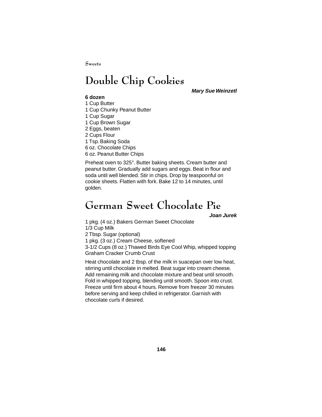### Double Chip Cookies

**Mary Sue Weinzetl**

#### **6 dozen**

1 Cup Butter 1 Cup Chunky Peanut Butter 1 Cup Sugar 1 Cup Brown Sugar 2 Eggs, beaten 2 Cups Flour 1 Tsp. Baking Soda 6 oz. Chocolate Chips 6 oz. Peanut Butter Chips

Preheat oven to 325°. Butter baking sheets. Cream butter and peanut butter. Gradually add sugars and eggs. Beat in flour and soda until well blended. Stir in chips. Drop by teaspoonful on cookie sheets. Flatten with fork. Bake 12 to 14 minutes, until golden.

# German Sweet Chocolate Pie

**Joan Jurek**

1 pkg. (4 oz.) Bakers German Sweet Chocolate 1/3 Cup Milk 2 Tbsp. Sugar (optional)

1 pkg. (3 oz.) Cream Cheese, softened 3-1/2 Cups (8 oz.) Thawed Birds Eye Cool Whip, whipped topping Graham Cracker Crumb Crust

Heat chocolate and 2 tbsp. of the milk in suacepan over low heat, stirring until chocolate in melted. Beat sugar into cream cheese. Add remaining milk and chocolate mixture and beat until smooth. Fold in whipped topping, blending until smooth. Spoon into crust. Freeze until firm about 4 hours. Remove from freezer 30 minutes before serving and keep chilled in refrigerator. Garnish with chocolate curls if desired.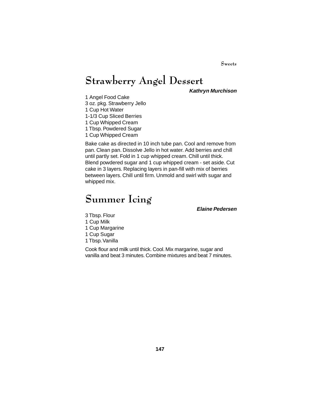### Strawberry Angel Dessert

#### **Kathryn Murchison**

1 Angel Food Cake

3 oz. pkg. Strawberry Jello

1 Cup Hot Water

1-1/3 Cup Sliced Berries

1 Cup Whipped Cream

1 Tbsp. Powdered Sugar

1 Cup Whipped Cream

Bake cake as directed in 10 inch tube pan. Cool and remove from pan. Clean pan. Dissolve Jello in hot water. Add berries and chill until partly set. Fold in 1 cup whipped cream. Chill until thick. Blend powdered sugar and 1 cup whipped cream - set aside. Cut cake in 3 layers. Replacing layers in pan-fill with mix of berries between layers. Chill until firm. Unmold and swirl with sugar and whipped mix.

### Summer Icing

**Elaine Pedersen**

3 Tbsp. Flour 1 Cup Milk

1 Cup Margarine

- 1 Cup Sugar
- 1 Tbsp. Vanilla

Cook flour and milk until thick. Cool. Mix margarine, sugar and vanilla and beat 3 minutes. Combine mixtures and beat 7 minutes.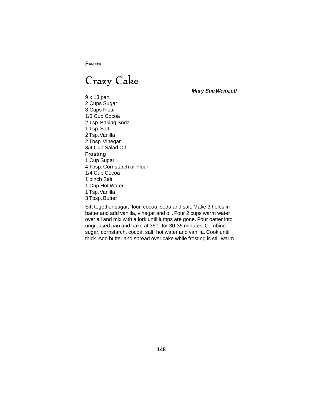### Crazy Cake

**Mary Sue Weinzetl**

9 x 13 pan 2 Cups Sugar 3 Cups Flour 1/3 Cup Cocoa 2 Tsp. Baking Soda 1 Tsp. Salt 2 Tsp. Vanilla 2 Tbsp. Vinegar 3/4 Cup Salad Oil **Frosting** 1 Cup Sugar 4 Tbsp. Cornstarch or Flour 1/4 Cup Cocoa 1 pinch Salt 1 Cup Hot Water 1 Tsp. Vanilla 3 Tbsp. Butter

Sift together sugar, flour, cocoa, soda and salt. Make 3 holes in batter and add vanilla, vinegar and oil. Pour 2 cups warm water over all and mix with a fork until lumps are gone. Pour batter into ungreased pan and bake at 350° for 30-35 minutes. Combine sugar, cornstarch, cocoa, salt, hot water and vanilla. Cook until thick. Add butter and spread over cake while frosting is still warm.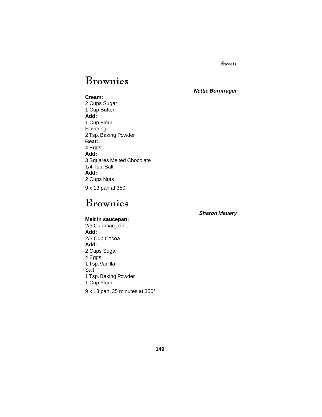### Brownies

**Nettie Borntrager**

**Cream:** 2 Cups Sugar 1 Cup Butter **Add:** 1 Cup Flour Flavoring 2 Tsp. Baking Powder **Beat:** 4 Eggs **Add:** 3 Squares Melted Chocolate 1/4 Tsp. Salt **Add:** 2 Cups Nuts 9 x 13 pan at 350°

### Brownies

**Melt in saucepan:**

2/3 Cup margarine **Add:** 2/3 Cup Cocoa **Add:** 2 Cups Sugar 4 Eggs 1 Tsp. Vanilla **Salt** 1 Tsp. Baking Powder 1 Cup Flour 9 x 13 pan. 35 minutes at 350° **Sharon Mauery**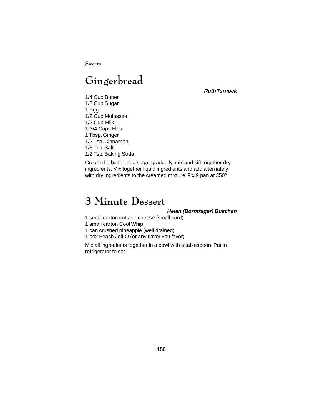### Gingerbread

**Ruth Turnock**

1/4 Cup Butter 1/2 Cup Sugar 1 Egg 1/2 Cup Molasses 1/2 Cup Milk 1-3/4 Cups Flour 1 Tbsp. Ginger 1/2 Tsp. Cinnamon 1/8 Tsp. Salt 1/2 Tsp. Baking Soda

Cream the butter, add sugar gradually, mix and sift together dry ingredients. Mix together liquid ingredients and add alternately with dry ingredients to the creamed mixture. 9 x 9 pan at 350°.

### 3 Minute Dessert

#### **Helen (Borntrager) Buschen**

1 small carton cottage cheese (small curd)

1 small carton Cool Whip

1 can crushed pineapple (well drained)

1 box Peach Jell-O (or any flavor you favor)

Mix all ingredients together in a bowl with a tablespoon. Put in refrigerator to set.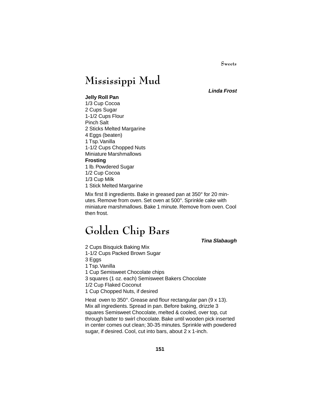### Mississippi Mud

**Linda Frost**

#### **Jelly Roll Pan**

1/3 Cup Cocoa 2 Cups Sugar 1-1/2 Cups Flour Pinch Salt 2 Sticks Melted Margarine 4 Eggs (beaten) 1 Tsp. Vanilla 1-1/2 Cups Chopped Nuts Miniature Marshmallows **Frosting** 1 lb. Powdered Sugar 1/2 Cup Cocoa 1/3 Cup Milk 1 Stick Melted Margarine

Mix first 8 ingredients. Bake in greased pan at 350° for 20 minutes. Remove from oven. Set oven at 500°. Sprinkle cake with miniature marshmallows. Bake 1 minute. Remove from oven. Cool then frost.

### Golden Chip Bars

**Tina Slabaugh**

2 Cups Bisquick Baking Mix 1-1/2 Cups Packed Brown Sugar 3 Eggs 1 Tsp. Vanilla 1 Cup Semisweet Chocolate chips 3 squares (1 oz. each) Semisweet Bakers Chocolate 1/2 Cup Flaked Coconut 1 Cup Chopped Nuts, if desired

Heat oven to 350°. Grease and flour rectangular pan (9 x 13). Mix all ingredients. Spread in pan. Before baking, drizzle 3 squares Semisweet Chocolate, melted & cooled, over top, cut through batter to swirl chocolate. Bake until wooden pick inserted in center comes out clean; 30-35 minutes. Sprinkle with powdered sugar, if desired. Cool, cut into bars, about 2 x 1-inch.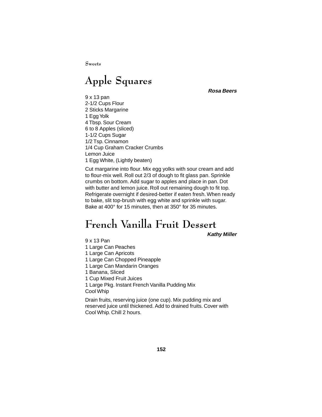### Apple Squares

**Rosa Beers**

9 x 13 pan 2-1/2 Cups Flour 2 Sticks Margarine 1 Egg Yolk 4 Tbsp. Sour Cream 6 to 8 Apples (sliced) 1-1/2 Cups Sugar 1/2 Tsp. Cinnamon 1/4 Cup Graham Cracker Crumbs Lemon Juice 1 Egg White, (Lightly beaten)

Cut margarine into flour. Mix egg yolks with sour cream and add to flour-mix well. Roll out 2/3 of dough to fit glass pan. Sprinkle crumbs on bottom. Add sugar to apples and place in pan. Dot with butter and lemon juice. Roll out remaining dough to fit top. Refrigerate overnight if desired-better if eaten fresh. When ready to bake, slit top-brush with egg white and sprinkle with sugar. Bake at 400° for 15 minutes, then at 350° for 35 minutes.

### French Vanilla Fruit Dessert

**Kathy Miller**

9 x 13 Pan 1 Large Can Peaches 1 Large Can Apricots 1 Large Can Chopped Pineapple 1 Large Can Mandarin Oranges 1 Banana, Sliced 1 Cup Mixed Fruit Juices 1 Large Pkg. Instant French Vanilla Pudding Mix Cool Whip

Drain fruits, reserving juice (one cup). Mix pudding mix and reserved juice until thickened. Add to drained fruits. Cover with Cool Whip. Chill 2 hours.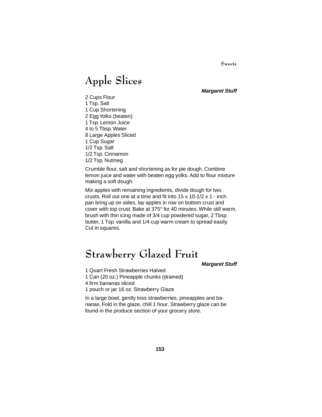### Apple Slices

**Margaret Stuff**

2 Cups Flour 1 Tsp. Salt 1 Cup Shortening 2 Egg Yolks (beaten) 1 Tsp. Lemon Juice 4 to 5 Tbsp. Water 8 Large Apples Sliced 1 Cup Sugar 1/2 Tsp. Salt 1/2 Tsp. Cinnamon 1/2 Tsp. Nutmeg

Crumble flour, salt and shortening as for pie dough. Combine lemon juice and water with beaten egg yolks. Add to flour mixture making a soft dough.

Mix apples with remaining ingredients, divide dough for two crusts. Roll out one at a time and fit into 15 x 10-1/2 x 1 - inch pan bring up on sides, lay apples in row on bottom crust and cover with top crust. Bake at 375° for 40 minutes. While still warm, brush with thin icing made of 3/4 cup powdered sugar, 2 Tbsp. butter, 1 Tsp. vanilla and 1/4 cup warm cream to spread easily. Cut in squares.

### Strawberry Glazed Fruit

**Margaret Stuff**

1 Quart Fresh Strawberries Halved

1 Can (20 oz.) Pineapple chunks (drained)

4 firm bananas sliced

1 pouch or jar 16 oz. Strawberry Glaze

In a large bowl, gently toss strawberries, pineapples and bananas. Fold in the glaze, chill 1 hour, Strawberry glaze can be found in the produce section of your grocery store.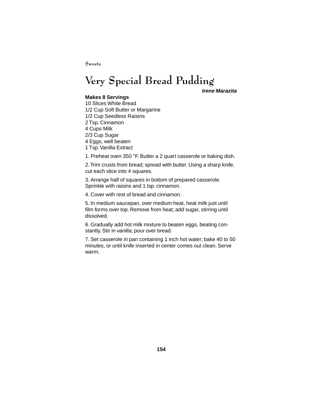# Very Special Bread Pudding

**Irene Marazita**

#### **Makes 8 Servings**

10 Slices White Bread 1/2 Cup Soft Butter or Margarine 1/2 Cup Seedless Raisins 2 Tsp. Cinnamon 4 Cups Milk 2/3 Cup Sugar 4 Eggs, well beaten 1 Tsp. Vanilla Extract

1. Preheat oven 350 °F. Butter a 2 quart casserole or baking dish.

2. Trim crusts from bread; spread with butter. Using a sharp knife, cut each slice into 4 squares.

3. Arrange half of squares in bottom of prepared casserole. Sprinkle with raisins and 1 tsp. cinnamon.

4. Cover with rest of bread and cinnamon.

5. In medium saucepan, over medium heat, heat milk just until film forms over top. Remove from heat; add sugar, stirring until dissolved.

6. Gradually add hot milk mixture to beaten eggs, beating constantly. Stir in vanilla; pour over bread.

7. Set casserole in pan containing 1 inch hot water; bake 40 to 50 minutes, or until knife inserted in center comes out clean. Serve warm.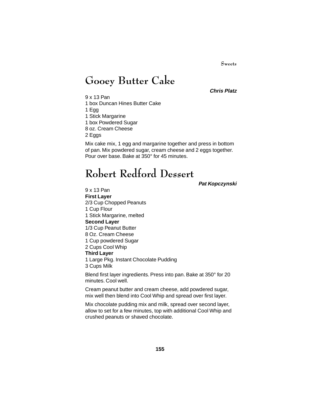### Gooey Butter Cake

**Chris Platz**

9 x 13 Pan 1 box Duncan Hines Butter Cake 1 Egg 1 Stick Margarine 1 box Powdered Sugar 8 oz. Cream Cheese 2 Eggs

Mix cake mix, 1 egg and margarine together and press in bottom of pan. Mix powdered sugar, cream cheese and 2 eggs together. Pour over base. Bake at 350° for 45 minutes.

# Robert Redford Dessert

**Pat Kopczynski**

9 x 13 Pan **First Layer** 2/3 Cup Chopped Peanuts 1 Cup Flour 1 Stick Margarine, melted **Second Layer** 1/3 Cup Peanut Butter 8 Oz. Cream Cheese 1 Cup powdered Sugar 2 Cups Cool Whip **Third Layer** 1 Large Pkg. Instant Chocolate Pudding 3 Cups Milk

Blend first layer ingredients. Press into pan. Bake at 350° for 20 minutes. Cool well.

Cream peanut butter and cream cheese, add powdered sugar, mix well then blend into Cool Whip and spread over first layer.

Mix chocolate pudding mix and milk, spread over second layer, allow to set for a few minutes, top with additional Cool Whip and crushed peanuts or shaved chocolate.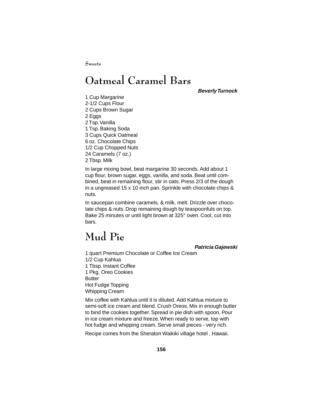# Oatmeal Caramel Bars

**Beverly Turnock**

1 Cup Margarine 2-1/2 Cups Flour 2 Cups Brown Sugar 2 Eggs 2 Tsp. Vanilla 1 Tsp. Baking Soda 3 Cups Quick Oatmeal 6 oz. Chocolate Chips 1/2 Cup Chopped Nuts 24 Caramels (7 oz.) 2 Tbsp. Milk

In large mixing bowl, beat margarine 30 seconds. Add about 1 cup flour, brown sugar, eggs, vanilla, and soda. Beat until combined, beat in remaining flour, stir in oats. Press 2/3 of the dough in a ungreased 15 x 10 inch pan. Sprinkle with chocolate chips & nuts.

In saucepan combine caramels, & milk, melt. Drizzle over chocolate chips & nuts. Drop remaining dough by teaspoonfuls on top. Bake 25 minutes or until light brown at 325° oven. Cool, cut into bars.

# Mud Pie

**Patricia Gajewski**

1 quart Premium Chocolate or Coffee Ice Cream 1/2 Cup Kahlua 1 Tbsp. Instant Coffee 1 Pkg. Oreo Cookies **Butter** Hot Fudge Topping Whipping Cream

Mix coffee with Kahlua until it is diluted. Add Kahlua mixture to semi-soft ice cream and blend. Crush Oreos. Mix in enough butter to bind the cookies together. Spread in pie dish with spoon. Pour in ice cream mixture and freeze. When ready to serve, top with hot fudge and whipping cream. Serve small pieces - very rich.

Recipe comes from the Sheraton Waikiki village hotel , Hawaii.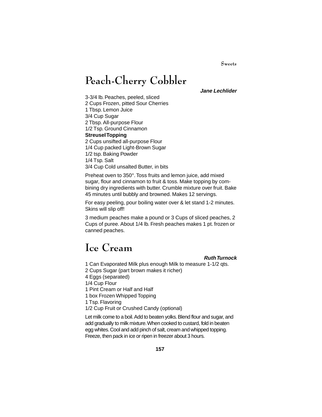### Peach-Cherry Cobbler

**Jane Lechlider**

3-3/4 lb. Peaches, peeled, sliced 2 Cups Frozen, pitted Sour Cherries 1 Tbsp. Lemon Juice 3/4 Cup Sugar 2 Tbsp. All-purpose Flour 1/2 Tsp. Ground Cinnamon **Streusel Topping** 2 Cups unsifted all-purpose Flour 1/4 Cup packed Light-Brown Sugar 1/2 tsp. Baking Powder 1/4 Tsp. Salt 3/4 Cup Cold unsalted Butter, in bits

Preheat oven to 350°. Toss fruits and lemon juice, add mixed sugar, flour and cinnamon to fruit & toss. Make topping by combining dry ingredients with butter. Crumble mixture over fruit. Bake 45 minutes until bubbly and browned. Makes 12 servings.

For easy peeling, pour boiling water over & let stand 1-2 minutes. Skins will slip off!

3 medium peaches make a pound or 3 Cups of sliced peaches, 2 Cups of puree. About 1/4 lb. Fresh peaches makes 1 pt. frozen or canned peaches.

### Ice Cream

#### **Ruth Turnock**

- 1 Can Evaporated Milk plus enough Milk to measure 1-1/2 qts.
- 2 Cups Sugar (part brown makes it richer)
- 4 Eggs (separated)

1/4 Cup Flour

- 1 Pint Cream or Half and Half
- 1 box Frozen Whipped Topping

1 Tsp. Flavoring

1/2 Cup Fruit or Crushed Candy (optional)

Let milk come to a boil. Add to beaten yolks. Blend flour and sugar, and add gradually to milk mixture. When cooked to custard, fold in beaten egg whites. Cool and add pinch of salt, cream and whipped topping. Freeze, then pack in ice or ripen in freezer about 3 hours.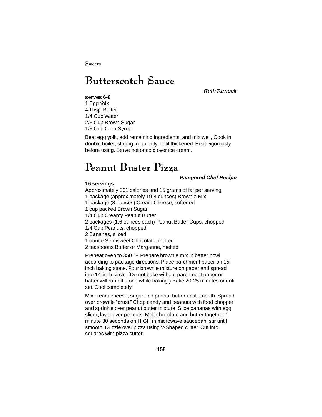### Butterscotch Sauce

**Ruth Turnock**

#### **serves 6-8**

1 Egg Yolk 4 Tbsp. Butter 1/4 Cup Water 2/3 Cup Brown Sugar 1/3 Cup Corn Syrup

Beat egg yolk, add remaining ingredients, and mix well, Cook in double boiler, stirring frequently, until thickened. Beat vigorously before using. Serve hot or cold over ice cream.

### Peanut Buster Pizza

#### **Pampered Chef Recipe**

#### **16 servings**

Approximately 301 calories and 15 grams of fat per serving 1 package (approximately 19.8 ounces) Brownie Mix 1 package (8 ounces) Cream Cheese, softened 1 cup packed Brown Sugar 1/4 Cup Creamy Peanut Butter 2 packages (1.6 ounces each) Peanut Butter Cups, chopped 1/4 Cup Peanuts, chopped 2 Bananas, sliced 1 ounce Semisweet Chocolate, melted 2 teaspoons Butter or Margarine, melted Preheat oven to 350 °F. Prepare brownie mix in batter bowl

according to package directions. Place parchment paper on 15 inch baking stone. Pour brownie mixture on paper and spread into 14-inch circle. (Do not bake without parchment paper or batter will run off stone while baking.) Bake 20-25 minutes or until set. Cool completely.

Mix cream cheese, sugar and peanut butter until smooth. Spread over brownie "crust." Chop candy and peanuts with food chopper and sprinkle over peanut butter mixture. Slice bananas with egg slicer; layer over peanuts. Melt chocolate and butter together 1 minute 30 seconds on HIGH in microwave saucepan; stir until smooth. Drizzle over pizza using V-Shaped cutter. Cut into squares with pizza cutter.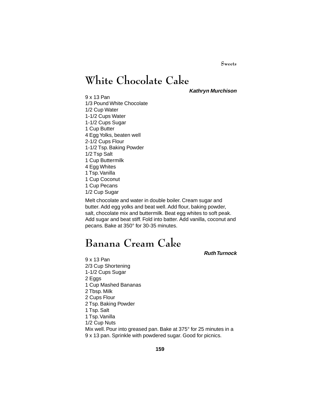### White Chocolate Cake

**Kathryn Murchison**

9 x 13 Pan 1/3 Pound White Chocolate 1/2 Cup Water 1-1/2 Cups Water 1-1/2 Cups Sugar 1 Cup Butter 4 Egg Yolks, beaten well 2-1/2 Cups Flour 1-1/2 Tsp. Baking Powder 1/2 Tsp Salt 1 Cup Buttermilk 4 Egg Whites 1 Tsp. Vanilla 1 Cup Coconut 1 Cup Pecans 1/2 Cup Sugar

Melt chocolate and water in double boiler. Cream sugar and butter. Add egg yolks and beat well. Add flour, baking powder, salt, chocolate mix and buttermilk. Beat egg whites to soft peak. Add sugar and beat stiff. Fold into batter. Add vanilla, coconut and pecans. Bake at 350° for 30-35 minutes.

### Banana Cream Cake

**Ruth Turnock**

9 x 13 Pan 2/3 Cup Shortening 1-1/2 Cups Sugar 2 Eggs 1 Cup Mashed Bananas 2 Tbsp. Milk 2 Cups Flour 2 Tsp. Baking Powder 1 Tsp. Salt 1 Tsp. Vanilla 1/2 Cup Nuts Mix well. Pour into greased pan. Bake at 375° for 25 minutes in a 9 x 13 pan. Sprinkle with powdered sugar. Good for picnics.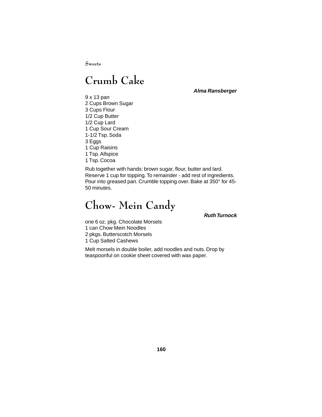# Crumb Cake

**Alma Ransberger**

9 x 13 pan 2 Cups Brown Sugar 3 Cups Flour 1/2 Cup Butter 1/2 Cup Lard 1 Cup Sour Cream 1-1/2 Tsp. Soda 3 Eggs 1 Cup Raisins 1 Tsp. Allspice 1 Tsp. Cocoa

Rub together with hands: brown sugar, flour, butter and lard. Reserve 1 cup for topping. To remainder - add rest of ingredients. Pour into greased pan. Crumble topping over. Bake at 350° for 45- 50 minutes.

# Chow- Mein Candy

**Ruth Turnock**

one 6 oz. pkg. Chocolate Morsels

1 can Chow Mein Noodles

2 pkgs. Butterscotch Morsels

1 Cup Salted Cashews

Melt morsels in double boiler, add noodles and nuts. Drop by teaspoonful on cookie sheet covered with wax paper.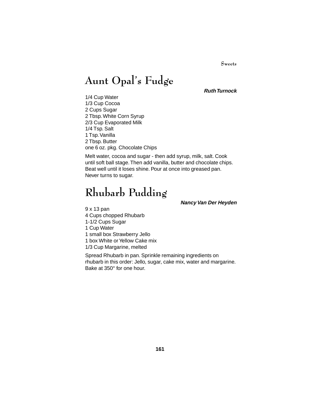# Aunt Opal's Fudge

**Ruth Turnock**

1/4 Cup Water 1/3 Cup Cocoa 2 Cups Sugar 2 Tbsp. White Corn Syrup 2/3 Cup Evaporated Milk 1/4 Tsp. Salt 1 Tsp. Vanilla 2 Tbsp. Butter one 6 oz. pkg. Chocolate Chips

Melt water, cocoa and sugar - then add syrup, milk, salt. Cook until soft ball stage. Then add vanilla, butter and chocolate chips. Beat well until it loses shine. Pour at once into greased pan. Never turns to sugar.

# Rhubarb Pudding

**Nancy Van Der Heyden**

9 x 13 pan

4 Cups chopped Rhubarb

1-1/2 Cups Sugar

1 Cup Water

- 1 small box Strawberry Jello
- 1 box White or Yellow Cake mix
- 1/3 Cup Margarine, melted

Spread Rhubarb in pan. Sprinkle remaining ingredients on rhubarb in this order: Jello, sugar, cake mix, water and margarine. Bake at 350° for one hour.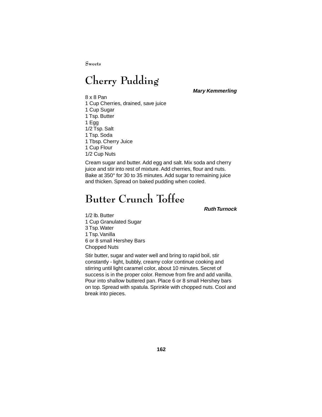# Cherry Pudding

**Mary Kemmerling**

8 x 8 Pan 1 Cup Cherries, drained, save juice 1 Cup Sugar 1 Tsp. Butter 1 Egg 1/2 Tsp. Salt 1 Tsp. Soda 1 Tbsp. Cherry Juice 1 Cup Flour 1/2 Cup Nuts

Cream sugar and butter. Add egg and salt. Mix soda and cherry juice and stir into rest of mixture. Add cherries, flour and nuts. Bake at 350° for 30 to 35 minutes. Add sugar to remaining juice and thicken. Spread on baked pudding when cooled.

### Butter Crunch Toffee

**Ruth Turnock**

1/2 lb. Butter 1 Cup Granulated Sugar 3 Tsp. Water 1 Tsp. Vanilla 6 or 8 small Hershey Bars Chopped Nuts

Stir butter, sugar and water well and bring to rapid boil, stir constantly - light, bubbly, creamy color continue cooking and stirring until light caramel color, about 10 minutes. Secret of success is in the proper color. Remove from fire and add vanilla. Pour into shallow buttered pan. Place 6 or 8 small Hershey bars on top. Spread with spatula. Sprinkle with chopped nuts. Cool and break into pieces.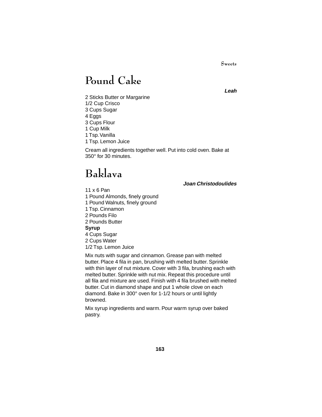### Pound Cake

**Leah**

2 Sticks Butter or Margarine 1/2 Cup Crisco 3 Cups Sugar 4 Eggs 3 Cups Flour 1 Cup Milk 1 Tsp. Vanilla 1 Tsp. Lemon Juice

Cream all ingredients together well. Put into cold oven. Bake at 350° for 30 minutes.

# Baklava

**Joan Christodoulides**

11 x 6 Pan 1 Pound Almonds, finely ground 1 Pound Walnuts, finely ground 1 Tsp. Cinnamon 2 Pounds Filo 2 Pounds Butter **Syrup** 4 Cups Sugar 2 Cups Water 1/2 Tsp. Lemon Juice

Mix nuts with sugar and cinnamon. Grease pan with melted butter. Place 4 fila in pan, brushing with melted butter. Sprinkle with thin layer of nut mixture. Cover with 3 fila, brushing each with melted butter. Sprinkle with nut mix. Repeat this procedure until all fila and mixture are used. Finish with 4 fila brushed with melted butter. Cut in diamond shape and put 1 whole clove on each diamond. Bake in 300° oven for 1-1/2 hours or until lightly browned.

Mix syrup ingredients and warm. Pour warm syrup over baked pastry.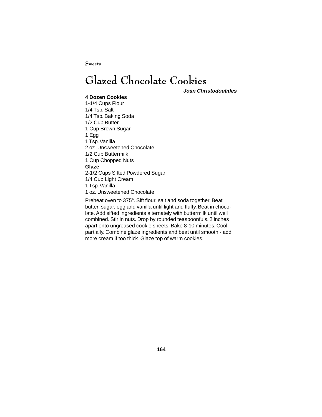# Glazed Chocolate Cookies

**Joan Christodoulides**

#### **4 Dozen Cookies**

1-1/4 Cups Flour 1/4 Tsp. Salt 1/4 Tsp. Baking Soda 1/2 Cup Butter 1 Cup Brown Sugar 1 Egg 1 Tsp. Vanilla 2 oz. Unsweetened Chocolate 1/2 Cup Buttermilk 1 Cup Chopped Nuts **Glaze** 2-1/2 Cups Sifted Powdered Sugar 1/4 Cup Light Cream 1 Tsp. Vanilla 1 oz. Unsweetened Chocolate

Preheat oven to 375°. Sift flour, salt and soda together. Beat butter, sugar, egg and vanilla until light and fluffy. Beat in chocolate. Add sifted ingredients alternately with buttermilk until well combined. Stir in nuts. Drop by rounded teaspoonfuls. 2 inches apart onto ungreased cookie sheets. Bake 8-10 minutes. Cool partially. Combine glaze ingredients and beat until smooth - add more cream if too thick. Glaze top of warm cookies.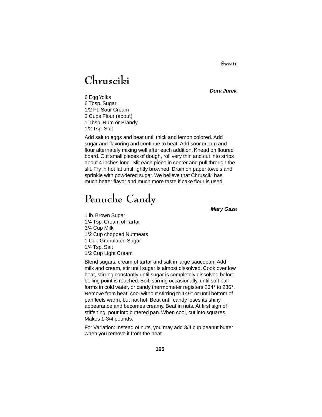# Chrusciki

**Dora Jurek**

6 Egg Yolks 6 Tbsp. Sugar 1/2 Pt. Sour Cream 3 Cups Flour (about) 1 Tbsp. Rum or Brandy 1/2 Tsp. Salt

Add salt to eggs and beat until thick and lemon colored. Add sugar and flavoring and continue to beat. Add sour cream and flour alternately mixing well after each addition. Knead on floured board. Cut small pieces of dough, roll very thin and cut into strips about 4 inches long. Slit each piece in center and pull through the slit. Fry in hot fat until lightly browned. Drain on paper towels and sprinkle with powdered sugar. We believe that Chrusciki has much better flavor and much more taste if cake flour is used.

# Penuche Candy

**Mary Gaza**

1 lb. Brown Sugar 1/4 Tsp. Cream of Tartar 3/4 Cup Milk 1/2 Cup chopped Nutmeats 1 Cup Granulated Sugar 1/4 Tsp. Salt 1/2 Cup Light Cream

Blend sugars, cream of tartar and salt in large saucepan. Add milk and cream, stir until sugar is almost dissolved. Cook over low heat, stirring constantly until sugar is completely dissolved before boiling point is reached. Boil, stirring occasionally, until soft ball forms in cold water, or candy thermometer registers 234° to 236°. Remove from heat, cool without stirring to 149° or until bottom of pan feels warm, but not hot. Beat until candy loses its shiny appearance and becomes creamy. Beat in nuts. At first sign of stiffening, pour into buttered pan. When cool, cut into squares. Makes 1-3/4 pounds.

For Variation: Instead of nuts, you may add 3/4 cup peanut butter when you remove it from the heat.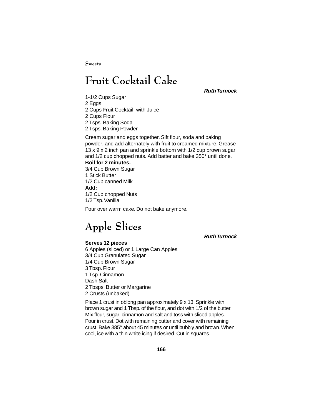# Fruit Cocktail Cake

**Ruth Turnock**

1-1/2 Cups Sugar 2 Eggs 2 Cups Fruit Cocktail, with Juice 2 Cups Flour 2 Tsps. Baking Soda 2 Tsps. Baking Powder

Cream sugar and eggs together. Sift flour, soda and baking powder, and add alternately with fruit to creamed mixture. Grease 13 x 9 x 2 inch pan and sprinkle bottom with 1/2 cup brown sugar and 1/2 cup chopped nuts. Add batter and bake 350° until done.

**Boil for 2 minutes.** 3/4 Cup Brown Sugar 1 Stick Butter 1/2 Cup canned Milk **Add:** 1/2 Cup chopped Nuts 1/2 Tsp. Vanilla

Pour over warm cake. Do not bake anymore.

# Apple Slices

**Ruth Turnock**

**Serves 12 pieces** 6 Apples (sliced) or 1 Large Can Apples 3/4 Cup Granulated Sugar 1/4 Cup Brown Sugar 3 Tbsp. Flour 1 Tsp. Cinnamon Dash Salt 2 Tbsps. Butter or Margarine 2 Crusts (unbaked)

Place 1 crust in oblong pan approximately 9 x 13. Sprinkle with brown sugar and 1 Tbsp. of the flour, and dot with 1/2 of the butter. Mix flour, sugar, cinnamon and salt and toss with sliced apples. Pour in crust. Dot with remaining butter and cover with remaining crust. Bake 385° about 45 minutes or until bubbly and brown. When cool, ice with a thin white icing if desired. Cut in squares.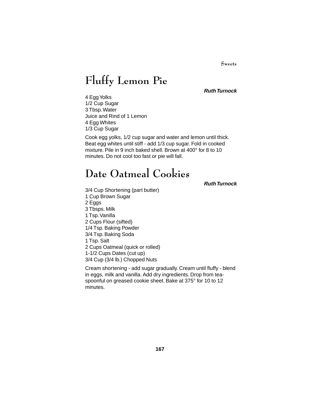### Fluffy Lemon Pie

**Ruth Turnock**

4 Egg Yolks 1/2 Cup Sugar 3 Tbsp. Water Juice and Rind of 1 Lemon 4 Egg Whites 1/3 Cup Sugar

Cook egg yolks, 1/2 cup sugar and water and lemon until thick. Beat egg whites until stiff - add 1/3 cup sugar. Fold in cooked mixture. Pile in 9 inch baked shell. Brown at 400° for 8 to 10 minutes. Do not cool too fast or pie will fall.

### Date Oatmeal Cookies

**Ruth Turnock**

3/4 Cup Shortening (part butter) 1 Cup Brown Sugar 2 Eggs 3 Tbsps. Milk 1 Tsp. Vanilla 2 Cups Flour (sifted) 1/4 Tsp. Baking Powder 3/4 Tsp. Baking Soda 1 Tsp. Salt 2 Cups Oatmeal (quick or rolled) 1-1/2 Cups Dates (cut up) 3/4 Cup (3/4 lb.) Chopped Nuts

Cream shortening - add sugar gradually. Cream until fluffy - blend in eggs, milk and vanilla. Add dry ingredients. Drop from teaspoonful on greased cookie sheet. Bake at 375° for 10 to 12 minutes.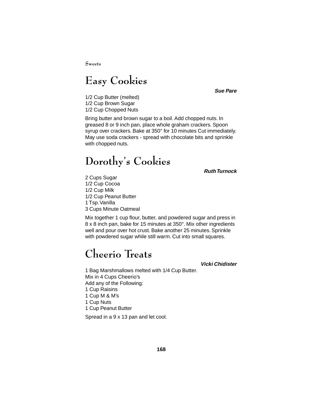### Easy Cookies

**Sue Pare**

1/2 Cup Butter (melted) 1/2 Cup Brown Sugar 1/2 Cup Chopped Nuts

Bring butter and brown sugar to a boil. Add chopped nuts. In greased 8 or 9 inch pan, place whole graham crackers. Spoon syrup over crackers. Bake at 350° for 10 minutes Cut immediately. May use soda crackers - spread with chocolate bits and sprinkle with chopped nuts.

# Dorothy's Cookies

**Ruth Turnock**

2 Cups Sugar 1/2 Cup Cocoa 1/2 Cup Milk 1/2 Cup Peanut Butter 1 Tsp. Vanilla 3 Cups Minute Oatmeal

Mix together 1 cup flour, butter, and powdered sugar and press in 8 x 8 inch pan, bake for 15 minutes at 350°. Mix other ingredients well and pour over hot crust. Bake another 25 minutes. Sprinkle with powdered sugar while still warm. Cut into small squares.

### Cheerio Treats

**Vicki Chidister**

1 Bag Marshmallows melted with 1/4 Cup Butter. Mix in 4 Cups Cheerio's Add any of the Following: 1 Cup Raisins 1 Cup M & M's 1 Cup Nuts 1 Cup Peanut Butter

Spread in a 9 x 13 pan and let cool.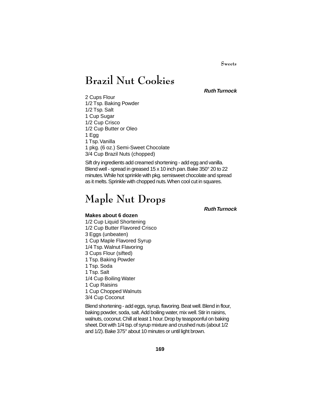# Brazil Nut Cookies

**Ruth Turnock**

2 Cups Flour 1/2 Tsp. Baking Powder 1/2 Tsp. Salt 1 Cup Sugar 1/2 Cup Crisco 1/2 Cup Butter or Oleo 1 Egg 1 Tsp. Vanilla 1 pkg. (6 oz.) Semi-Sweet Chocolate 3/4 Cup Brazil Nuts (chopped)

Sift dry ingredients add creamed shortening - add egg and vanilla. Blend well - spread in greased 15 x 10 inch pan. Bake 350° 20 to 22 minutes. While hot sprinkle with pkg. semisweet chocolate and spread as it melts. Sprinkle with chopped nuts. When cool cut in squares.

# Maple Nut Drops

#### **Makes about 6 dozen**

**Ruth Turnock**

1/2 Cup Liquid Shortening 1/2 Cup Butter Flavored Crisco 3 Eggs (unbeaten) 1 Cup Maple Flavored Syrup 1/4 Tsp. Walnut Flavoring 3 Cups Flour (sifted) 1 Tsp. Baking Powder 1 Tsp. Soda 1 Tsp. Salt 1/4 Cup Boiling Water 1 Cup Raisins 1 Cup Chopped Walnuts 3/4 Cup Coconut

Blend shortening - add eggs, syrup, flavoring. Beat well. Blend in flour, baking powder, soda, salt. Add boiling water, mix well. Stir in raisins, walnuts, coconut. Chill at least 1 hour. Drop by teaspoonful on baking sheet. Dot with 1/4 tsp. of syrup mixture and crushed nuts (about 1/2 and 1/2). Bake 375° about 10 minutes or until light brown.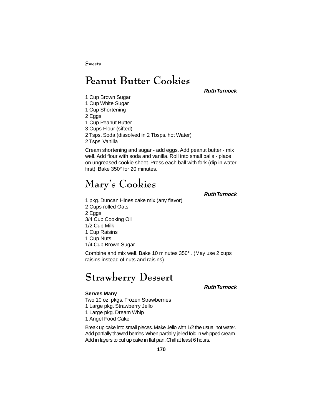### Peanut Butter Cookies

**Ruth Turnock**

- 1 Cup Brown Sugar
- 1 Cup White Sugar
- 1 Cup Shortening
- 2 Eggs
- 1 Cup Peanut Butter
- 3 Cups Flour (sifted)
- 2 Tsps. Soda (dissolved in 2 Tbsps. hot Water)
- 2 Tsps. Vanilla

Cream shortening and sugar - add eggs. Add peanut butter - mix well. Add flour with soda and vanilla. Roll into small balls - place on ungreased cookie sheet. Press each ball with fork (dip in water first). Bake 350° for 20 minutes.

# Mary's Cookies

**Ruth Turnock**

1 pkg. Duncan Hines cake mix (any flavor) 2 Cups rolled Oats 2 Eggs 3/4 Cup Cooking Oil 1/2 Cup Milk 1 Cup Raisins 1 Cup Nuts 1/4 Cup Brown Sugar

Combine and mix well. Bake 10 minutes 350° . (May use 2 cups raisins instead of nuts and raisins).

# Strawberry Dessert

#### **Ruth Turnock**

**Serves Many** Two 10 oz. pkgs. Frozen Strawberries

- 1 Large pkg. Strawberry Jello
- 1 Large pkg. Dream Whip
- 1 Angel Food Cake

Break up cake into small pieces. Make Jello with 1/2 the usual hot water. Add partially thawed berries. When partially jelled fold in whipped cream. Add in layers to cut up cake in flat pan. Chill at least 6 hours.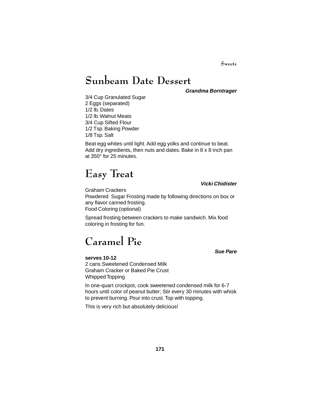### Sunbeam Date Dessert

**Grandma Borntrager**

3/4 Cup Granulated Sugar 2 Eggs (separated) 1/2 lb. Dates 1/2 lb. Walnut Meats 3/4 Cup Sifted Flour 1/2 Tsp. Baking Powder 1/8 Tsp. Salt

Beat egg whites until light. Add egg yolks and continue to beat. Add dry ingredients, then nuts and dates. Bake in 8 x 8 inch pan at 350° for 25 minutes.

### Easy Treat

**Vicki Chidister**

Graham Crackers Powdered Sugar Frosting made by following directions on box or any flavor canned frosting. Food Coloring (optional)

Spread frosting between crackers to make sandwich. Mix food coloring in frosting for fun.

### Caramel Pie

**Sue Pare**

**serves 10-12** 2 cans Sweetened Condensed Milk Graham Cracker or Baked Pie Crust Whipped Topping

In one-quart crockpot, cook sweetened condensed milk for 6-7 hours until color of peanut butter; Stir every 30 minutes with whisk to prevent burning. Pour into crust. Top with topping.

This is very rich but absolutely delicious!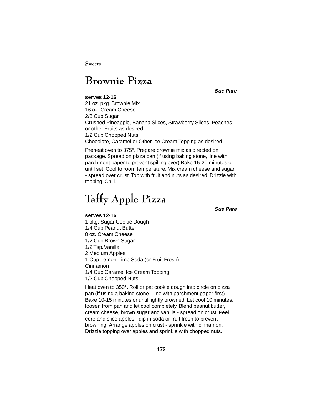### Brownie Pizza

**Sue Pare**

#### **serves 12-16**

21 oz. pkg. Brownie Mix 16 oz. Cream Cheese 2/3 Cup Sugar Crushed Pineapple, Banana Slices, Strawberry Slices, Peaches or other Fruits as desired 1/2 Cup Chopped Nuts Chocolate, Caramel or Other Ice Cream Topping as desired

Preheat oven to 375°. Prepare brownie mix as directed on package. Spread on pizza pan (if using baking stone, line with parchment paper to prevent spilling over) Bake 15-20 minutes or until set. Cool to room temperature. Mix cream cheese and sugar - spread over crust. Top with fruit and nuts as desired. Drizzle with topping. Chill.

# Taffy Apple Pizza

**Sue Pare**

#### **serves 12-16**

1 pkg. Sugar Cookie Dough 1/4 Cup Peanut Butter 8 oz. Cream Cheese 1/2 Cup Brown Sugar 1/2 Tsp. Vanilla 2 Medium Apples 1 Cup Lemon-Lime Soda (or Fruit Fresh) Cinnamon 1/4 Cup Caramel Ice Cream Topping 1/2 Cup Chopped Nuts

Heat oven to 350°. Roll or pat cookie dough into circle on pizza pan (if using a baking stone - line with parchment paper first) Bake 10-15 minutes or until lightly browned. Let cool 10 minutes; loosen from pan and let cool completely. Blend peanut butter, cream cheese, brown sugar and vanilla - spread on crust. Peel, core and slice apples - dip in soda or fruit fresh to prevent browning. Arrange apples on crust - sprinkle with cinnamon. Drizzle topping over apples and sprinkle with chopped nuts.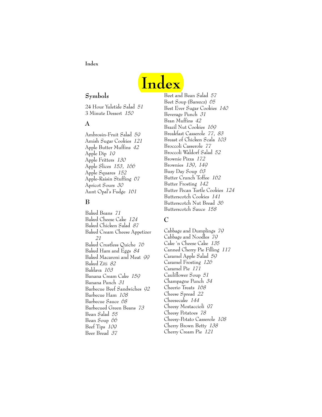# Index

#### Symbols

24 Hour Yuletide Salad 51 3 Minute Dessert 150

#### A

Ambrosin-Fruit Salad 59 Amish Sugar Cookies 121 Apple Butter Muffins 42 Apple Dip 19 Apple Fritters 130 Apple Slices 153, 166 Apple Squares 152 Apple-Raisin Stuffing 67 Apricot Sours 30 Aunt Opal's Fudge 101

#### B

Baked Beans 71 Baked Cheese Cake 124 Baked Chicken Salad 87 Baked Cream Cheese Appetizer 21 Baked Crustless Quiche 76 Baked Ham and Eggs 84 Baked Macaroni and Meat 99 Baked Ziti 82 Baklava 163 Banana Cream Cake 159 Banana Punch 31 Barbecue Beef Sandwiches 92 Barbecue Ham 108 Barbecue Sauce 68 Barbecued Green Beans 73 Bean Salad 55 Bean Soup 66 Beef Tips 109 Beer Bread 37

Beet and Bean Salad 57 Beet Soup (Barszcz) 65 Best Ever Sugar Cookies 140 Beverage Punch 31 Bran Muffins 42 Brazil Nut Cookies 169 Breakfast Casserole 77, 83 Breast of Chicken Scala 103 Broccoli Casserole 77 Broccoli Waldorf Salad 52 Brownie Pizza 172 Brownies 139, 149 Busy Day Soup 63 Butter Crunch Toffee 162 Butter Frosting 142 Butter Pecan Turtle Cookies 124 Butterscotch Cookies 141 Butterscotch Nut Bread 36 Butterscotch Sauce 158

#### $\mathcal C$

Cabbage and Dumplings 79 Cabbage and Noodles 79 Cake 'n Cheese Cake 135 Canned Cherry Pie Filling 117 Caramel Apple Salad 59 Caramel Frosting 126 Caramel Pie 171 Cauliflower Soup 51 Champagne Punch 34 Cheerio Treats 108 Cheese Spread 22 Cheesecake 144 Cheesy Mostaccioli 97 Cheesy Potatoes 78 Cheesy-Potato Casserole 108 Cherry Brown Betty 138 Cherry Cream Pie 121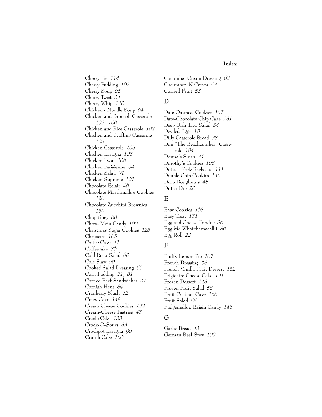Cherry Pie 114 Cherry Pudding 162 Cherry Soup 65 Cherry Twist 34 Cherry Whip 140 Chicken - Noodle Soup 64 Chicken and Broccoli Casserole 102, 106 Chicken and Rice Casserole 107 Chicken and Stuffing Casserole 105 Chicken Casserole 105 Chicken Lasagna 103 Chicken Lyon 106 Chicken Parisienne 94 Chicken Salad 91 Chicken Supreme 101 Chocolate Eclair 46 Chocolate Marshmallow Cookies 126 Chocolate Zucchini Brownies 139 Chop Suey 88 Chow- Mein Candy 160 Christmas Sugar Cookies 123 Chrusciki 165 Coffee Cake 41 Coffeecake 36 Cold Pasta Salad 60 Cole Slaw 56 Cooked Salad Dressing 50 Corn Pudding 71, 81 Corned Beef Sandwiches 27 Cornish Hens 89 Cranberry Slush 32 Crazy Cake 148 Cream Cheese Cookies 122 Cream-Cheese Pastries 47 Creole Cake 133 Crock-O-Sours 33 Crockpot Lasagna 96 Crumb Cake 160

Cucumber Cream Dressing 62 Cucumber 'N Cream 53 Curried Fruit 53

#### D

Date Oatmeal Cookies 167 Date-Chocolate Chip Cake 131 Deep Dish Taco Salad 54 Deviled Eggs 18 Dilly Casserole Bread 38 Don "The Beachcomber" Casserole 104 Donna's Slush 34 Dorothy's Cookies 168 Dottie's Pork Barbecue 111 Double Chip Cookies 146 Drop Doughnuts 45 Dutch Dip 20

#### E

Easy Cookies 168 Easy Treat 171 Egg and Cheese Fondue 86 Egg Mc Whatchamacallit 86 Egg Roll 22

#### F

Fluffy Lemon Pie 167 French Dressing 63 French Vanilla Fruit Dessert 152 Frigidaire Cheese Cake 131 Frozen Dessert 143 Frozen Fruit Salad 58 Fruit Cocktail Cake 166 Fruit Salad 55 Fudgemallow Raisin Candy 143

#### G

Garlic Bread 43 German Beef Stew 109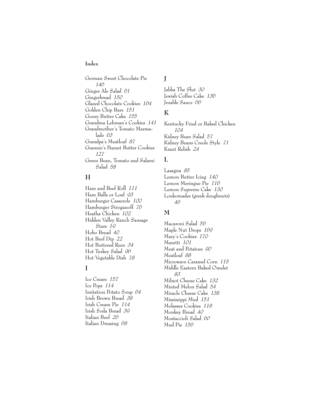German Sweet Chocolate Pie 146 Ginger Ale Salad 61 Gingerbread 150 Glazed Chocolate Cookies 164 Golden Chip Bars 151 Gooey Butter Cake 155 Grandma Lehman's Cookies 141 Grandmother's Tomato Marmalade 63 Grandpa's Meatloaf 87 Grannie's Peanut Butter Cookies 127 Green Bean, Tomato and Salami Salad 58

#### H

Ham and Beef Roll 111 Ham Balls or Loaf 93 Hamburger Casserole 100 Hamburger Stroganoff 76 Heatha Chicken 102 Hidden Valley Ranch Sausage Stars 19 Hobo Bread 40 Hot Beef Dip 22 Hot Buttered Rum 34 Hot Turkey Salad 96 Hot Vegetable Dish 78

#### I

Ice Cream 157 Ice Pops 114 Imitation Potato Soup 64 Irish Brown Bread 38 Irish Cream Pie 114 Irish Soda Bread 39 Italian Beef 26 Italian Dressing 68

#### J

Jabba The Slut 30 Jewish Coffee Cake 136 Jezable Sauce 66

#### K

Kentucky Fried or Baked Chicken 104 Kidney Bean Salad 57 Kidney Beans Creole Style 71 Kraut Relish 24

#### L

Lasagna 85 Lemon Butter Icing 140 Lemon Meringue Pie 116 Lemon Supreme Cake 130 Loukomades (greek doughnuts) 46

#### M

Macaroni Salad 56 Maple Nut Drops 169 Mary's Cookies 170 Mazetti 101 Meat and Potatoes 90 Meatloaf 88 Microwave Caramel Corn 115 Middle Eastern Baked Omelet 83 Milnot Cheese Cake 132 Minted Melon Salad 54 Miracle Cheese Cake 138 Mississippi Mud 151 Molasses Cookies 118 Monkey Bread 40 Mostaccioli Salad 60 Mud Pie 156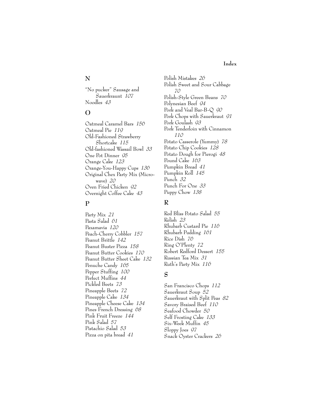"No pucker" Sausage and Sauerkraunt 107 Noodles 43

#### O

Oatmeal Caramel Bars 156 Oatmeal Pie 119 Old-Fashioned Strawberry Shortcake 115 Old-fashioned Wassail Bowl 33 One Pot Dinner 95 Orange Cake 123 Orange-You-Happy Cups 136 Original Chex Party Mix (Microwave) 20 Oven Fried Chicken 92 Overnight Coffee Cake 43

#### P

Party Mix 21 Pasta Salad 61 Paxamavia 120 Peach-Cherry Cobbler 157 Peanut Brittle 142 Peanut Buster Pizza 158 Peanut Butter Cookies 170 Peanut Butter Sheet Cake 132 Penuche Candy 165 Pepper Stuffing 100 Perfect Muffins 44 Pickled Beets 73 Pineapple Beets 72 Pineapple Cake 134 Pineapple Cheese Cake 134 Pines French Dressing 68 Pink Fruit Freeze 144 Pink Salad 57 Pistachio Salad 53 Pizza on pita bread 41

Polish Mistakes 26 Polish Sweet and Sour Cabbage 70 Polish-Style Green Beans 70 Polynesian Beef  $94$ Pork and Veal Bar-B-Q 90 Pork Chops with Sauerkraut 91 Pork Goulash 03 Pork Tenderloin with Cinnamon 110 Potato Casserole (Yummy) 78 Potato Chip Cookies 128 Potato Dough for Pierogi 48 Pound Cake 163 Pumpkin Bread 41 Pumpkin Roll 145 Punch 32 Punch For One 33 Puppy Chow 138

#### R

Red Bliss Potato Salad 55 Relish 23 Rhubarb Custard Pie 116 Rhubarb Pudding 161 Rice Dish 76 Ring O'Plenty 72 Robert Redford Dessert 155 Russian Tea Mix 31 Ruth's Party Mix 110

#### S

San Francisco Chops 112 Sauerkraut Soup 52 Sauerkraut with Split Peas 82 Savory Braised Beef 110 Seafood Chowder 50 Self Frosting Cake 133 Six-Week Muffin 45 Sloppy Joes 97 Snack Oyster Crackers 26

#### N